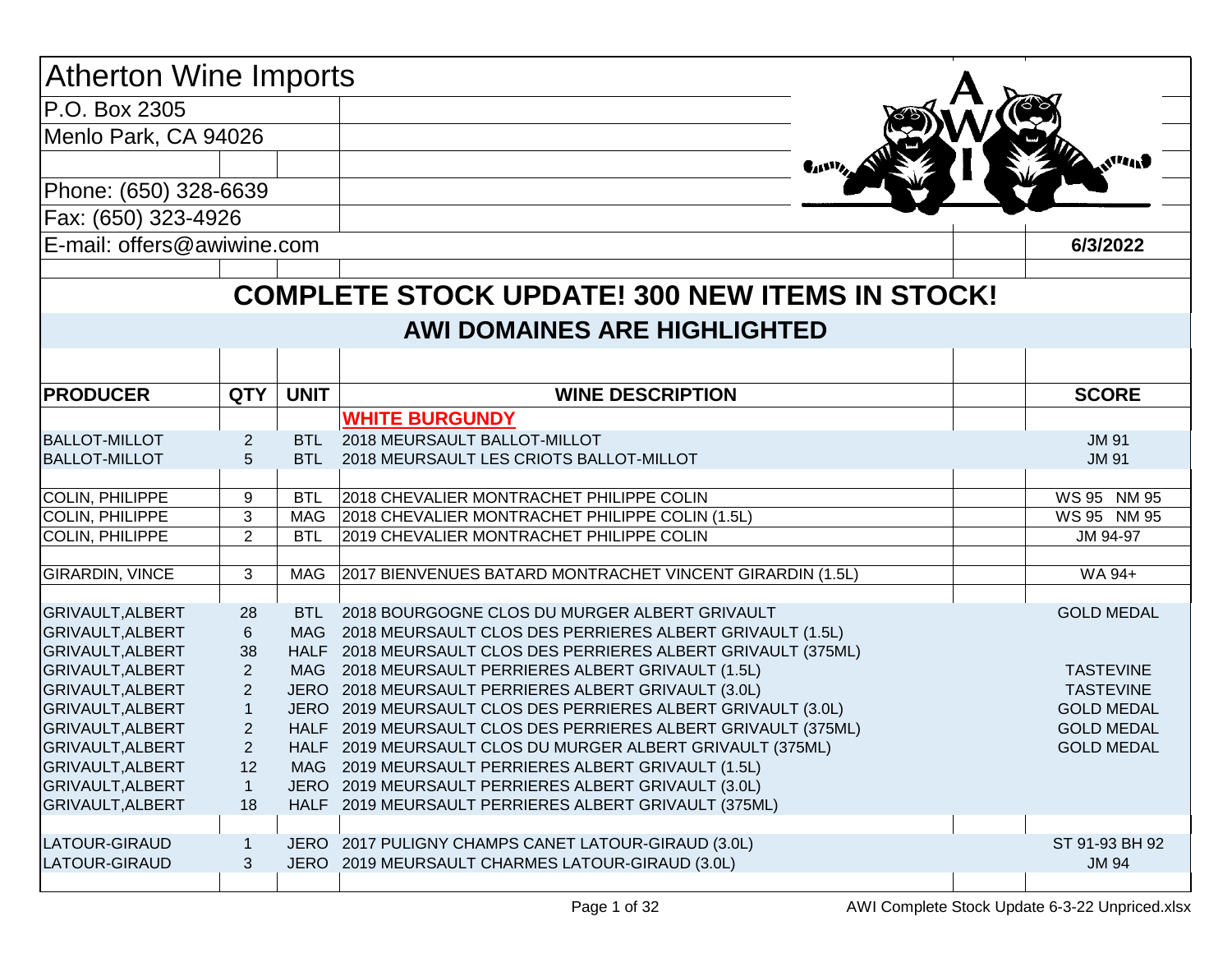| <b>Atherton Wine Imports</b> |                |             |                                                                |                           |
|------------------------------|----------------|-------------|----------------------------------------------------------------|---------------------------|
| P.O. Box 2305                |                |             |                                                                |                           |
| Menlo Park, CA 94026         |                |             |                                                                |                           |
|                              |                |             | $\P_4$                                                         | $\mathbf{A}^{\mathbf{H}}$ |
| Phone: (650) 328-6639        |                |             |                                                                |                           |
| Fax: (650) 323-4926          |                |             |                                                                |                           |
| E-mail: offers@awiwine.com   |                |             |                                                                | 6/3/2022                  |
|                              |                |             |                                                                |                           |
|                              |                |             | <b>COMPLETE STOCK UPDATE! 300 NEW ITEMS IN STOCK!</b>          |                           |
|                              |                |             | <b>AWI DOMAINES ARE HIGHLIGHTED</b>                            |                           |
|                              |                |             |                                                                |                           |
| <b>PRODUCER</b>              | <b>QTY</b>     | <b>UNIT</b> | <b>WINE DESCRIPTION</b>                                        | <b>SCORE</b>              |
|                              |                |             | <b>WHITE BURGUNDY</b>                                          |                           |
| <b>BALLOT-MILLOT</b>         | 2              |             | BTL 2018 MEURSAULT BALLOT-MILLOT                               | <b>JM 91</b>              |
| <b>BALLOT-MILLOT</b>         | 5              | BTL.        | 2018 MEURSAULT LES CRIOTS BALLOT-MILLOT                        | <b>JM 91</b>              |
|                              |                |             |                                                                |                           |
| COLIN, PHILIPPE              | 9              | <b>BTL</b>  | 2018 CHEVALIER MONTRACHET PHILIPPE COLIN                       | WS 95 NM 95               |
| COLIN, PHILIPPE              | 3              | MAG         | 2018 CHEVALIER MONTRACHET PHILIPPE COLIN (1.5L)                | WS 95 NM 95               |
| COLIN, PHILIPPE              | $\overline{2}$ | <b>BTL</b>  | 2019 CHEVALIER MONTRACHET PHILIPPE COLIN                       | JM 94-97                  |
|                              | 3              |             |                                                                | WA 94+                    |
| <b>GIRARDIN, VINCE</b>       |                | MAG         | 2017 BIENVENUES BATARD MONTRACHET VINCENT GIRARDIN (1.5L)      |                           |
| <b>GRIVAULT, ALBERT</b>      | 28             |             | BTL 2018 BOURGOGNE CLOS DU MURGER ALBERT GRIVAULT              | <b>GOLD MEDAL</b>         |
| GRIVAULT, ALBERT             | $\,6\,$        |             | MAG 2018 MEURSAULT CLOS DES PERRIERES ALBERT GRIVAULT (1.5L)   |                           |
| GRIVAULT, ALBERT             | 38             |             | HALF 2018 MEURSAULT CLOS DES PERRIERES ALBERT GRIVAULT (375ML) |                           |
| GRIVAULT, ALBERT             | $\overline{2}$ |             | MAG 2018 MEURSAULT PERRIERES ALBERT GRIVAULT (1.5L)            | <b>TASTEVINE</b>          |
| <b>GRIVAULT, ALBERT</b>      | $\overline{2}$ |             | JERO 2018 MEURSAULT PERRIERES ALBERT GRIVAULT (3.0L)           | <b>TASTEVINE</b>          |
| GRIVAULT, ALBERT             |                |             | JERO 2019 MEURSAULT CLOS DES PERRIERES ALBERT GRIVAULT (3.0L)  | <b>GOLD MEDAL</b>         |
| GRIVAULT, ALBERT             | $\overline{2}$ |             | HALF 2019 MEURSAULT CLOS DES PERRIERES ALBERT GRIVAULT (375ML) | <b>GOLD MEDAL</b>         |
| GRIVAULT, ALBERT             | $\overline{2}$ |             | HALF 2019 MEURSAULT CLOS DU MURGER ALBERT GRIVAULT (375ML)     | <b>GOLD MEDAL</b>         |
| <b>GRIVAULT, ALBERT</b>      | 12             |             | MAG 2019 MEURSAULT PERRIERES ALBERT GRIVAULT (1.5L)            |                           |
| GRIVAULT, ALBERT             |                |             | JERO 2019 MEURSAULT PERRIERES ALBERT GRIVAULT (3.0L)           |                           |
| GRIVAULT, ALBERT             | 18             |             | HALF 2019 MEURSAULT PERRIERES ALBERT GRIVAULT (375ML)          |                           |
|                              |                |             |                                                                |                           |
| LATOUR-GIRAUD                | -1             |             | JERO 2017 PULIGNY CHAMPS CANET LATOUR-GIRAUD (3.0L)            | ST 91-93 BH 92            |
| LATOUR-GIRAUD                | $\mathfrak{Z}$ |             | JERO 2019 MEURSAULT CHARMES LATOUR-GIRAUD (3.0L)               | <b>JM 94</b>              |
|                              |                |             |                                                                |                           |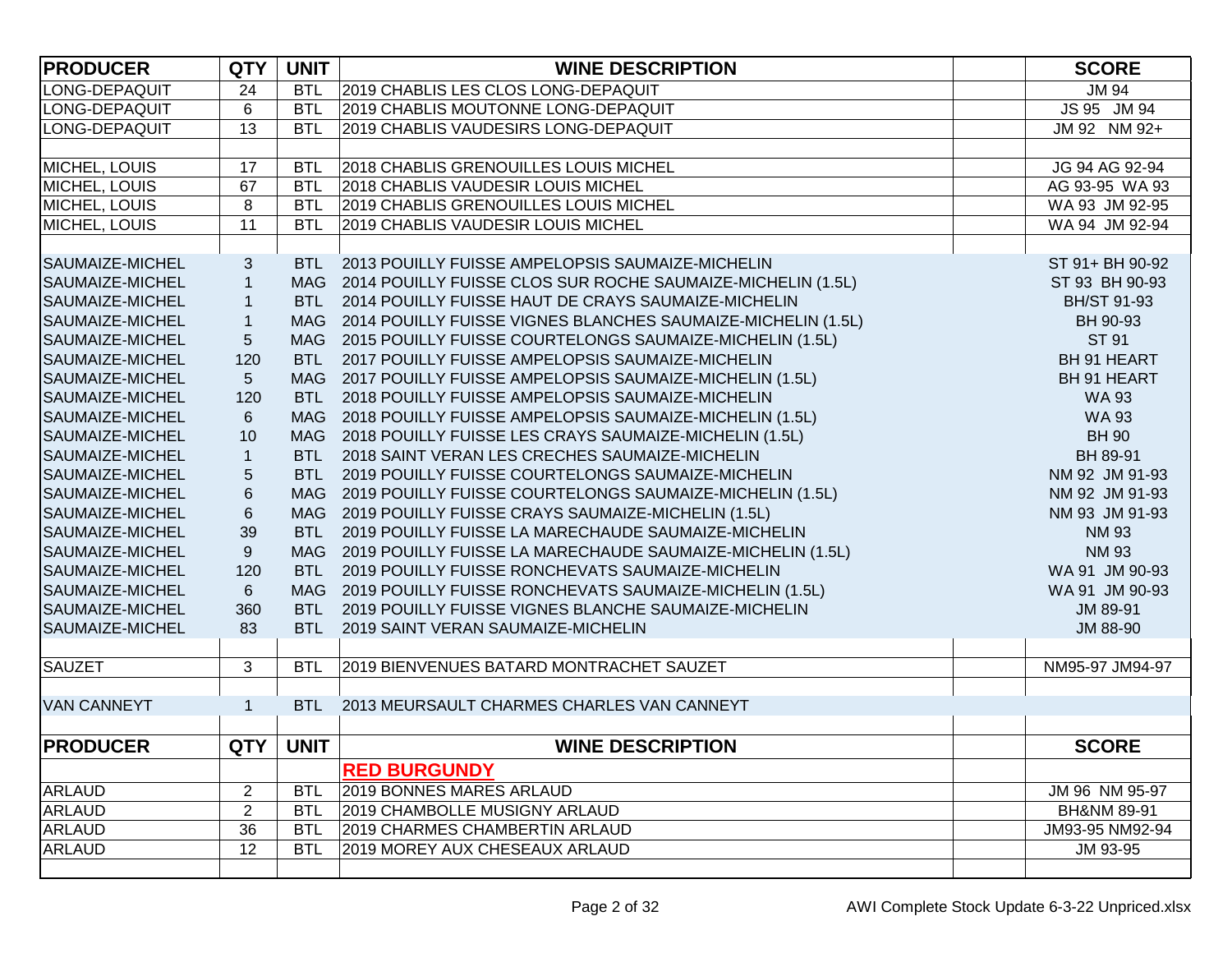|                                                                                                      | <b>SCORE</b>           |
|------------------------------------------------------------------------------------------------------|------------------------|
| LONG-DEPAQUIT<br><b>BTL</b><br>2019 CHABLIS LES CLOS LONG-DEPAQUIT<br>24                             | <b>JM 94</b>           |
| 6<br>LONG-DEPAQUIT<br>2019 CHABLIS MOUTONNE LONG-DEPAQUIT<br><b>BTL</b>                              | JS 95 JM 94            |
| 13<br>LONG-DEPAQUIT<br>2019 CHABLIS VAUDESIRS LONG-DEPAQUIT<br><b>BTL</b>                            | JM 92 NM 92+           |
|                                                                                                      |                        |
| MICHEL, LOUIS<br>17<br>2018 CHABLIS GRENOUILLES LOUIS MICHEL<br><b>BTL</b>                           | JG 94 AG 92-94         |
| 67<br>MICHEL, LOUIS<br><b>BTL</b><br>2018 CHABLIS VAUDESIR LOUIS MICHEL                              | AG 93-95 WA 93         |
| 8<br>MICHEL, LOUIS<br>2019 CHABLIS GRENOUILLES LOUIS MICHEL<br><b>BTL</b>                            | WA 93 JM 92-95         |
| MICHEL, LOUIS<br>11<br>2019 CHABLIS VAUDESIR LOUIS MICHEL<br><b>BTL</b>                              | WA 94 JM 92-94         |
|                                                                                                      |                        |
| SAUMAIZE-MICHEL<br>$\sqrt{3}$<br>BTL 2013 POUILLY FUISSE AMPELOPSIS SAUMAIZE-MICHELIN                | ST 91+ BH 90-92        |
| $\mathbf{1}$<br>MAG 2014 POUILLY FUISSE CLOS SUR ROCHE SAUMAIZE-MICHELIN (1.5L)<br>SAUMAIZE-MICHEL   | ST 93 BH 90-93         |
| SAUMAIZE-MICHEL<br>$\mathbf{1}$<br>2014 POUILLY FUISSE HAUT DE CRAYS SAUMAIZE-MICHELIN<br><b>BTL</b> | <b>BH/ST 91-93</b>     |
| $\mathbf{1}$<br>MAG 2014 POUILLY FUISSE VIGNES BLANCHES SAUMAIZE-MICHELIN (1.5L)<br>SAUMAIZE-MICHEL  | BH 90-93               |
| 5<br>MAG 2015 POUILLY FUISSE COURTELONGS SAUMAIZE-MICHELIN (1.5L)<br>SAUMAIZE-MICHEL                 | ST 91                  |
| 120<br><b>BTL</b><br>2017 POUILLY FUISSE AMPELOPSIS SAUMAIZE-MICHELIN<br>SAUMAIZE-MICHEL             | BH 91 HEART            |
| 5 <sup>5</sup><br>SAUMAIZE-MICHEL<br>MAG 2017 POUILLY FUISSE AMPELOPSIS SAUMAIZE-MICHELIN (1.5L)     | BH 91 HEART            |
| 120<br>BTL 2018 POUILLY FUISSE AMPELOPSIS SAUMAIZE-MICHELIN<br>SAUMAIZE-MICHEL                       | <b>WA 93</b>           |
| $6\phantom{1}$<br>MAG 2018 POUILLY FUISSE AMPELOPSIS SAUMAIZE-MICHELIN (1.5L)<br>SAUMAIZE-MICHEL     | <b>WA 93</b>           |
| $10$<br>MAG 2018 POUILLY FUISSE LES CRAYS SAUMAIZE-MICHELIN (1.5L)<br>SAUMAIZE-MICHEL                | <b>BH 90</b>           |
| $\mathbf{1}$<br>SAUMAIZE-MICHEL<br>BTL 2018 SAINT VERAN LES CRECHES SAUMAIZE-MICHELIN                | BH 89-91               |
| $\sqrt{5}$<br>SAUMAIZE-MICHEL<br>BTL 2019 POUILLY FUISSE COURTELONGS SAUMAIZE-MICHELIN               | NM 92 JM 91-93         |
| $\,6$<br>SAUMAIZE-MICHEL<br>MAG 2019 POUILLY FUISSE COURTELONGS SAUMAIZE-MICHELIN (1.5L)             | NM 92 JM 91-93         |
| $\,6\,$<br>SAUMAIZE-MICHEL<br>MAG 2019 POUILLY FUISSE CRAYS SAUMAIZE-MICHELIN (1.5L)                 | NM 93 JM 91-93         |
| 39<br><b>BTL</b><br>2019 POUILLY FUISSE LA MARECHAUDE SAUMAIZE-MICHELIN<br>SAUMAIZE-MICHEL           | <b>NM 93</b>           |
| 9<br>MAG 2019 POUILLY FUISSE LA MARECHAUDE SAUMAIZE-MICHELIN (1.5L)<br><b>SAUMAIZE-MICHEL</b>        | <b>NM 93</b>           |
| 120<br>2019 POUILLY FUISSE RONCHEVATS SAUMAIZE-MICHELIN<br>SAUMAIZE-MICHEL<br><b>BTL</b>             | WA 91 JM 90-93         |
| $6 \overline{6}$<br>MAG 2019 POUILLY FUISSE RONCHEVATS SAUMAIZE-MICHELIN (1.5L)<br>SAUMAIZE-MICHEL   | WA 91 JM 90-93         |
| 360<br><b>BTL</b><br>2019 POUILLY FUISSE VIGNES BLANCHE SAUMAIZE-MICHELIN<br>SAUMAIZE-MICHEL         | JM 89-91               |
| 83<br>SAUMAIZE-MICHEL<br><b>BTL</b><br>2019 SAINT VERAN SAUMAIZE-MICHELIN                            | JM 88-90               |
|                                                                                                      |                        |
| <b>SAUZET</b><br>3<br>2019 BIENVENUES BATARD MONTRACHET SAUZET<br><b>BTL</b>                         | NM95-97 JM94-97        |
|                                                                                                      |                        |
| <b>VAN CANNEYT</b><br>$\mathbf{1}$<br>2013 MEURSAULT CHARMES CHARLES VAN CANNEYT<br><b>BTL</b>       |                        |
|                                                                                                      |                        |
| <b>QTY</b><br><b>UNIT</b><br><b>PRODUCER</b><br><b>WINE DESCRIPTION</b>                              | <b>SCORE</b>           |
| <b>RED BURGUNDY</b>                                                                                  |                        |
| <b>ARLAUD</b><br>$\overline{2}$<br><b>BTL</b><br>2019 BONNES MARES ARLAUD                            | JM 96 NM 95-97         |
| $\overline{2}$<br><b>ARLAUD</b><br><b>BTL</b><br>2019 CHAMBOLLE MUSIGNY ARLAUD                       | <b>BH&amp;NM 89-91</b> |
| 36<br><b>ARLAUD</b><br>2019 CHARMES CHAMBERTIN ARLAUD<br><b>BTL</b>                                  | JM93-95 NM92-94        |
| <b>ARLAUD</b><br>12<br><b>BTL</b><br>2019 MOREY AUX CHESEAUX ARLAUD                                  | JM 93-95               |
|                                                                                                      |                        |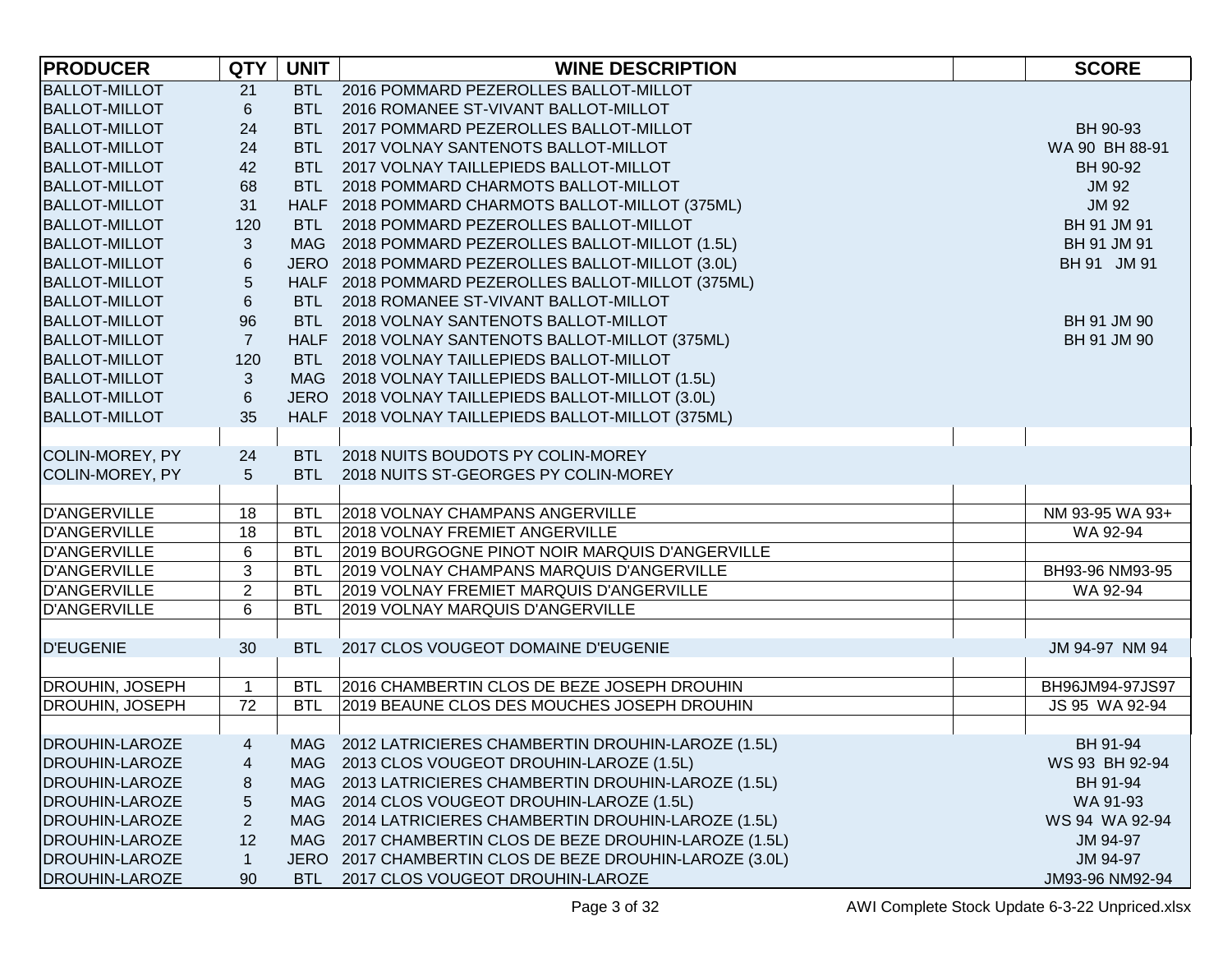| <b>PRODUCER</b>        | <b>QTY</b>     | <b>UNIT</b> | <b>WINE DESCRIPTION</b>                                 | <b>SCORE</b>    |
|------------------------|----------------|-------------|---------------------------------------------------------|-----------------|
| <b>BALLOT-MILLOT</b>   | 21             |             | BTL 2016 POMMARD PEZEROLLES BALLOT-MILLOT               |                 |
| <b>BALLOT-MILLOT</b>   | $6\phantom{.}$ |             | BTL 2016 ROMANEE ST-VIVANT BALLOT-MILLOT                |                 |
| <b>BALLOT-MILLOT</b>   | 24             | <b>BTL</b>  | 2017 POMMARD PEZEROLLES BALLOT-MILLOT                   | BH 90-93        |
| <b>BALLOT-MILLOT</b>   | 24             | <b>BTL</b>  | 2017 VOLNAY SANTENOTS BALLOT-MILLOT                     | WA 90 BH 88-91  |
| <b>BALLOT-MILLOT</b>   | 42             | <b>BTL</b>  | 2017 VOLNAY TAILLEPIEDS BALLOT-MILLOT                   | BH 90-92        |
| <b>BALLOT-MILLOT</b>   | 68             | BTL         | 2018 POMMARD CHARMOTS BALLOT-MILLOT                     | <b>JM 92</b>    |
| <b>BALLOT-MILLOT</b>   | 31             |             | HALF 2018 POMMARD CHARMOTS BALLOT-MILLOT (375ML)        | <b>JM 92</b>    |
| <b>BALLOT-MILLOT</b>   | 120            | <b>BTL</b>  | 2018 POMMARD PEZEROLLES BALLOT-MILLOT                   | BH 91 JM 91     |
| <b>BALLOT-MILLOT</b>   | $\mathbf{3}$   |             | MAG 2018 POMMARD PEZEROLLES BALLOT-MILLOT (1.5L)        | BH 91 JM 91     |
| <b>BALLOT-MILLOT</b>   | 6              |             | JERO 2018 POMMARD PEZEROLLES BALLOT-MILLOT (3.0L)       | BH 91 JM 91     |
| <b>BALLOT-MILLOT</b>   | 5              |             | HALF 2018 POMMARD PEZEROLLES BALLOT-MILLOT (375ML)      |                 |
| <b>BALLOT-MILLOT</b>   | $\,6\,$        | <b>BTL</b>  | 2018 ROMANEE ST-VIVANT BALLOT-MILLOT                    |                 |
| <b>BALLOT-MILLOT</b>   | 96             | <b>BTL</b>  | 2018 VOLNAY SANTENOTS BALLOT-MILLOT                     | BH 91 JM 90     |
| <b>BALLOT-MILLOT</b>   | $\overline{7}$ |             | HALF 2018 VOLNAY SANTENOTS BALLOT-MILLOT (375ML)        | BH 91 JM 90     |
| <b>BALLOT-MILLOT</b>   | 120            |             | BTL 2018 VOLNAY TAILLEPIEDS BALLOT-MILLOT               |                 |
| <b>BALLOT-MILLOT</b>   | $\mathfrak{S}$ |             | MAG 2018 VOLNAY TAILLEPIEDS BALLOT-MILLOT (1.5L)        |                 |
| <b>BALLOT-MILLOT</b>   | 6              |             | JERO 2018 VOLNAY TAILLEPIEDS BALLOT-MILLOT (3.0L)       |                 |
| <b>BALLOT-MILLOT</b>   | 35             |             | HALF 2018 VOLNAY TAILLEPIEDS BALLOT-MILLOT (375ML)      |                 |
|                        |                |             |                                                         |                 |
| COLIN-MOREY, PY        | 24             |             | BTL 2018 NUITS BOUDOTS PY COLIN-MOREY                   |                 |
| COLIN-MOREY, PY        | 5              | <b>BTL</b>  | 2018 NUITS ST-GEORGES PY COLIN-MOREY                    |                 |
|                        |                |             |                                                         |                 |
| <b>D'ANGERVILLE</b>    | 18             | <b>BTL</b>  | <b>2018 VOLNAY CHAMPANS ANGERVILLE</b>                  | NM 93-95 WA 93+ |
| <b>D'ANGERVILLE</b>    | 18             | <b>BTL</b>  | <b>2018 VOLNAY FREMIET ANGERVILLE</b>                   | WA 92-94        |
| <b>D'ANGERVILLE</b>    | 6              | <b>BTL</b>  | 2019 BOURGOGNE PINOT NOIR MARQUIS D'ANGERVILLE          |                 |
| <b>D'ANGERVILLE</b>    | 3              | <b>BTL</b>  | 2019 VOLNAY CHAMPANS MARQUIS D'ANGERVILLE               | BH93-96 NM93-95 |
| <b>D'ANGERVILLE</b>    | 2              | <b>BTL</b>  | 2019 VOLNAY FREMIET MARQUIS D'ANGERVILLE                | WA 92-94        |
| <b>D'ANGERVILLE</b>    | 6              | <b>BTL</b>  | 2019 VOLNAY MARQUIS D'ANGERVILLE                        |                 |
|                        |                |             |                                                         |                 |
| <b>D'EUGENIE</b>       | 30             | <b>BTL</b>  | 2017 CLOS VOUGEOT DOMAINE D'EUGENIE                     | JM 94-97 NM 94  |
|                        |                |             |                                                         |                 |
| <b>DROUHIN, JOSEPH</b> | $\mathbf{1}$   | <b>BTL</b>  | 2016 CHAMBERTIN CLOS DE BEZE JOSEPH DROUHIN             | BH96JM94-97JS97 |
| DROUHIN, JOSEPH        | 72             | <b>BTL</b>  | 2019 BEAUNE CLOS DES MOUCHES JOSEPH DROUHIN             | JS 95 WA 92-94  |
|                        |                |             |                                                         |                 |
| <b>DROUHIN-LAROZE</b>  | $\overline{4}$ |             | MAG 2012 LATRICIERES CHAMBERTIN DROUHIN-LAROZE (1.5L)   | BH 91-94        |
| <b>DROUHIN-LAROZE</b>  | 4              |             | MAG 2013 CLOS VOUGEOT DROUHIN-LAROZE (1.5L)             | WS 93 BH 92-94  |
| <b>DROUHIN-LAROZE</b>  | 8              |             | MAG 2013 LATRICIERES CHAMBERTIN DROUHIN-LAROZE (1.5L)   | BH 91-94        |
| <b>DROUHIN-LAROZE</b>  | 5              |             | MAG 2014 CLOS VOUGEOT DROUHIN-LAROZE (1.5L)             | WA 91-93        |
| <b>DROUHIN-LAROZE</b>  | $\overline{c}$ |             | MAG 2014 LATRICIERES CHAMBERTIN DROUHIN-LAROZE (1.5L)   | WS 94 WA 92-94  |
| <b>DROUHIN-LAROZE</b>  | 12             |             | MAG 2017 CHAMBERTIN CLOS DE BEZE DROUHIN-LAROZE (1.5L)  | JM 94-97        |
| <b>DROUHIN-LAROZE</b>  | $\mathbf{1}$   |             | JERO 2017 CHAMBERTIN CLOS DE BEZE DROUHIN-LAROZE (3.0L) | JM 94-97        |
| <b>DROUHIN-LAROZE</b>  | 90             | BTL         | 2017 CLOS VOUGEOT DROUHIN-LAROZE                        | JM93-96 NM92-94 |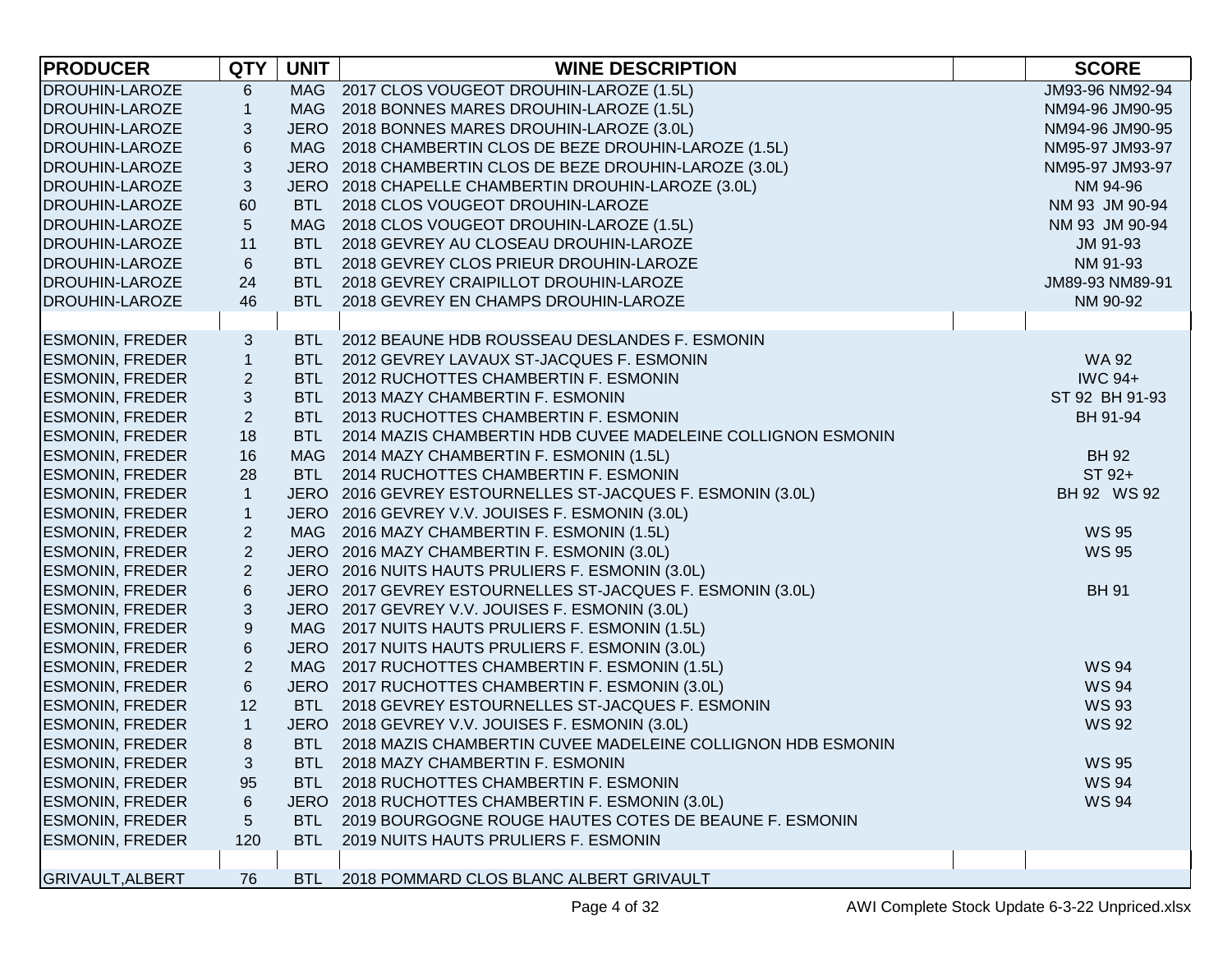| <b>PRODUCER</b>         | <b>QTY</b>                | <b>UNIT</b> | <b>WINE DESCRIPTION</b>                                     | <b>SCORE</b>    |
|-------------------------|---------------------------|-------------|-------------------------------------------------------------|-----------------|
| <b>DROUHIN-LAROZE</b>   | $\,6$                     |             | MAG 2017 CLOS VOUGEOT DROUHIN-LAROZE (1.5L)                 | JM93-96 NM92-94 |
| <b>DROUHIN-LAROZE</b>   | $\mathbf{1}$              |             | MAG 2018 BONNES MARES DROUHIN-LAROZE (1.5L)                 | NM94-96 JM90-95 |
| <b>DROUHIN-LAROZE</b>   | $\sqrt{3}$                |             | JERO 2018 BONNES MARES DROUHIN-LAROZE (3.0L)                | NM94-96 JM90-95 |
| <b>DROUHIN-LAROZE</b>   | $\,$ 6 $\,$               |             | MAG 2018 CHAMBERTIN CLOS DE BEZE DROUHIN-LAROZE (1.5L)      | NM95-97 JM93-97 |
| <b>DROUHIN-LAROZE</b>   | $\ensuremath{\mathsf{3}}$ |             | JERO 2018 CHAMBERTIN CLOS DE BEZE DROUHIN-LAROZE (3.0L)     | NM95-97 JM93-97 |
| <b>DROUHIN-LAROZE</b>   | $\sqrt{3}$                |             | JERO 2018 CHAPELLE CHAMBERTIN DROUHIN-LAROZE (3.0L)         | NM 94-96        |
| <b>DROUHIN-LAROZE</b>   | 60                        | BTL         | 2018 CLOS VOUGEOT DROUHIN-LAROZE                            | NM 93 JM 90-94  |
| <b>DROUHIN-LAROZE</b>   | $\sqrt{5}$                | <b>MAG</b>  | 2018 CLOS VOUGEOT DROUHIN-LAROZE (1.5L)                     | NM 93 JM 90-94  |
| <b>DROUHIN-LAROZE</b>   | 11                        | BTL         | 2018 GEVREY AU CLOSEAU DROUHIN-LAROZE                       | JM 91-93        |
| <b>DROUHIN-LAROZE</b>   | $\,6\,$                   | BTL         | 2018 GEVREY CLOS PRIEUR DROUHIN-LAROZE                      | NM 91-93        |
| <b>DROUHIN-LAROZE</b>   | 24                        | BTL         | 2018 GEVREY CRAIPILLOT DROUHIN-LAROZE                       | JM89-93 NM89-91 |
| <b>DROUHIN-LAROZE</b>   | 46                        | BTL         | 2018 GEVREY EN CHAMPS DROUHIN-LAROZE                        | NM 90-92        |
|                         |                           |             |                                                             |                 |
| <b>ESMONIN, FREDER</b>  | 3                         |             | BTL 2012 BEAUNE HDB ROUSSEAU DESLANDES F. ESMONIN           |                 |
| <b>ESMONIN, FREDER</b>  | $\mathbf{1}$              | <b>BTL</b>  | 2012 GEVREY LAVAUX ST-JACQUES F. ESMONIN                    | <b>WA 92</b>    |
| <b>ESMONIN, FREDER</b>  | $\overline{2}$            | BTL         | 2012 RUCHOTTES CHAMBERTIN F. ESMONIN                        | <b>IWC 94+</b>  |
| <b>ESMONIN, FREDER</b>  | $\sqrt{3}$                | BTL         | 2013 MAZY CHAMBERTIN F. ESMONIN                             | ST 92 BH 91-93  |
| <b>ESMONIN, FREDER</b>  | $\overline{2}$            | <b>BTL</b>  | 2013 RUCHOTTES CHAMBERTIN F. ESMONIN                        | BH 91-94        |
| <b>ESMONIN, FREDER</b>  | 18                        | <b>BTL</b>  | 2014 MAZIS CHAMBERTIN HDB CUVEE MADELEINE COLLIGNON ESMONIN |                 |
| <b>ESMONIN, FREDER</b>  | 16                        |             | MAG 2014 MAZY CHAMBERTIN F. ESMONIN (1.5L)                  | <b>BH 92</b>    |
| <b>ESMONIN, FREDER</b>  | 28                        | <b>BTL</b>  | 2014 RUCHOTTES CHAMBERTIN F. ESMONIN                        | ST 92+          |
| <b>ESMONIN, FREDER</b>  | $\mathbf{1}$              |             | JERO 2016 GEVREY ESTOURNELLES ST-JACQUES F. ESMONIN (3.0L)  | BH 92 WS 92     |
| <b>ESMONIN, FREDER</b>  | $\mathbf{1}$              |             | JERO 2016 GEVREY V.V. JOUISES F. ESMONIN (3.0L)             |                 |
| <b>ESMONIN, FREDER</b>  | $\overline{2}$            | MAG         | 2016 MAZY CHAMBERTIN F. ESMONIN (1.5L)                      | <b>WS 95</b>    |
| <b>ESMONIN, FREDER</b>  | $\overline{2}$            |             | JERO 2016 MAZY CHAMBERTIN F. ESMONIN (3.0L)                 | <b>WS 95</b>    |
| <b>ESMONIN, FREDER</b>  | $\overline{2}$            |             | JERO 2016 NUITS HAUTS PRULIERS F. ESMONIN (3.0L)            |                 |
| <b>ESMONIN, FREDER</b>  | $\,6\,$                   |             | JERO 2017 GEVREY ESTOURNELLES ST-JACQUES F. ESMONIN (3.0L)  | <b>BH 91</b>    |
| <b>ESMONIN, FREDER</b>  | $\sqrt{3}$                |             | JERO 2017 GEVREY V.V. JOUISES F. ESMONIN (3.0L)             |                 |
| <b>ESMONIN, FREDER</b>  | $\boldsymbol{9}$          |             | MAG 2017 NUITS HAUTS PRULIERS F. ESMONIN (1.5L)             |                 |
| <b>ESMONIN, FREDER</b>  | $\,$ 6 $\,$               |             | JERO 2017 NUITS HAUTS PRULIERS F. ESMONIN (3.0L)            |                 |
| <b>ESMONIN, FREDER</b>  | $\overline{2}$            |             | MAG 2017 RUCHOTTES CHAMBERTIN F. ESMONIN (1.5L)             | <b>WS 94</b>    |
| <b>ESMONIN, FREDER</b>  | $\,6\,$                   |             | JERO 2017 RUCHOTTES CHAMBERTIN F. ESMONIN (3.0L)            | <b>WS 94</b>    |
| <b>ESMONIN, FREDER</b>  | 12                        | <b>BTL</b>  | 2018 GEVREY ESTOURNELLES ST-JACQUES F. ESMONIN              | <b>WS 93</b>    |
| <b>ESMONIN, FREDER</b>  | $\mathbf{1}$              |             | JERO 2018 GEVREY V.V. JOUISES F. ESMONIN (3.0L)             | <b>WS 92</b>    |
| <b>ESMONIN, FREDER</b>  | 8                         | <b>BTL</b>  | 2018 MAZIS CHAMBERTIN CUVEE MADELEINE COLLIGNON HDB ESMONIN |                 |
| <b>ESMONIN, FREDER</b>  | 3                         |             | BTL 2018 MAZY CHAMBERTIN F. ESMONIN                         | <b>WS 95</b>    |
| <b>ESMONIN, FREDER</b>  | 95                        | BTL.        | 2018 RUCHOTTES CHAMBERTIN F. ESMONIN                        | <b>WS 94</b>    |
| <b>ESMONIN, FREDER</b>  | 6                         |             | JERO 2018 RUCHOTTES CHAMBERTIN F. ESMONIN (3.0L)            | <b>WS 94</b>    |
| <b>ESMONIN, FREDER</b>  | 5                         | <b>BTL</b>  | 2019 BOURGOGNE ROUGE HAUTES COTES DE BEAUNE F. ESMONIN      |                 |
| <b>ESMONIN, FREDER</b>  | 120                       | BTL.        | 2019 NUITS HAUTS PRULIERS F. ESMONIN                        |                 |
|                         |                           |             |                                                             |                 |
| <b>GRIVAULT, ALBERT</b> | 76                        | <b>BTL</b>  | 2018 POMMARD CLOS BLANC ALBERT GRIVAULT                     |                 |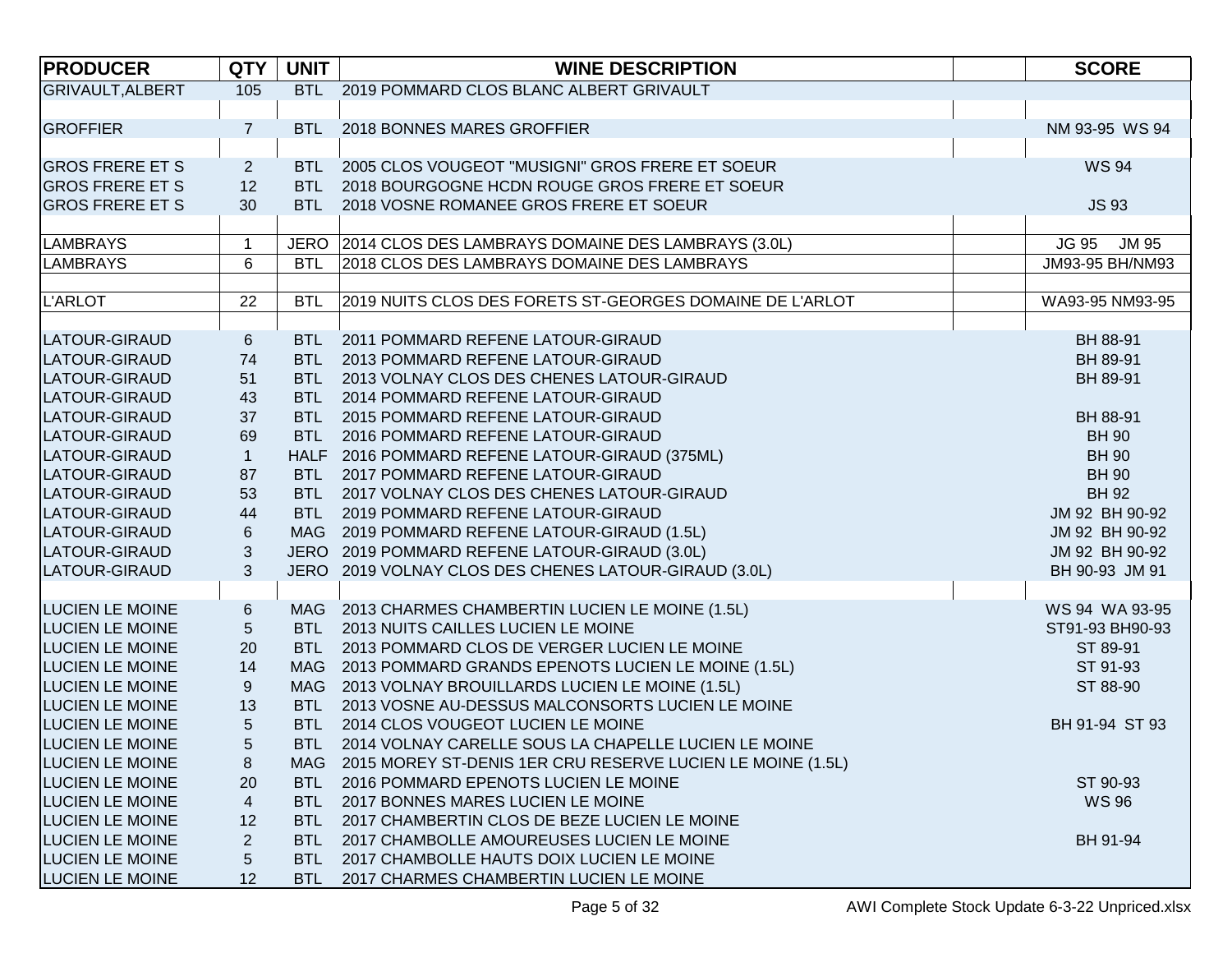| <b>PRODUCER</b>         | <b>QTY</b>       | <b>UNIT</b> | <b>WINE DESCRIPTION</b>                                    | <b>SCORE</b>                 |
|-------------------------|------------------|-------------|------------------------------------------------------------|------------------------------|
| <b>GRIVAULT, ALBERT</b> | 105              |             | BTL 2019 POMMARD CLOS BLANC ALBERT GRIVAULT                |                              |
|                         |                  |             |                                                            |                              |
| <b>GROFFIER</b>         | $\overline{7}$   | <b>BTL</b>  | 2018 BONNES MARES GROFFIER                                 | NM 93-95 WS 94               |
|                         |                  |             |                                                            |                              |
| <b>GROS FRERE ET S</b>  | $\overline{c}$   |             | BTL 2005 CLOS VOUGEOT "MUSIGNI" GROS FRERE ET SOEUR        | <b>WS 94</b>                 |
| <b>GROS FRERE ET S</b>  | 12               | BTL         | 2018 BOURGOGNE HCDN ROUGE GROS FRERE ET SOEUR              |                              |
| <b>GROS FRERE ET S</b>  | 30               | <b>BTL</b>  | 2018 VOSNE ROMANEE GROS FRERE ET SOEUR                     | <b>JS 93</b>                 |
|                         |                  |             |                                                            |                              |
| <b>LAMBRAYS</b>         | $\mathbf 1$      |             | JERO 2014 CLOS DES LAMBRAYS DOMAINE DES LAMBRAYS (3.0L)    | <b>JM 95</b><br><b>JG 95</b> |
| <b>LAMBRAYS</b>         | 6                | <b>BTL</b>  | 2018 CLOS DES LAMBRAYS DOMAINE DES LAMBRAYS                | JM93-95 BH/NM93              |
|                         |                  |             |                                                            |                              |
| L'ARLOT                 | 22               | <b>BTL</b>  | 2019 NUITS CLOS DES FORETS ST-GEORGES DOMAINE DE L'ARLOT   | WA93-95 NM93-95              |
|                         |                  |             |                                                            |                              |
| LATOUR-GIRAUD           | $\,6$            |             | BTL 2011 POMMARD REFENE LATOUR-GIRAUD                      | BH 88-91                     |
| LATOUR-GIRAUD           | 74               | <b>BTL</b>  | 2013 POMMARD REFENE LATOUR-GIRAUD                          | BH 89-91                     |
| LATOUR-GIRAUD           | 51               | <b>BTL</b>  | 2013 VOLNAY CLOS DES CHENES LATOUR-GIRAUD                  | BH 89-91                     |
| LATOUR-GIRAUD           | 43               |             | BTL 2014 POMMARD REFENE LATOUR-GIRAUD                      |                              |
| LATOUR-GIRAUD           | 37               |             | BTL 2015 POMMARD REFENE LATOUR-GIRAUD                      | BH 88-91                     |
| LATOUR-GIRAUD           | 69               | <b>BTL</b>  | 2016 POMMARD REFENE LATOUR-GIRAUD                          | <b>BH 90</b>                 |
| LATOUR-GIRAUD           | $\mathbf{1}$     |             | HALF 2016 POMMARD REFENE LATOUR-GIRAUD (375ML)             | <b>BH 90</b>                 |
| LATOUR-GIRAUD           | 87               |             | BTL 2017 POMMARD REFENE LATOUR-GIRAUD                      | <b>BH 90</b>                 |
| LATOUR-GIRAUD           | 53               |             | BTL 2017 VOLNAY CLOS DES CHENES LATOUR-GIRAUD              | <b>BH 92</b>                 |
| LATOUR-GIRAUD           | 44               | <b>BTL</b>  | 2019 POMMARD REFENE LATOUR-GIRAUD                          | JM 92 BH 90-92               |
| LATOUR-GIRAUD           | 6                |             | MAG 2019 POMMARD REFENE LATOUR-GIRAUD (1.5L)               | JM 92 BH 90-92               |
| LATOUR-GIRAUD           | 3                |             | JERO 2019 POMMARD REFENE LATOUR-GIRAUD (3.0L)              | JM 92 BH 90-92               |
| LATOUR-GIRAUD           | 3                |             | JERO 2019 VOLNAY CLOS DES CHENES LATOUR-GIRAUD (3.0L)      | BH 90-93 JM 91               |
|                         |                  |             |                                                            |                              |
| <b>LUCIEN LE MOINE</b>  | 6                |             | MAG 2013 CHARMES CHAMBERTIN LUCIEN LE MOINE (1.5L)         | WS 94 WA 93-95               |
| <b>LUCIEN LE MOINE</b>  | 5                |             | BTL 2013 NUITS CAILLES LUCIEN LE MOINE                     | ST91-93 BH90-93              |
| <b>LUCIEN LE MOINE</b>  | 20               |             | BTL 2013 POMMARD CLOS DE VERGER LUCIEN LE MOINE            | ST 89-91                     |
| LUCIEN LE MOINE         | 14               |             | MAG 2013 POMMARD GRANDS EPENOTS LUCIEN LE MOINE (1.5L)     | ST 91-93                     |
| LUCIEN LE MOINE         | $\boldsymbol{9}$ |             | MAG 2013 VOLNAY BROUILLARDS LUCIEN LE MOINE (1.5L)         | ST 88-90                     |
| <b>LUCIEN LE MOINE</b>  | 13               | <b>BTL</b>  | 2013 VOSNE AU-DESSUS MALCONSORTS LUCIEN LE MOINE           |                              |
| <b>LUCIEN LE MOINE</b>  | 5                |             | BTL 2014 CLOS VOUGEOT LUCIEN LE MOINE                      | BH 91-94 ST 93               |
| <b>LUCIEN LE MOINE</b>  | 5                |             | BTL 2014 VOLNAY CARELLE SOUS LA CHAPELLE LUCIEN LE MOINE   |                              |
| <b>LUCIEN LE MOINE</b>  | 8                | MAG         | 2015 MOREY ST-DENIS 1ER CRU RESERVE LUCIEN LE MOINE (1.5L) |                              |
| <b>LUCIEN LE MOINE</b>  | 20               | BTL.        | 2016 POMMARD EPENOTS LUCIEN LE MOINE                       | ST 90-93                     |
| <b>LUCIEN LE MOINE</b>  | $\overline{4}$   | BTL         | 2017 BONNES MARES LUCIEN LE MOINE                          | <b>WS 96</b>                 |
| <b>LUCIEN LE MOINE</b>  | 12               | BTL.        | 2017 CHAMBERTIN CLOS DE BEZE LUCIEN LE MOINE               |                              |
| <b>LUCIEN LE MOINE</b>  | $\overline{2}$   | BTL.        | 2017 CHAMBOLLE AMOUREUSES LUCIEN LE MOINE                  | BH 91-94                     |
| <b>LUCIEN LE MOINE</b>  | 5                | BTL.        | 2017 CHAMBOLLE HAUTS DOIX LUCIEN LE MOINE                  |                              |
| <b>LUCIEN LE MOINE</b>  | 12               | BTL.        | 2017 CHARMES CHAMBERTIN LUCIEN LE MOINE                    |                              |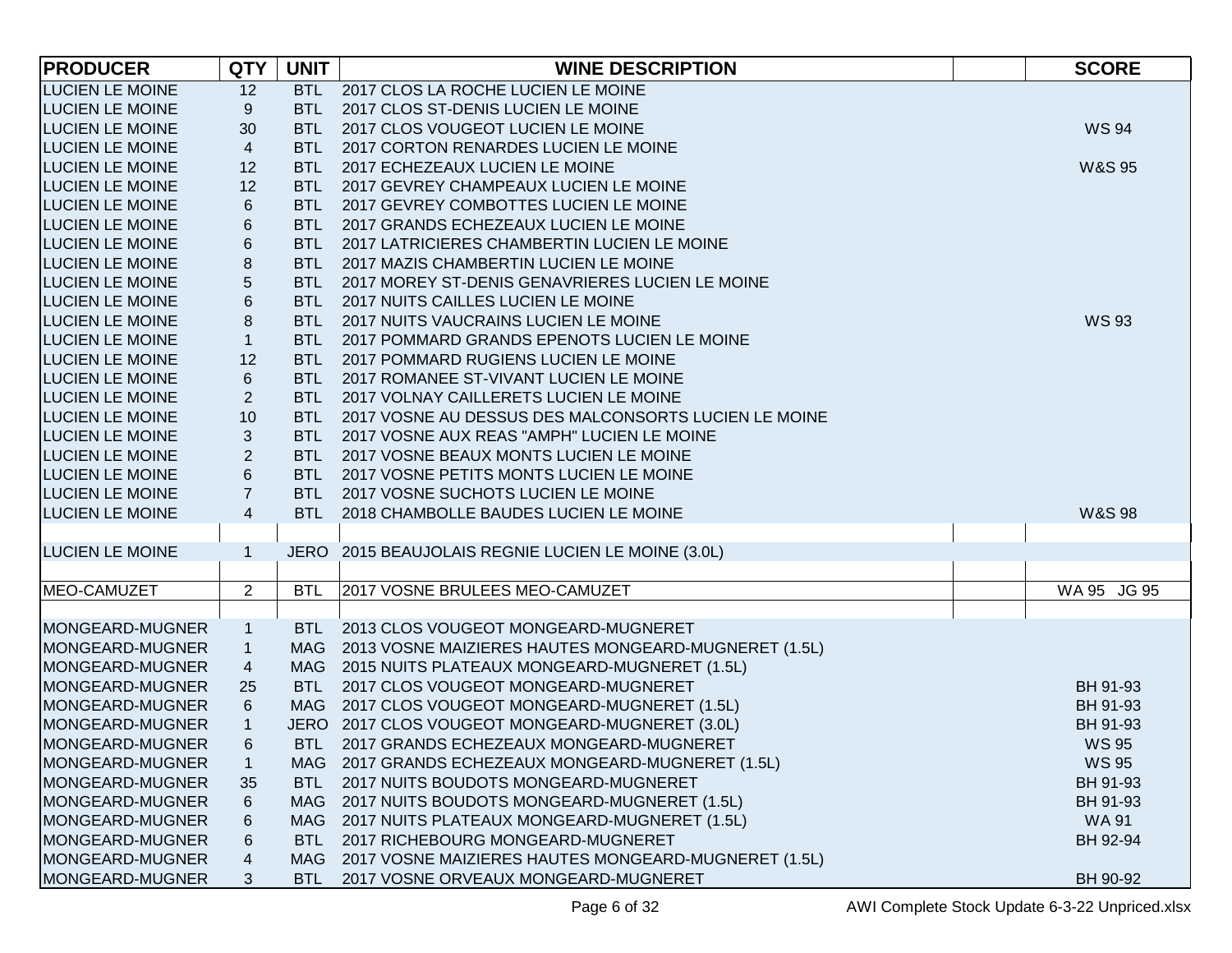| <b>PRODUCER</b>        | <b>QTY</b>              | <b>UNIT</b> | <b>WINE DESCRIPTION</b>                                  | <b>SCORE</b>      |
|------------------------|-------------------------|-------------|----------------------------------------------------------|-------------------|
| <b>LUCIEN LE MOINE</b> | 12                      |             | BTL 2017 CLOS LA ROCHE LUCIEN LE MOINE                   |                   |
| <b>LUCIEN LE MOINE</b> | 9                       | <b>BTL</b>  | 2017 CLOS ST-DENIS LUCIEN LE MOINE                       |                   |
| <b>LUCIEN LE MOINE</b> | 30                      | <b>BTL</b>  | 2017 CLOS VOUGEOT LUCIEN LE MOINE                        | <b>WS 94</b>      |
| <b>LUCIEN LE MOINE</b> | $\overline{4}$          | <b>BTL</b>  | 2017 CORTON RENARDES LUCIEN LE MOINE                     |                   |
| <b>LUCIEN LE MOINE</b> | 12                      | <b>BTL</b>  | 2017 ECHEZEAUX LUCIEN LE MOINE                           | <b>W&amp;S 95</b> |
| <b>LUCIEN LE MOINE</b> | 12                      | <b>BTL</b>  | 2017 GEVREY CHAMPEAUX LUCIEN LE MOINE                    |                   |
| <b>LUCIEN LE MOINE</b> | $\,6$                   | <b>BTL</b>  | 2017 GEVREY COMBOTTES LUCIEN LE MOINE                    |                   |
| <b>LUCIEN LE MOINE</b> | 6                       | <b>BTL</b>  | 2017 GRANDS ECHEZEAUX LUCIEN LE MOINE                    |                   |
| <b>LUCIEN LE MOINE</b> | 6                       | <b>BTL</b>  | 2017 LATRICIERES CHAMBERTIN LUCIEN LE MOINE              |                   |
| <b>LUCIEN LE MOINE</b> | 8                       | <b>BTL</b>  | 2017 MAZIS CHAMBERTIN LUCIEN LE MOINE                    |                   |
| <b>LUCIEN LE MOINE</b> | $\overline{5}$          | <b>BTL</b>  | 2017 MOREY ST-DENIS GENAVRIERES LUCIEN LE MOINE          |                   |
| <b>LUCIEN LE MOINE</b> | $\,6$                   | <b>BTL</b>  | 2017 NUITS CAILLES LUCIEN LE MOINE                       |                   |
| <b>LUCIEN LE MOINE</b> | $\,8\,$                 | <b>BTL</b>  | 2017 NUITS VAUCRAINS LUCIEN LE MOINE                     | <b>WS 93</b>      |
| <b>LUCIEN LE MOINE</b> | $\mathbf{1}$            | <b>BTL</b>  | 2017 POMMARD GRANDS EPENOTS LUCIEN LE MOINE              |                   |
| <b>LUCIEN LE MOINE</b> | 12                      | <b>BTL</b>  | 2017 POMMARD RUGIENS LUCIEN LE MOINE                     |                   |
| <b>LUCIEN LE MOINE</b> | 6                       |             | BTL 2017 ROMANEE ST-VIVANT LUCIEN LE MOINE               |                   |
| <b>LUCIEN LE MOINE</b> | $\overline{2}$          | <b>BTL</b>  | 2017 VOLNAY CAILLERETS LUCIEN LE MOINE                   |                   |
| <b>LUCIEN LE MOINE</b> | 10                      |             | BTL 2017 VOSNE AU DESSUS DES MALCONSORTS LUCIEN LE MOINE |                   |
| <b>LUCIEN LE MOINE</b> | 3                       | <b>BTL</b>  | 2017 VOSNE AUX REAS "AMPH" LUCIEN LE MOINE               |                   |
| <b>LUCIEN LE MOINE</b> | $\sqrt{2}$              |             | BTL 2017 VOSNE BEAUX MONTS LUCIEN LE MOINE               |                   |
| <b>LUCIEN LE MOINE</b> | $6\phantom{1}$          | <b>BTL</b>  | 2017 VOSNE PETITS MONTS LUCIEN LE MOINE                  |                   |
| <b>LUCIEN LE MOINE</b> | $\overline{7}$          | <b>BTL</b>  | 2017 VOSNE SUCHOTS LUCIEN LE MOINE                       |                   |
| <b>LUCIEN LE MOINE</b> | $\overline{\mathbf{4}}$ | <b>BTL</b>  | 2018 CHAMBOLLE BAUDES LUCIEN LE MOINE                    | <b>W&amp;S 98</b> |
|                        |                         |             |                                                          |                   |
| <b>LUCIEN LE MOINE</b> | $\mathbf{1}$            |             | JERO 2015 BEAUJOLAIS REGNIE LUCIEN LE MOINE (3.0L)       |                   |
|                        |                         |             |                                                          |                   |
| MEO-CAMUZET            | $\overline{2}$          | <b>BTL</b>  | 2017 VOSNE BRULEES MEO-CAMUZET                           | WA 95 JG 95       |
| MONGEARD-MUGNER        | $\mathbf{1}$            |             | BTL 2013 CLOS VOUGEOT MONGEARD-MUGNERET                  |                   |
| MONGEARD-MUGNER        | $\mathbf{1}$            |             | MAG 2013 VOSNE MAIZIERES HAUTES MONGEARD-MUGNERET (1.5L) |                   |
| MONGEARD-MUGNER        | 4                       |             | MAG 2015 NUITS PLATEAUX MONGEARD-MUGNERET (1.5L)         |                   |
| MONGEARD-MUGNER        | 25                      | <b>BTL</b>  | 2017 CLOS VOUGEOT MONGEARD-MUGNERET                      | BH 91-93          |
| MONGEARD-MUGNER        | 6                       |             | MAG 2017 CLOS VOUGEOT MONGEARD-MUGNERET (1.5L)           | BH 91-93          |
| MONGEARD-MUGNER        | $\mathbf{1}$            |             | JERO 2017 CLOS VOUGEOT MONGEARD-MUGNERET (3.0L)          | BH 91-93          |
| MONGEARD-MUGNER        | 6                       |             | BTL 2017 GRANDS ECHEZEAUX MONGEARD-MUGNERET              | <b>WS 95</b>      |
| MONGEARD-MUGNER        | $\mathbf{1}$            |             | MAG 2017 GRANDS ECHEZEAUX MONGEARD-MUGNERET (1.5L)       | <b>WS 95</b>      |
| MONGEARD-MUGNER        | 35                      | BTL         | 2017 NUITS BOUDOTS MONGEARD-MUGNERET                     | BH 91-93          |
| MONGEARD-MUGNER        | 6                       | MAG         | 2017 NUITS BOUDOTS MONGEARD-MUGNERET (1.5L)              | BH 91-93          |
| MONGEARD-MUGNER        | 6                       | MAG         | 2017 NUITS PLATEAUX MONGEARD-MUGNERET (1.5L)             | <b>WA 91</b>      |
| MONGEARD-MUGNER        | 6                       | BTL.        | 2017 RICHEBOURG MONGEARD-MUGNERET                        | BH 92-94          |
| MONGEARD-MUGNER        | 4                       | MAG         | 2017 VOSNE MAIZIERES HAUTES MONGEARD-MUGNERET (1.5L)     |                   |
| MONGEARD-MUGNER        | 3                       | BTL         | 2017 VOSNE ORVEAUX MONGEARD-MUGNERET                     | BH 90-92          |
|                        |                         |             |                                                          |                   |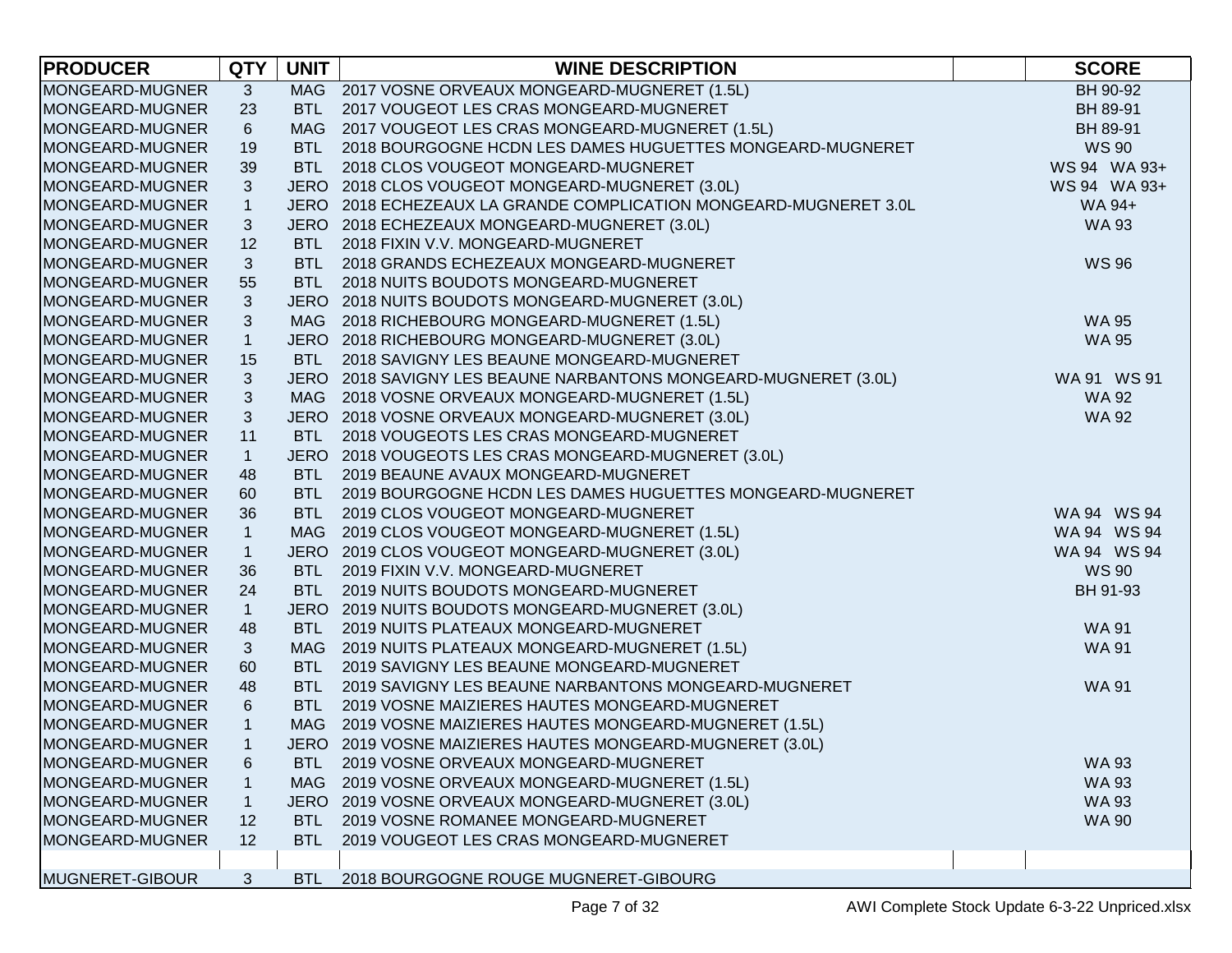| <b>PRODUCER</b> | <b>QTY</b>     | <b>UNIT</b> | <b>WINE DESCRIPTION</b>                                           | <b>SCORE</b> |
|-----------------|----------------|-------------|-------------------------------------------------------------------|--------------|
| MONGEARD-MUGNER | 3              |             | MAG 2017 VOSNE ORVEAUX MONGEARD-MUGNERET (1.5L)                   | BH 90-92     |
| MONGEARD-MUGNER | 23             | <b>BTL</b>  | 2017 VOUGEOT LES CRAS MONGEARD-MUGNERET                           | BH 89-91     |
| MONGEARD-MUGNER | $6\phantom{.}$ |             | MAG 2017 VOUGEOT LES CRAS MONGEARD-MUGNERET (1.5L)                | BH 89-91     |
| MONGEARD-MUGNER | 19             | BTL         | 2018 BOURGOGNE HCDN LES DAMES HUGUETTES MONGEARD-MUGNERET         | <b>WS 90</b> |
| MONGEARD-MUGNER | 39             | <b>BTL</b>  | 2018 CLOS VOUGEOT MONGEARD-MUGNERET                               | WS 94 WA 93+ |
| MONGEARD-MUGNER | 3              |             | JERO 2018 CLOS VOUGEOT MONGEARD-MUGNERET (3.0L)                   | WS 94 WA 93+ |
| MONGEARD-MUGNER | $\mathbf{1}$   |             | JERO 2018 ECHEZEAUX LA GRANDE COMPLICATION MONGEARD-MUGNERET 3.0L | WA 94+       |
| MONGEARD-MUGNER | 3              |             | JERO 2018 ECHEZEAUX MONGEARD-MUGNERET (3.0L)                      | <b>WA 93</b> |
| MONGEARD-MUGNER | 12             | <b>BTL</b>  | 2018 FIXIN V.V. MONGEARD-MUGNERET                                 |              |
| MONGEARD-MUGNER | 3              |             | BTL 2018 GRANDS ECHEZEAUX MONGEARD-MUGNERET                       | <b>WS 96</b> |
| MONGEARD-MUGNER | 55             | <b>BTL</b>  | 2018 NUITS BOUDOTS MONGEARD-MUGNERET                              |              |
| MONGEARD-MUGNER | 3              |             | JERO 2018 NUITS BOUDOTS MONGEARD-MUGNERET (3.0L)                  |              |
| MONGEARD-MUGNER | 3              |             | MAG 2018 RICHEBOURG MONGEARD-MUGNERET (1.5L)                      | <b>WA 95</b> |
| MONGEARD-MUGNER | $\mathbf{1}$   |             | JERO 2018 RICHEBOURG MONGEARD-MUGNERET (3.0L)                     | <b>WA 95</b> |
| MONGEARD-MUGNER | 15             | <b>BTL</b>  | 2018 SAVIGNY LES BEAUNE MONGEARD-MUGNERET                         |              |
| MONGEARD-MUGNER | 3              |             | JERO 2018 SAVIGNY LES BEAUNE NARBANTONS MONGEARD-MUGNERET (3.0L)  | WA 91 WS 91  |
| MONGEARD-MUGNER | $\sqrt{3}$     |             | MAG 2018 VOSNE ORVEAUX MONGEARD-MUGNERET (1.5L)                   | <b>WA 92</b> |
| MONGEARD-MUGNER | 3              |             | JERO 2018 VOSNE ORVEAUX MONGEARD-MUGNERET (3.0L)                  | <b>WA 92</b> |
| MONGEARD-MUGNER | 11             | <b>BTL</b>  | 2018 VOUGEOTS LES CRAS MONGEARD-MUGNERET                          |              |
| MONGEARD-MUGNER | $\mathbf{1}$   |             | JERO 2018 VOUGEOTS LES CRAS MONGEARD-MUGNERET (3.0L)              |              |
| MONGEARD-MUGNER | 48             | <b>BTL</b>  | 2019 BEAUNE AVAUX MONGEARD-MUGNERET                               |              |
| MONGEARD-MUGNER | 60             | <b>BTL</b>  | 2019 BOURGOGNE HCDN LES DAMES HUGUETTES MONGEARD-MUGNERET         |              |
| MONGEARD-MUGNER | 36             | BTL         | 2019 CLOS VOUGEOT MONGEARD-MUGNERET                               | WA 94 WS 94  |
| MONGEARD-MUGNER | $\mathbf{1}$   | MAG         | 2019 CLOS VOUGEOT MONGEARD-MUGNERET (1.5L)                        | WA 94 WS 94  |
| MONGEARD-MUGNER | $\mathbf{1}$   |             | JERO 2019 CLOS VOUGEOT MONGEARD-MUGNERET (3.0L)                   | WA 94 WS 94  |
| MONGEARD-MUGNER | 36             | <b>BTL</b>  | 2019 FIXIN V.V. MONGEARD-MUGNERET                                 | <b>WS 90</b> |
| MONGEARD-MUGNER | 24             | <b>BTL</b>  | 2019 NUITS BOUDOTS MONGEARD-MUGNERET                              | BH 91-93     |
| MONGEARD-MUGNER | $\overline{1}$ |             | JERO 2019 NUITS BOUDOTS MONGEARD-MUGNERET (3.0L)                  |              |
| MONGEARD-MUGNER | 48             | <b>BTL</b>  | 2019 NUITS PLATEAUX MONGEARD-MUGNERET                             | <b>WA 91</b> |
| MONGEARD-MUGNER | 3              |             | MAG 2019 NUITS PLATEAUX MONGEARD-MUGNERET (1.5L)                  | <b>WA 91</b> |
| MONGEARD-MUGNER | 60             | <b>BTL</b>  | 2019 SAVIGNY LES BEAUNE MONGEARD-MUGNERET                         |              |
| MONGEARD-MUGNER | 48             | <b>BTL</b>  | 2019 SAVIGNY LES BEAUNE NARBANTONS MONGEARD-MUGNERET              | <b>WA 91</b> |
| MONGEARD-MUGNER | 6              | <b>BTL</b>  | 2019 VOSNE MAIZIERES HAUTES MONGEARD-MUGNERET                     |              |
| MONGEARD-MUGNER | $\mathbf{1}$   |             | MAG 2019 VOSNE MAIZIERES HAUTES MONGEARD-MUGNERET (1.5L)          |              |
| MONGEARD-MUGNER | $\mathbf{1}$   |             | JERO 2019 VOSNE MAIZIERES HAUTES MONGEARD-MUGNERET (3.0L)         |              |
| MONGEARD-MUGNER | 6              | <b>BTL</b>  | 2019 VOSNE ORVEAUX MONGEARD-MUGNERET                              | <b>WA 93</b> |
| MONGEARD-MUGNER | 1              | MAG         | 2019 VOSNE ORVEAUX MONGEARD-MUGNERET (1.5L)                       | <b>WA 93</b> |
| MONGEARD-MUGNER | $\mathbf{1}$   |             | JERO 2019 VOSNE ORVEAUX MONGEARD-MUGNERET (3.0L)                  | <b>WA 93</b> |
| MONGEARD-MUGNER | 12             | BTL         | 2019 VOSNE ROMANEE MONGEARD-MUGNERET                              | <b>WA 90</b> |
| MONGEARD-MUGNER | 12             | BTL.        | 2019 VOUGEOT LES CRAS MONGEARD-MUGNERET                           |              |
|                 |                |             |                                                                   |              |
| MUGNERET-GIBOUR | 3              | <b>BTL</b>  | 2018 BOURGOGNE ROUGE MUGNERET-GIBOURG                             |              |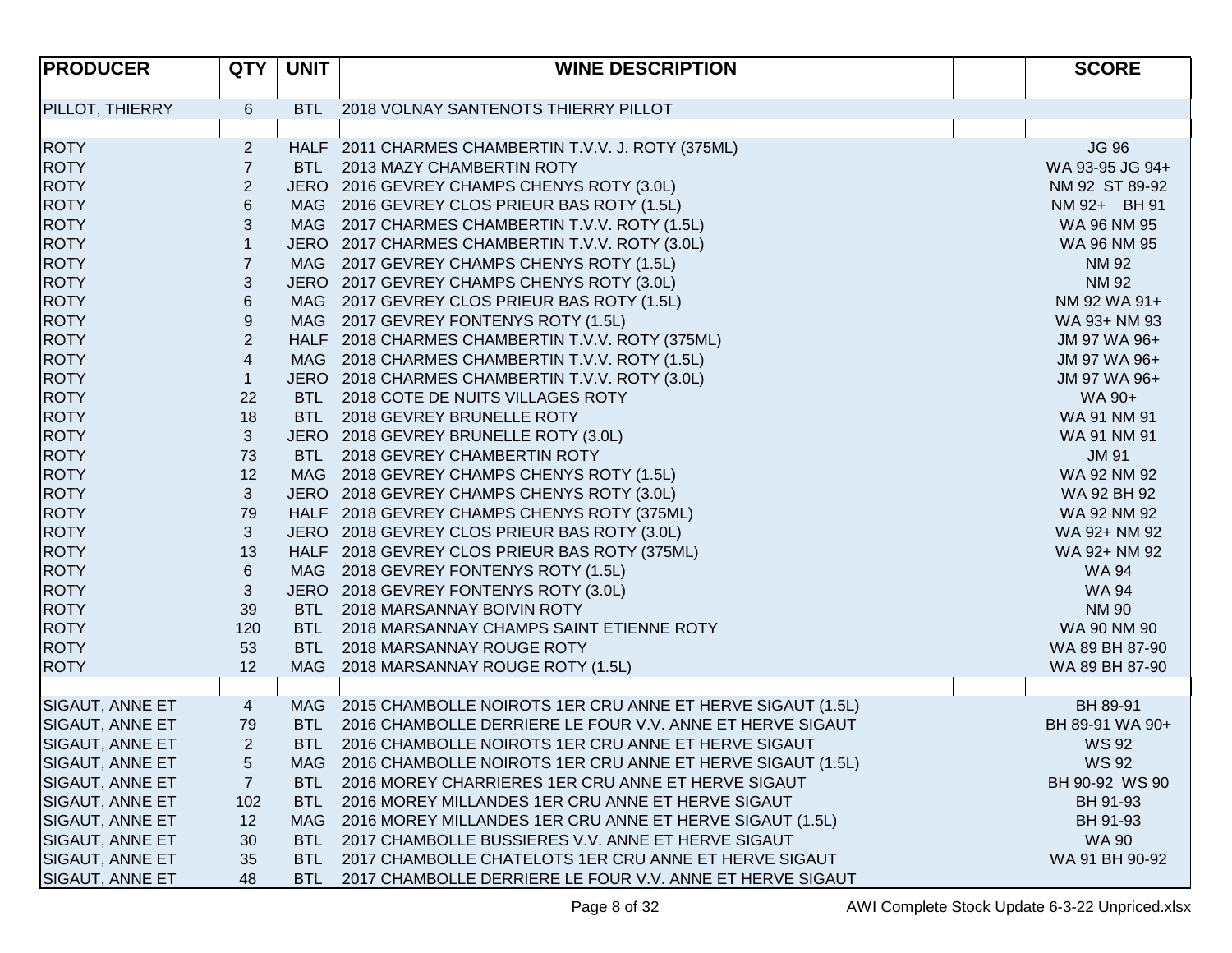| <b>PRODUCER</b>        | <b>QTY</b>              | <b>UNIT</b> | <b>WINE DESCRIPTION</b>                                        | <b>SCORE</b>    |
|------------------------|-------------------------|-------------|----------------------------------------------------------------|-----------------|
|                        |                         |             |                                                                |                 |
| <b>PILLOT, THIERRY</b> | 6                       | BTL         | 2018 VOLNAY SANTENOTS THIERRY PILLOT                           |                 |
|                        |                         |             |                                                                |                 |
| <b>ROTY</b>            | $\overline{c}$          |             | HALF 2011 CHARMES CHAMBERTIN T.V.V. J. ROTY (375ML)            | <b>JG 96</b>    |
| <b>ROTY</b>            | $\overline{7}$          | BTL         | 2013 MAZY CHAMBERTIN ROTY                                      | WA 93-95 JG 94+ |
| <b>ROTY</b>            | $\overline{\mathbf{c}}$ |             | JERO 2016 GEVREY CHAMPS CHENYS ROTY (3.0L)                     | NM 92 ST 89-92  |
| <b>ROTY</b>            | $\,6$                   |             | MAG 2016 GEVREY CLOS PRIEUR BAS ROTY (1.5L)                    | NM 92+ BH 91    |
| <b>ROTY</b>            | 3                       |             | MAG 2017 CHARMES CHAMBERTIN T.V.V. ROTY (1.5L)                 | WA 96 NM 95     |
| <b>ROTY</b>            | $\mathbf{1}$            |             | JERO 2017 CHARMES CHAMBERTIN T.V.V. ROTY (3.0L)                | WA 96 NM 95     |
| <b>ROTY</b>            | $\overline{7}$          |             | MAG 2017 GEVREY CHAMPS CHENYS ROTY (1.5L)                      | NM 92           |
| <b>ROTY</b>            | 3                       |             | JERO 2017 GEVREY CHAMPS CHENYS ROTY (3.0L)                     | <b>NM 92</b>    |
| <b>ROTY</b>            | $\,6$                   |             | MAG 2017 GEVREY CLOS PRIEUR BAS ROTY (1.5L)                    | NM 92 WA 91+    |
| <b>ROTY</b>            | $\boldsymbol{9}$        |             | MAG 2017 GEVREY FONTENYS ROTY (1.5L)                           | WA 93+ NM 93    |
| <b>ROTY</b>            | $\overline{c}$          |             | HALF 2018 CHARMES CHAMBERTIN T.V.V. ROTY (375ML)               | JM 97 WA 96+    |
| <b>ROTY</b>            | $\overline{\mathbf{4}}$ |             | MAG 2018 CHARMES CHAMBERTIN T.V.V. ROTY (1.5L)                 | JM 97 WA 96+    |
| <b>ROTY</b>            | $\mathbf{1}$            |             | JERO 2018 CHARMES CHAMBERTIN T.V.V. ROTY (3.0L)                | JM 97 WA 96+    |
| <b>ROTY</b>            | 22                      |             | BTL 2018 COTE DE NUITS VILLAGES ROTY                           | WA 90+          |
| <b>ROTY</b>            | 18                      |             | BTL 2018 GEVREY BRUNELLE ROTY                                  | WA 91 NM 91     |
| <b>ROTY</b>            | 3                       |             | JERO 2018 GEVREY BRUNELLE ROTY (3.0L)                          | WA 91 NM 91     |
| <b>ROTY</b>            | 73                      |             | BTL 2018 GEVREY CHAMBERTIN ROTY                                | <b>JM 91</b>    |
| <b>ROTY</b>            | 12                      |             | MAG 2018 GEVREY CHAMPS CHENYS ROTY (1.5L)                      | WA 92 NM 92     |
| <b>ROTY</b>            | $\mathbf{3}$            |             | JERO 2018 GEVREY CHAMPS CHENYS ROTY (3.0L)                     | WA 92 BH 92     |
| <b>ROTY</b>            | 79                      |             | HALF 2018 GEVREY CHAMPS CHENYS ROTY (375ML)                    | WA 92 NM 92     |
| <b>ROTY</b>            | 3                       |             | JERO 2018 GEVREY CLOS PRIEUR BAS ROTY (3.0L)                   | WA 92+ NM 92    |
| <b>ROTY</b>            | 13                      |             | HALF 2018 GEVREY CLOS PRIEUR BAS ROTY (375ML)                  | WA 92+ NM 92    |
| <b>ROTY</b>            | $6\phantom{.}6$         |             | MAG 2018 GEVREY FONTENYS ROTY (1.5L)                           | WA 94           |
| <b>ROTY</b>            | 3                       |             | JERO 2018 GEVREY FONTENYS ROTY (3.0L)                          | <b>WA 94</b>    |
| <b>ROTY</b>            | 39                      | <b>BTL</b>  | 2018 MARSANNAY BOIVIN ROTY                                     | <b>NM 90</b>    |
| <b>ROTY</b>            | 120                     | <b>BTL</b>  | 2018 MARSANNAY CHAMPS SAINT ETIENNE ROTY                       | WA 90 NM 90     |
| <b>ROTY</b>            | 53                      | <b>BTL</b>  | 2018 MARSANNAY ROUGE ROTY                                      | WA 89 BH 87-90  |
| <b>ROTY</b>            | 12                      | <b>MAG</b>  | 2018 MARSANNAY ROUGE ROTY (1.5L)                               | WA 89 BH 87-90  |
|                        |                         |             |                                                                |                 |
| SIGAUT, ANNE ET        | 4                       |             | MAG 2015 CHAMBOLLE NOIROTS 1ER CRU ANNE ET HERVE SIGAUT (1.5L) | BH 89-91        |
| <b>SIGAUT, ANNE ET</b> | 79                      | <b>BTL</b>  | 2016 CHAMBOLLE DERRIERE LE FOUR V.V. ANNE ET HERVE SIGAUT      | BH 89-91 WA 90+ |
| SIGAUT, ANNE ET        | $\overline{2}$          | <b>BTL</b>  | 2016 CHAMBOLLE NOIROTS 1ER CRU ANNE ET HERVE SIGAUT            | <b>WS 92</b>    |
| SIGAUT, ANNE ET        | 5                       | MAG.        | 2016 CHAMBOLLE NOIROTS 1ER CRU ANNE ET HERVE SIGAUT (1.5L)     | <b>WS 92</b>    |
| SIGAUT, ANNE ET        | 7                       | <b>BTL</b>  | 2016 MOREY CHARRIERES 1ER CRU ANNE ET HERVE SIGAUT             | BH 90-92 WS 90  |
| SIGAUT, ANNE ET        | 102                     | <b>BTL</b>  | 2016 MOREY MILLANDES 1ER CRU ANNE ET HERVE SIGAUT              | BH 91-93        |
| SIGAUT, ANNE ET        | 12                      | <b>MAG</b>  | 2016 MOREY MILLANDES 1ER CRU ANNE ET HERVE SIGAUT (1.5L)       | BH 91-93        |
| <b>SIGAUT, ANNE ET</b> | 30                      | <b>BTL</b>  | 2017 CHAMBOLLE BUSSIERES V.V. ANNE ET HERVE SIGAUT             | <b>WA 90</b>    |
| <b>SIGAUT, ANNE ET</b> | 35                      | <b>BTL</b>  | 2017 CHAMBOLLE CHATELOTS 1ER CRU ANNE ET HERVE SIGAUT          | WA 91 BH 90-92  |
| SIGAUT, ANNE ET        | 48                      | <b>BTL</b>  | 2017 CHAMBOLLE DERRIERE LE FOUR V.V. ANNE ET HERVE SIGAUT      |                 |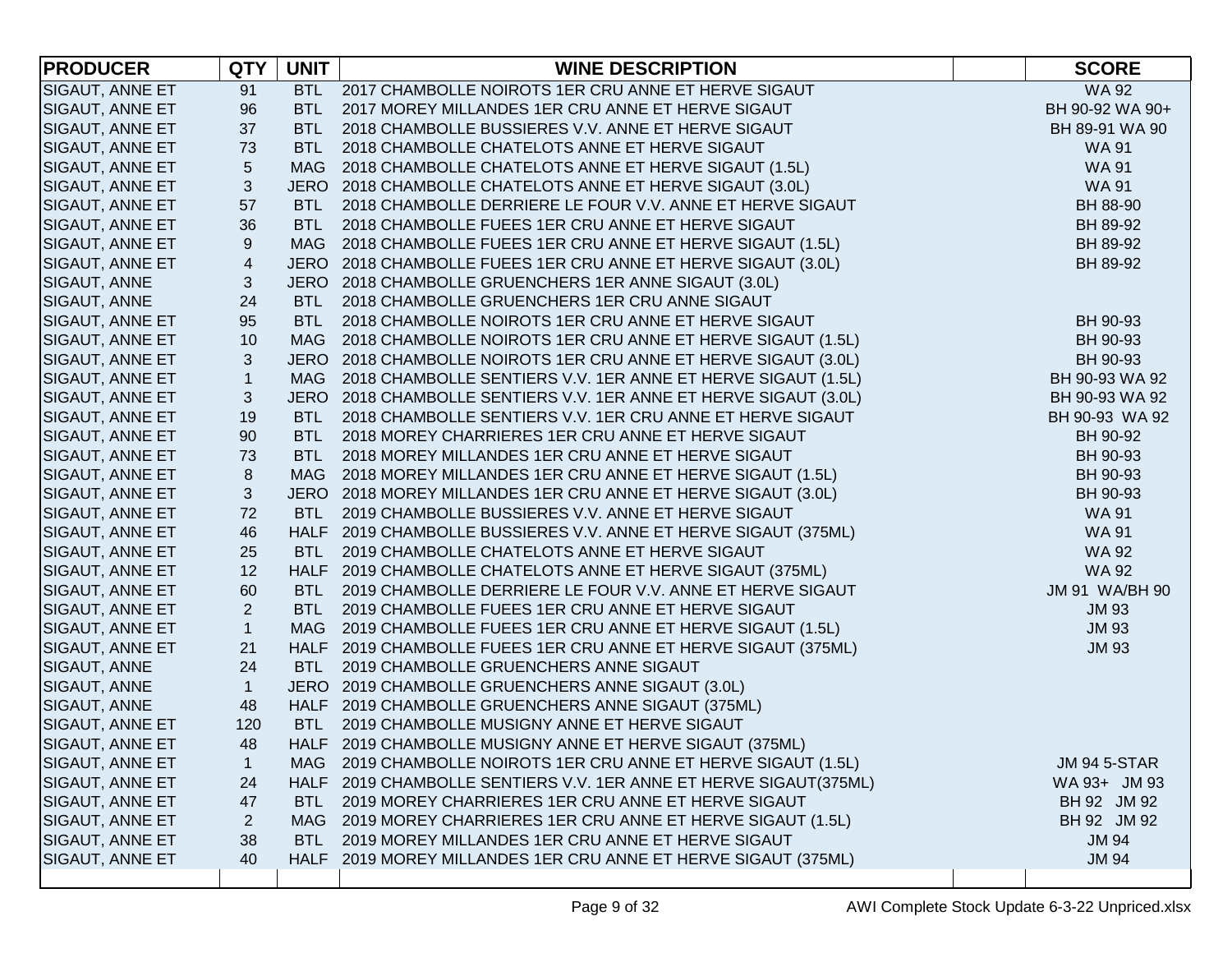| <b>PRODUCER</b>        | <b>QTY</b>     | <b>UNIT</b> | <b>WINE DESCRIPTION</b>                                           | <b>SCORE</b>        |
|------------------------|----------------|-------------|-------------------------------------------------------------------|---------------------|
| <b>SIGAUT, ANNE ET</b> | 91             |             | BTL 2017 CHAMBOLLE NOIROTS 1ER CRU ANNE ET HERVE SIGAUT           | <b>WA 92</b>        |
| <b>SIGAUT, ANNE ET</b> | 96             | BTL         | 2017 MOREY MILLANDES 1ER CRU ANNE ET HERVE SIGAUT                 | BH 90-92 WA 90+     |
| SIGAUT, ANNE ET        | 37             | <b>BTL</b>  | 2018 CHAMBOLLE BUSSIERES V.V. ANNE ET HERVE SIGAUT                | BH 89-91 WA 90      |
| SIGAUT, ANNE ET        | 73             | <b>BTL</b>  | 2018 CHAMBOLLE CHATELOTS ANNE ET HERVE SIGAUT                     | <b>WA91</b>         |
| SIGAUT, ANNE ET        | 5              | <b>MAG</b>  | 2018 CHAMBOLLE CHATELOTS ANNE ET HERVE SIGAUT (1.5L)              | <b>WA91</b>         |
| SIGAUT, ANNE ET        | 3              | <b>JERO</b> | 2018 CHAMBOLLE CHATELOTS ANNE ET HERVE SIGAUT (3.0L)              | <b>WA 91</b>        |
| SIGAUT, ANNE ET        | 57             | BTL         | 2018 CHAMBOLLE DERRIERE LE FOUR V.V. ANNE ET HERVE SIGAUT         | BH 88-90            |
| SIGAUT, ANNE ET        | 36             | BTL         | 2018 CHAMBOLLE FUEES 1ER CRU ANNE ET HERVE SIGAUT                 | BH 89-92            |
| <b>SIGAUT, ANNE ET</b> | 9              | MAG         | 2018 CHAMBOLLE FUEES 1ER CRU ANNE ET HERVE SIGAUT (1.5L)          | BH 89-92            |
| <b>SIGAUT, ANNE ET</b> | $\overline{4}$ |             | JERO 2018 CHAMBOLLE FUEES 1ER CRU ANNE ET HERVE SIGAUT (3.0L)     | BH 89-92            |
| SIGAUT, ANNE           | 3              |             | JERO 2018 CHAMBOLLE GRUENCHERS 1ER ANNE SIGAUT (3.0L)             |                     |
| <b>SIGAUT, ANNE</b>    | 24             | <b>BTL</b>  | 2018 CHAMBOLLE GRUENCHERS 1ER CRU ANNE SIGAUT                     |                     |
| <b>SIGAUT, ANNE ET</b> | 95             | <b>BTL</b>  | 2018 CHAMBOLLE NOIROTS 1ER CRU ANNE ET HERVE SIGAUT               | BH 90-93            |
| SIGAUT, ANNE ET        | 10             | MAG         | 2018 CHAMBOLLE NOIROTS 1ER CRU ANNE ET HERVE SIGAUT (1.5L)        | BH 90-93            |
| <b>SIGAUT, ANNE ET</b> | 3              |             | JERO 2018 CHAMBOLLE NOIROTS 1ER CRU ANNE ET HERVE SIGAUT (3.0L)   | BH 90-93            |
| SIGAUT, ANNE ET        | $\mathbf{1}$   |             | MAG 2018 CHAMBOLLE SENTIERS V.V. 1ER ANNE ET HERVE SIGAUT (1.5L)  | BH 90-93 WA 92      |
| <b>SIGAUT, ANNE ET</b> | 3              |             | JERO 2018 CHAMBOLLE SENTIERS V.V. 1ER ANNE ET HERVE SIGAUT (3.0L) | BH 90-93 WA 92      |
| SIGAUT, ANNE ET        | 19             | <b>BTL</b>  | 2018 CHAMBOLLE SENTIERS V.V. 1ER CRU ANNE ET HERVE SIGAUT         | BH 90-93 WA 92      |
| SIGAUT, ANNE ET        | 90             | <b>BTL</b>  | 2018 MOREY CHARRIERES 1ER CRU ANNE ET HERVE SIGAUT                | BH 90-92            |
| SIGAUT, ANNE ET        | 73             | BTL         | 2018 MOREY MILLANDES 1ER CRU ANNE ET HERVE SIGAUT                 | BH 90-93            |
| SIGAUT, ANNE ET        | 8              | MAG         | 2018 MOREY MILLANDES 1ER CRU ANNE ET HERVE SIGAUT (1.5L)          | BH 90-93            |
| SIGAUT, ANNE ET        | 3              |             | JERO 2018 MOREY MILLANDES 1ER CRU ANNE ET HERVE SIGAUT (3.0L)     | BH 90-93            |
| SIGAUT, ANNE ET        | 72             | <b>BTL</b>  | 2019 CHAMBOLLE BUSSIERES V.V. ANNE ET HERVE SIGAUT                | <b>WA 91</b>        |
| SIGAUT, ANNE ET        | 46             |             | HALF 2019 CHAMBOLLE BUSSIERES V.V. ANNE ET HERVE SIGAUT (375ML)   | <b>WA 91</b>        |
| SIGAUT, ANNE ET        | 25             | <b>BTL</b>  | 2019 CHAMBOLLE CHATELOTS ANNE ET HERVE SIGAUT                     | <b>WA 92</b>        |
| SIGAUT, ANNE ET        | 12             |             | HALF 2019 CHAMBOLLE CHATELOTS ANNE ET HERVE SIGAUT (375ML)        | <b>WA 92</b>        |
| SIGAUT, ANNE ET        | 60             | <b>BTL</b>  | 2019 CHAMBOLLE DERRIERE LE FOUR V.V. ANNE ET HERVE SIGAUT         | JM 91 WA/BH 90      |
| SIGAUT, ANNE ET        | $\overline{2}$ | <b>BTL</b>  | 2019 CHAMBOLLE FUEES 1ER CRU ANNE ET HERVE SIGAUT                 | <b>JM 93</b>        |
| SIGAUT, ANNE ET        | $\mathbf{1}$   | <b>MAG</b>  | 2019 CHAMBOLLE FUEES 1ER CRU ANNE ET HERVE SIGAUT (1.5L)          | <b>JM 93</b>        |
| SIGAUT, ANNE ET        | 21             |             | HALF 2019 CHAMBOLLE FUEES 1ER CRU ANNE ET HERVE SIGAUT (375ML)    | <b>JM 93</b>        |
| <b>SIGAUT, ANNE</b>    | 24             | <b>BTL</b>  | 2019 CHAMBOLLE GRUENCHERS ANNE SIGAUT                             |                     |
| SIGAUT, ANNE           | $\mathbf{1}$   |             | JERO 2019 CHAMBOLLE GRUENCHERS ANNE SIGAUT (3.0L)                 |                     |
| SIGAUT, ANNE           | 48             |             | HALF 2019 CHAMBOLLE GRUENCHERS ANNE SIGAUT (375ML)                |                     |
| <b>SIGAUT, ANNE ET</b> | 120            | <b>BTL</b>  | 2019 CHAMBOLLE MUSIGNY ANNE ET HERVE SIGAUT                       |                     |
| SIGAUT, ANNE ET        | 48             |             | HALF 2019 CHAMBOLLE MUSIGNY ANNE ET HERVE SIGAUT (375ML)          |                     |
| SIGAUT, ANNE ET        | 1              | MAG         | 2019 CHAMBOLLE NOIROTS 1ER CRU ANNE ET HERVE SIGAUT (1.5L)        | <b>JM 94 5-STAR</b> |
| <b>SIGAUT, ANNE ET</b> | 24             |             | HALF 2019 CHAMBOLLE SENTIERS V.V. 1ER ANNE ET HERVE SIGAUT(375ML) | WA 93+ JM 93        |
| SIGAUT, ANNE ET        | 47             | BTL         | 2019 MOREY CHARRIERES 1ER CRU ANNE ET HERVE SIGAUT                | BH 92 JM 92         |
| <b>SIGAUT, ANNE ET</b> | $\overline{c}$ | <b>MAG</b>  | 2019 MOREY CHARRIERES 1ER CRU ANNE ET HERVE SIGAUT (1.5L)         | BH 92 JM 92         |
| <b>SIGAUT, ANNE ET</b> | 38             | BTL         | 2019 MOREY MILLANDES 1ER CRU ANNE ET HERVE SIGAUT                 | <b>JM 94</b>        |
| <b>SIGAUT, ANNE ET</b> | 40             |             | HALF 2019 MOREY MILLANDES 1ER CRU ANNE ET HERVE SIGAUT (375ML)    | <b>JM 94</b>        |
|                        |                |             |                                                                   |                     |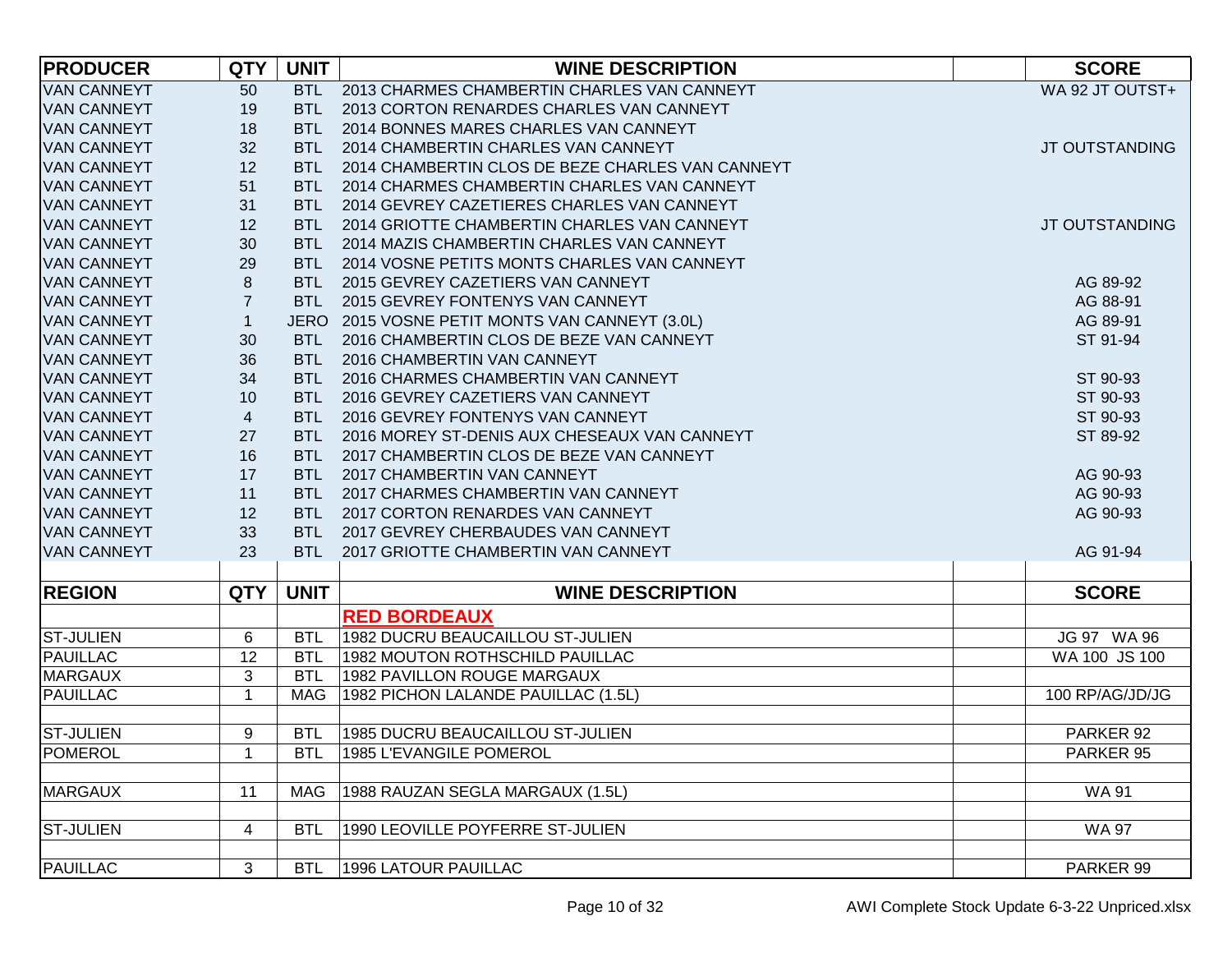| <b>PRODUCER</b>    | <b>QTY</b>              | <b>UNIT</b> | <b>WINE DESCRIPTION</b>                          | <b>SCORE</b>    |
|--------------------|-------------------------|-------------|--------------------------------------------------|-----------------|
| <b>VAN CANNEYT</b> | 50                      |             | BTL 2013 CHARMES CHAMBERTIN CHARLES VAN CANNEYT  | WA 92 JT OUTST+ |
| <b>VAN CANNEYT</b> | 19                      | <b>BTL</b>  | 2013 CORTON RENARDES CHARLES VAN CANNEYT         |                 |
| <b>VAN CANNEYT</b> | 18                      | <b>BTL</b>  | 2014 BONNES MARES CHARLES VAN CANNEYT            |                 |
| <b>VAN CANNEYT</b> | 32                      | <b>BTL</b>  | 2014 CHAMBERTIN CHARLES VAN CANNEYT              | JT OUTSTANDING  |
| <b>VAN CANNEYT</b> | 12                      | BTL         | 2014 CHAMBERTIN CLOS DE BEZE CHARLES VAN CANNEYT |                 |
| <b>VAN CANNEYT</b> | 51                      | BTL         | 2014 CHARMES CHAMBERTIN CHARLES VAN CANNEYT      |                 |
| <b>VAN CANNEYT</b> | 31                      | BTL         | 2014 GEVREY CAZETIERES CHARLES VAN CANNEYT       |                 |
| <b>VAN CANNEYT</b> | 12                      | BTL.        | 2014 GRIOTTE CHAMBERTIN CHARLES VAN CANNEYT      | JT OUTSTANDING  |
| <b>VAN CANNEYT</b> | 30                      | BTL         | 2014 MAZIS CHAMBERTIN CHARLES VAN CANNEYT        |                 |
| <b>VAN CANNEYT</b> | 29                      | <b>BTL</b>  | 2014 VOSNE PETITS MONTS CHARLES VAN CANNEYT      |                 |
| <b>VAN CANNEYT</b> | 8                       | <b>BTL</b>  | 2015 GEVREY CAZETIERS VAN CANNEYT                | AG 89-92        |
| <b>VAN CANNEYT</b> | $\overline{7}$          | <b>BTL</b>  | 2015 GEVREY FONTENYS VAN CANNEYT                 | AG 88-91        |
| <b>VAN CANNEYT</b> | $\mathbf{1}$            |             | JERO 2015 VOSNE PETIT MONTS VAN CANNEYT (3.0L)   | AG 89-91        |
| <b>VAN CANNEYT</b> | 30                      | <b>BTL</b>  | 2016 CHAMBERTIN CLOS DE BEZE VAN CANNEYT         | ST 91-94        |
| <b>VAN CANNEYT</b> | 36                      | <b>BTL</b>  | 2016 CHAMBERTIN VAN CANNEYT                      |                 |
| <b>VAN CANNEYT</b> | 34                      | <b>BTL</b>  | 2016 CHARMES CHAMBERTIN VAN CANNEYT              | ST 90-93        |
| <b>VAN CANNEYT</b> | 10                      | <b>BTL</b>  | 2016 GEVREY CAZETIERS VAN CANNEYT                | ST 90-93        |
| <b>VAN CANNEYT</b> | 4                       | <b>BTL</b>  | 2016 GEVREY FONTENYS VAN CANNEYT                 | ST 90-93        |
| <b>VAN CANNEYT</b> | 27                      | <b>BTL</b>  | 2016 MOREY ST-DENIS AUX CHESEAUX VAN CANNEYT     | ST 89-92        |
| <b>VAN CANNEYT</b> | 16                      | <b>BTL</b>  | 2017 CHAMBERTIN CLOS DE BEZE VAN CANNEYT         |                 |
| <b>VAN CANNEYT</b> | 17                      | <b>BTL</b>  | 2017 CHAMBERTIN VAN CANNEYT                      | AG 90-93        |
| <b>VAN CANNEYT</b> | 11                      | <b>BTL</b>  | 2017 CHARMES CHAMBERTIN VAN CANNEYT              | AG 90-93        |
| <b>VAN CANNEYT</b> | 12                      | <b>BTL</b>  | 2017 CORTON RENARDES VAN CANNEYT                 | AG 90-93        |
| <b>VAN CANNEYT</b> | 33                      | <b>BTL</b>  | 2017 GEVREY CHERBAUDES VAN CANNEYT               |                 |
| <b>VAN CANNEYT</b> | 23                      | BTL         | 2017 GRIOTTE CHAMBERTIN VAN CANNEYT              | AG 91-94        |
|                    |                         |             |                                                  |                 |
| <b>REGION</b>      | <b>QTY</b>              | <b>UNIT</b> | <b>WINE DESCRIPTION</b>                          | <b>SCORE</b>    |
|                    |                         |             | <b>RED BORDEAUX</b>                              |                 |
| <b>ST-JULIEN</b>   | 6                       | <b>BTL</b>  | 1982 DUCRU BEAUCAILLOU ST-JULIEN                 | JG 97 WA 96     |
| <b>PAUILLAC</b>    | 12                      | <b>BTL</b>  | 1982 MOUTON ROTHSCHILD PAUILLAC                  | WA 100 JS 100   |
| <b>MARGAUX</b>     | 3                       | <b>BTL</b>  | 1982 PAVILLON ROUGE MARGAUX                      |                 |
| <b>PAUILLAC</b>    | 1                       | <b>MAG</b>  | 1982 PICHON LALANDE PAUILLAC (1.5L)              | 100 RP/AG/JD/JG |
| <b>ST-JULIEN</b>   | 9                       | <b>BTL</b>  | 1985 DUCRU BEAUCAILLOU ST-JULIEN                 | PARKER 92       |
| <b>POMEROL</b>     | $\mathbf{1}$            | <b>BTL</b>  | 1985 L'EVANGILE POMEROL                          | PARKER 95       |
|                    |                         |             |                                                  |                 |
| <b>MARGAUX</b>     | 11                      | MAG         | 1988 RAUZAN SEGLA MARGAUX (1.5L)                 | <b>WA 91</b>    |
|                    |                         |             |                                                  |                 |
| <b>ST-JULIEN</b>   | $\overline{\mathbf{4}}$ | <b>BTL</b>  | 1990 LEOVILLE POYFERRE ST-JULIEN                 | <b>WA 97</b>    |
|                    |                         |             |                                                  |                 |
| <b>PAUILLAC</b>    | 3                       | <b>BTL</b>  | <b>1996 LATOUR PAUILLAC</b>                      | PARKER 99       |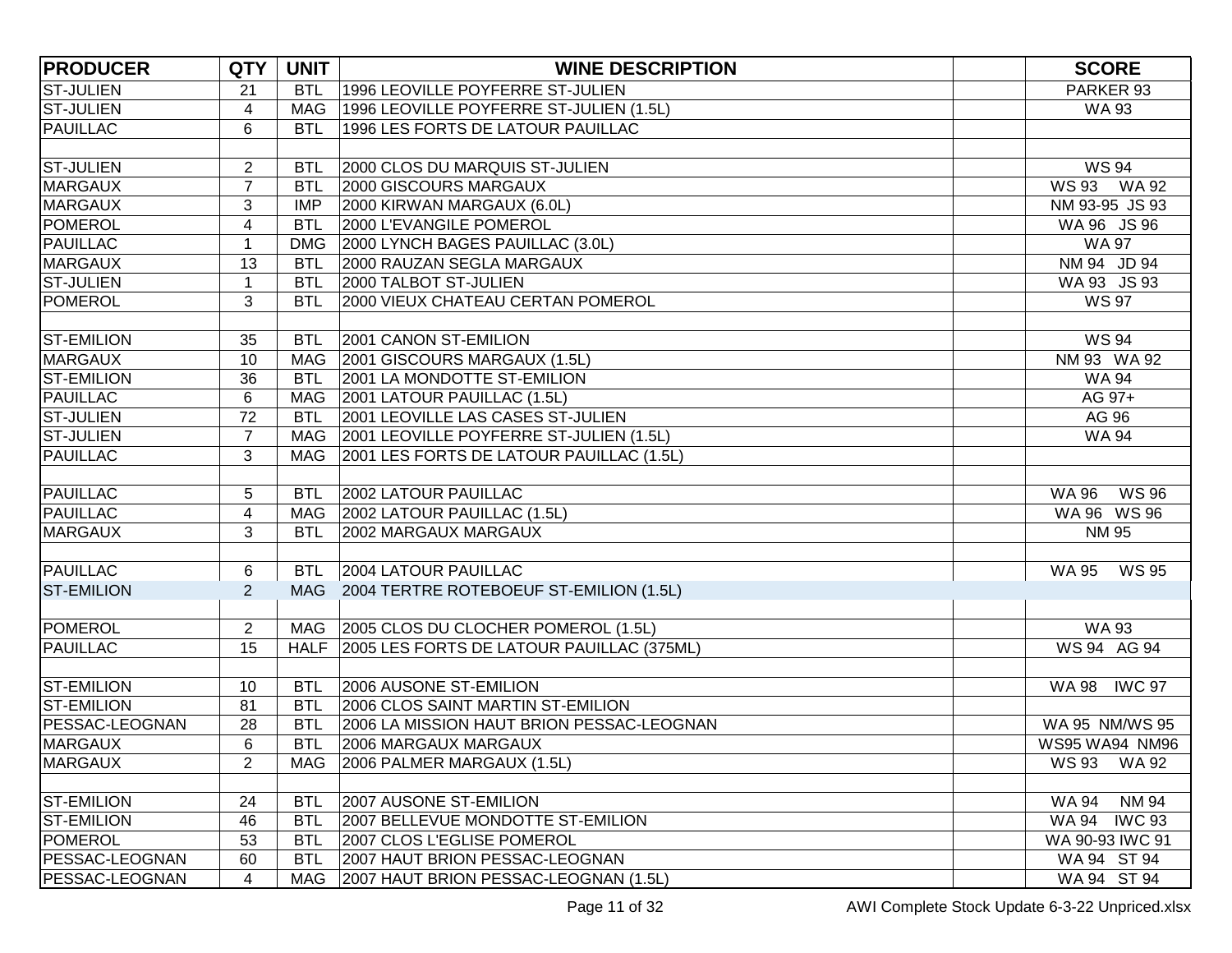| <b>PRODUCER</b>       | <b>QTY</b>     | <b>UNIT</b> | <b>WINE DESCRIPTION</b>                        | <b>SCORE</b>                 |
|-----------------------|----------------|-------------|------------------------------------------------|------------------------------|
| <b>ST-JULIEN</b>      | 21             | <b>BTL</b>  | 1996 LEOVILLE POYFERRE ST-JULIEN               | PARKER 93                    |
| <b>ST-JULIEN</b>      | 4              | <b>MAG</b>  | 1996 LEOVILLE POYFERRE ST-JULIEN (1.5L)        | <b>WA 93</b>                 |
| <b>PAUILLAC</b>       | 6              | <b>BTL</b>  | 1996 LES FORTS DE LATOUR PAUILLAC              |                              |
|                       |                |             |                                                |                              |
| <b>ST-JULIEN</b>      | 2              | <b>BTL</b>  | 2000 CLOS DU MARQUIS ST-JULIEN                 | <b>WS 94</b>                 |
| <b>MARGAUX</b>        | $\overline{7}$ | <b>BTL</b>  | 2000 GISCOURS MARGAUX                          | WS 93 WA 92                  |
| <b>MARGAUX</b>        | 3              | <b>IMP</b>  | 2000 KIRWAN MARGAUX (6.0L)                     | NM 93-95 JS 93               |
| <b>POMEROL</b>        | 4              | <b>BTL</b>  | 2000 L'EVANGILE POMEROL                        | WA 96 JS 96                  |
| <b>PAUILLAC</b>       | 1              | <b>DMG</b>  | 2000 LYNCH BAGES PAUILLAC (3.0L)               | <b>WA 97</b>                 |
| <b>MARGAUX</b>        | 13             | <b>BTL</b>  | 2000 RAUZAN SEGLA MARGAUX                      | NM 94 JD 94                  |
| <b>ST-JULIEN</b>      | 1              | <b>BTL</b>  | 2000 TALBOT ST-JULIEN                          | WA 93 JS 93                  |
| <b>POMEROL</b>        | 3              | <b>BTL</b>  | 2000 VIEUX CHATEAU CERTAN POMEROL              | <b>WS 97</b>                 |
|                       |                |             |                                                |                              |
| <b>ST-EMILION</b>     | 35             | <b>BTL</b>  | 2001 CANON ST-EMILION                          | <b>WS 94</b>                 |
| <b>MARGAUX</b>        | 10             | MAG         | 2001 GISCOURS MARGAUX (1.5L)                   | NM 93 WA 92                  |
| <b>ST-EMILION</b>     | 36             | <b>BTL</b>  | 2001 LA MONDOTTE ST-EMILION                    | <b>WA 94</b>                 |
| <b>PAUILLAC</b>       | $\,6$          | MAG         | 2001 LATOUR PAUILLAC (1.5L)                    | AG 97+                       |
| <b>ST-JULIEN</b>      | 72             | <b>BTL</b>  | <b>2001 LEOVILLE LAS CASES ST-JULIEN</b>       | AG 96                        |
| <b>ST-JULIEN</b>      | $\overline{7}$ |             | MAG 2001 LEOVILLE POYFERRE ST-JULIEN (1.5L)    | <b>WA 94</b>                 |
| <b>PAUILLAC</b>       | 3              | MAG         | 2001 LES FORTS DE LATOUR PAUILLAC (1.5L)       |                              |
|                       |                |             |                                                |                              |
| <b>PAUILLAC</b>       | 5              | <b>BTL</b>  | 2002 LATOUR PAUILLAC                           | <b>WS 96</b><br>WA 96        |
| <b>PAUILLAC</b>       | 4              |             | MAG 2002 LATOUR PAUILLAC (1.5L)                | WA 96 WS 96                  |
| <b>MARGAUX</b>        | 3              | <b>BTL</b>  | 2002 MARGAUX MARGAUX                           | <b>NM 95</b>                 |
|                       |                |             |                                                |                              |
| <b>PAUILLAC</b>       | 6              | <b>BTL</b>  | 2004 LATOUR PAUILLAC                           | WS 95<br>WA 95               |
| <b>ST-EMILION</b>     | $\overline{2}$ |             | MAG 2004 TERTRE ROTEBOEUF ST-EMILION (1.5L)    |                              |
|                       |                |             |                                                |                              |
| <b>POMEROL</b>        | $\overline{2}$ |             | MAG 2005 CLOS DU CLOCHER POMEROL (1.5L)        | <b>WA 93</b>                 |
| <b>PAUILLAC</b>       | 15             |             | HALF 2005 LES FORTS DE LATOUR PAUILLAC (375ML) | WS 94 AG 94                  |
|                       |                |             |                                                |                              |
| <b>ST-EMILION</b>     | 10             | <b>BTL</b>  | 2006 AUSONE ST-EMILION                         | <b>IWC 97</b><br>WA 98       |
| <b>ST-EMILION</b>     | 81             | <b>BTL</b>  | 2006 CLOS SAINT MARTIN ST-EMILION              |                              |
| PESSAC-LEOGNAN        | 28             | <b>BTL</b>  | 2006 LA MISSION HAUT BRION PESSAC-LEOGNAN      | WA 95 NM/WS 95               |
| <b>MARGAUX</b>        | 6              | <b>BTL</b>  | 2006 MARGAUX MARGAUX                           | WS95 WA94 NM96               |
| <b>MARGAUX</b>        | $\overline{2}$ | <b>MAG</b>  | 2006 PALMER MARGAUX (1.5L)                     | <b>WS 93</b><br><b>WA 92</b> |
|                       |                |             |                                                |                              |
| <b>ST-EMILION</b>     | 24             | <b>BTL</b>  | 2007 AUSONE ST-EMILION                         | <b>NM 94</b><br><b>WA 94</b> |
| <b>ST-EMILION</b>     | 46             | <b>BTL</b>  | 2007 BELLEVUE MONDOTTE ST-EMILION              | <b>IWC 93</b><br>WA 94       |
| <b>POMEROL</b>        | 53             | <b>BTL</b>  | 2007 CLOS L'EGLISE POMEROL                     | WA 90-93 IWC 91              |
| <b>PESSAC-LEOGNAN</b> | 60             | <b>BTL</b>  | 2007 HAUT BRION PESSAC-LEOGNAN                 | WA 94 ST 94                  |
| PESSAC-LEOGNAN        | 4              | MAG         | 2007 HAUT BRION PESSAC-LEOGNAN (1.5L)          | WA 94 ST 94                  |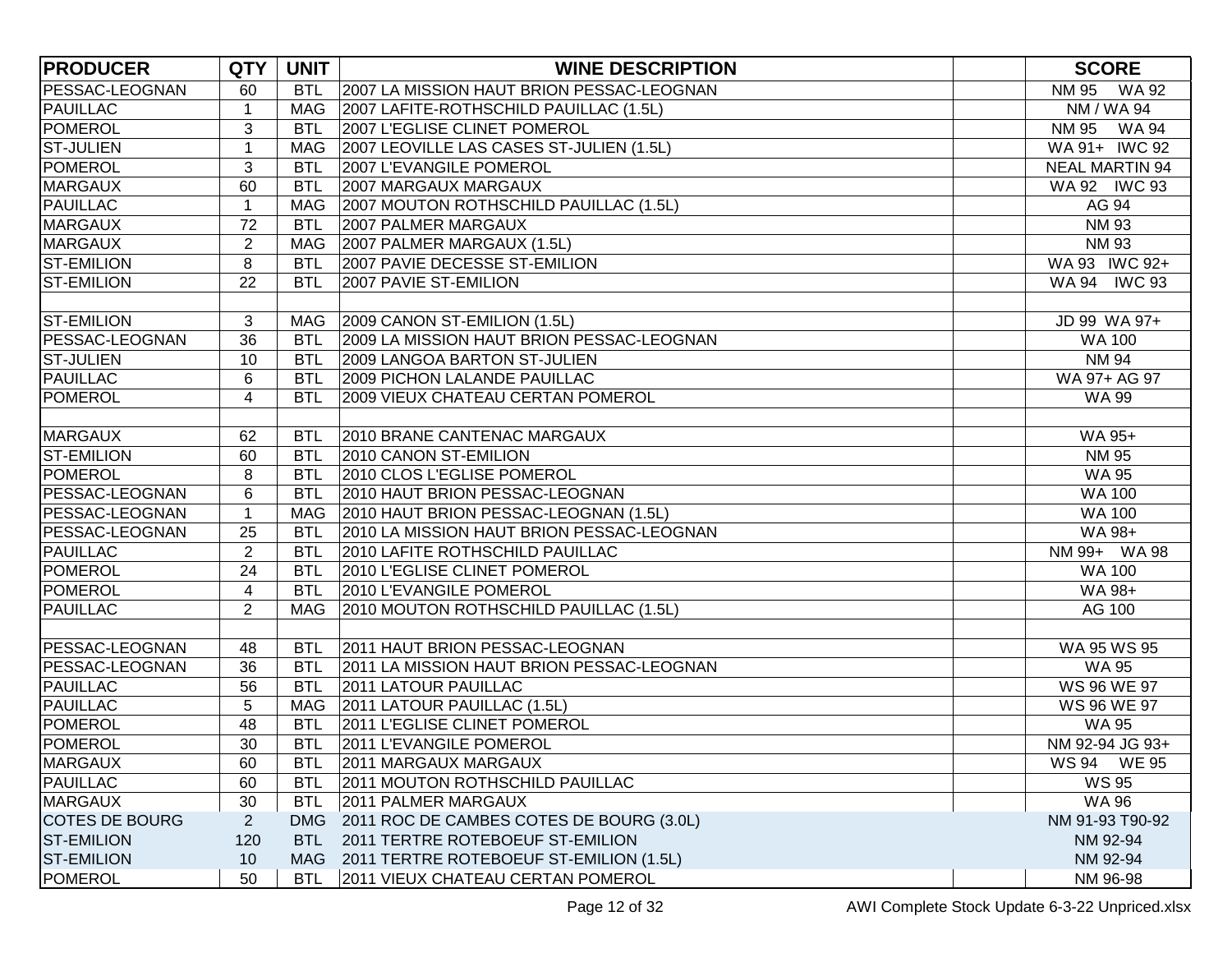| <b>PRODUCER</b>       | <b>QTY</b>     | <b>UNIT</b> | <b>WINE DESCRIPTION</b>                     | <b>SCORE</b>          |
|-----------------------|----------------|-------------|---------------------------------------------|-----------------------|
| <b>PESSAC-LEOGNAN</b> | 60             | <b>BTL</b>  | 2007 LA MISSION HAUT BRION PESSAC-LEOGNAN   | NM 95 WA 92           |
| <b>PAUILLAC</b>       | $\mathbf{1}$   | <b>MAG</b>  | 2007 LAFITE-ROTHSCHILD PAUILLAC (1.5L)      | NM / WA 94            |
| <b>POMEROL</b>        | 3              | <b>BTL</b>  | 2007 L'EGLISE CLINET POMEROL                | <b>NM 95</b><br>WA 94 |
| <b>ST-JULIEN</b>      | $\mathbf{1}$   | MAG         | 2007 LEOVILLE LAS CASES ST-JULIEN (1.5L)    | WA 91+ IWC 92         |
| POMEROL               | 3              | <b>BTL</b>  | 2007 L'EVANGILE POMEROL                     | <b>NEAL MARTIN 94</b> |
| <b>MARGAUX</b>        | 60             | <b>BTL</b>  | 2007 MARGAUX MARGAUX                        | WA 92 IWC 93          |
| <b>PAUILLAC</b>       | $\mathbf{1}$   | <b>MAG</b>  | 2007 MOUTON ROTHSCHILD PAUILLAC (1.5L)      | AG 94                 |
| <b>MARGAUX</b>        | 72             | <b>BTL</b>  | <b>2007 PALMER MARGAUX</b>                  | <b>NM 93</b>          |
| <b>MARGAUX</b>        | $\overline{2}$ | MAG         | 2007 PALMER MARGAUX (1.5L)                  | <b>NM 93</b>          |
| <b>ST-EMILION</b>     | 8              | <b>BTL</b>  | 2007 PAVIE DECESSE ST-EMILION               | WA 93 IWC 92+         |
| <b>ST-EMILION</b>     | 22             | <b>BTL</b>  | 2007 PAVIE ST-EMILION                       | WA 94 IWC 93          |
|                       |                |             |                                             |                       |
| <b>ST-EMILION</b>     | 3              |             | MAG 2009 CANON ST-EMILION (1.5L)            | JD 99 WA 97+          |
| <b>PESSAC-LEOGNAN</b> | 36             | <b>BTL</b>  | 2009 LA MISSION HAUT BRION PESSAC-LEOGNAN   | <b>WA 100</b>         |
| <b>ST-JULIEN</b>      | 10             | <b>BTL</b>  | 2009 LANGOA BARTON ST-JULIEN                | <b>NM 94</b>          |
| <b>PAUILLAC</b>       | 6              | <b>BTL</b>  | 2009 PICHON LALANDE PAUILLAC                | WA 97+ AG 97          |
| POMEROL               | $\overline{4}$ | <b>BTL</b>  | 2009 VIEUX CHATEAU CERTAN POMEROL           | <b>WA 99</b>          |
|                       |                |             |                                             |                       |
| <b>MARGAUX</b>        | 62             | <b>BTL</b>  | 2010 BRANE CANTENAC MARGAUX                 | WA 95+                |
| <b>ST-EMILION</b>     | 60             | <b>BTL</b>  | 2010 CANON ST-EMILION                       | <b>NM 95</b>          |
| <b>POMEROL</b>        | 8              | <b>BTL</b>  | 2010 CLOS L'EGLISE POMEROL                  | <b>WA 95</b>          |
| PESSAC-LEOGNAN        | 6              | <b>BTL</b>  | 2010 HAUT BRION PESSAC-LEOGNAN              | <b>WA 100</b>         |
| PESSAC-LEOGNAN        | $\mathbf 1$    | <b>MAG</b>  | 2010 HAUT BRION PESSAC-LEOGNAN (1.5L)       | <b>WA 100</b>         |
| <b>PESSAC-LEOGNAN</b> | 25             | <b>BTL</b>  | 2010 LA MISSION HAUT BRION PESSAC-LEOGNAN   | WA 98+                |
| <b>PAUILLAC</b>       | $\overline{2}$ | <b>BTL</b>  | 2010 LAFITE ROTHSCHILD PAUILLAC             | NM 99+ WA 98          |
| POMEROL               | 24             | <b>BTL</b>  | 2010 L'EGLISE CLINET POMEROL                | <b>WA 100</b>         |
| <b>POMEROL</b>        | 4              | <b>BTL</b>  | 2010 L'EVANGILE POMEROL                     | WA 98+                |
| <b>PAUILLAC</b>       | $\overline{2}$ | MAG         | 2010 MOUTON ROTHSCHILD PAUILLAC (1.5L)      | AG 100                |
|                       |                |             |                                             |                       |
| PESSAC-LEOGNAN        | 48             | <b>BTL</b>  | 2011 HAUT BRION PESSAC-LEOGNAN              | WA 95 WS 95           |
| PESSAC-LEOGNAN        | 36             | <b>BTL</b>  | 2011 LA MISSION HAUT BRION PESSAC-LEOGNAN   | <b>WA 95</b>          |
| <b>PAUILLAC</b>       | 56             | <b>BTL</b>  | 2011 LATOUR PAUILLAC                        | WS 96 WE 97           |
| PAUILLAC              | 5              | MAG         | 2011 LATOUR PAUILLAC (1.5L)                 | WS 96 WE 97           |
| <b>POMEROL</b>        | 48             | <b>BTL</b>  | 2011 L'EGLISE CLINET POMEROL                | <b>WA 95</b>          |
| <b>POMEROL</b>        | 30             | <b>BTL</b>  | 2011 L'EVANGILE POMEROL                     | NM 92-94 JG 93+       |
| <b>MARGAUX</b>        | 60             | <b>BTL</b>  | 2011 MARGAUX MARGAUX                        | WS 94 WE 95           |
| <b>PAUILLAC</b>       | 60             | <b>BTL</b>  | 2011 MOUTON ROTHSCHILD PAUILLAC             | <b>WS 95</b>          |
| <b>MARGAUX</b>        | 30             | <b>BTL</b>  | 2011 PALMER MARGAUX                         | <b>WA 96</b>          |
| COTES DE BOURG        | $\mathbf{2}$   | <b>DMG</b>  | 2011 ROC DE CAMBES COTES DE BOURG (3.0L)    | NM 91-93 T90-92       |
| <b>ST-EMILION</b>     | 120            | <b>BTL</b>  | 2011 TERTRE ROTEBOEUF ST-EMILION            | NM 92-94              |
| <b>ST-EMILION</b>     | 10             |             | MAG 2011 TERTRE ROTEBOEUF ST-EMILION (1.5L) | NM 92-94              |
| POMEROL               | 50             | <b>BTL</b>  | 2011 VIEUX CHATEAU CERTAN POMEROL           | NM 96-98              |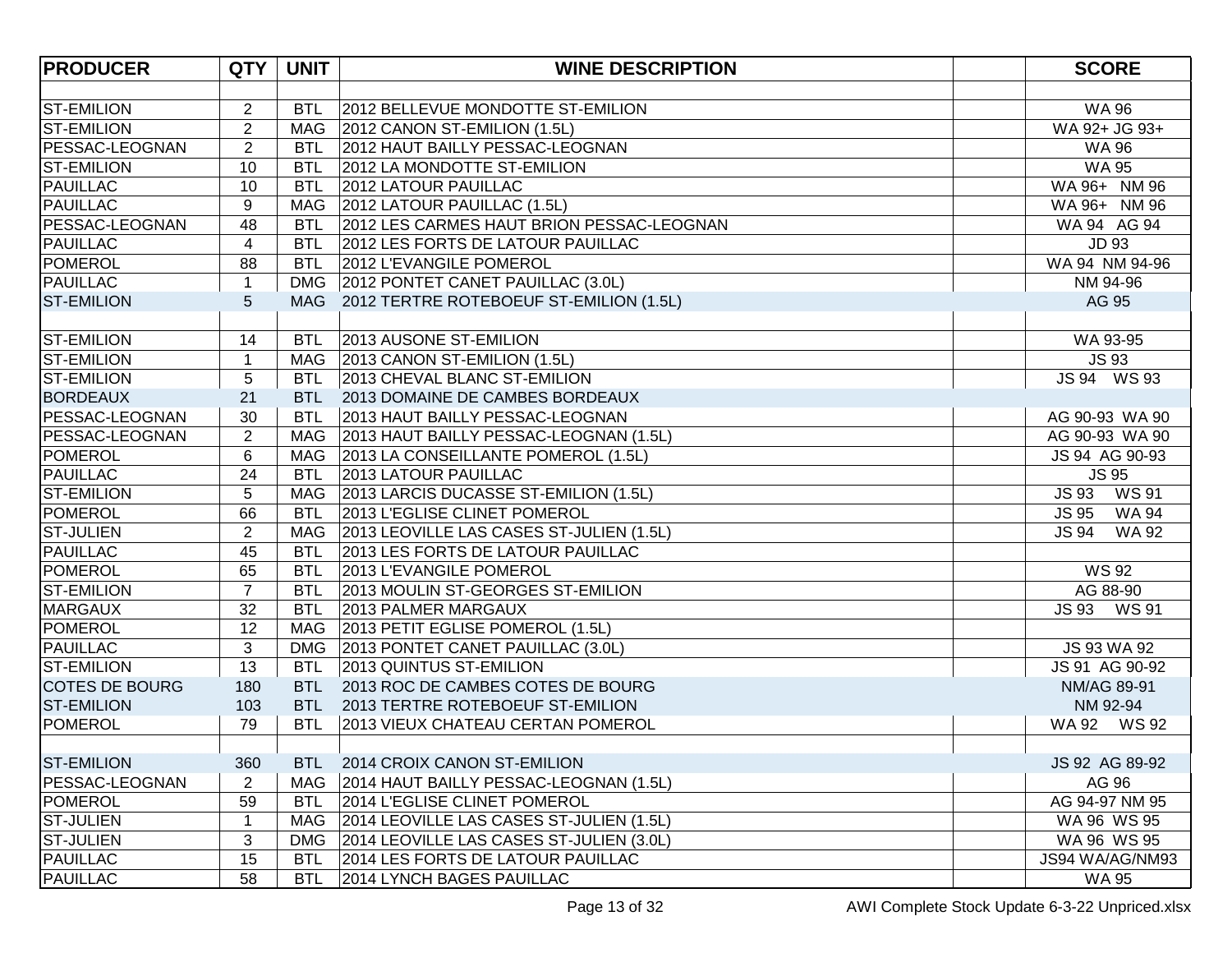| <b>PRODUCER</b>       | <b>QTY</b>              | <b>UNIT</b> | <b>WINE DESCRIPTION</b>                      | <b>SCORE</b>          |
|-----------------------|-------------------------|-------------|----------------------------------------------|-----------------------|
|                       |                         |             |                                              |                       |
| <b>ST-EMILION</b>     | $\overline{2}$          | <b>BTL</b>  | 2012 BELLEVUE MONDOTTE ST-EMILION            | <b>WA 96</b>          |
| <b>ST-EMILION</b>     | $\overline{2}$          |             | MAG   2012 CANON ST-EMILION (1.5L)           | WA 92+ JG 93+         |
| <b>PESSAC-LEOGNAN</b> | $\overline{2}$          | <b>BTL</b>  | 2012 HAUT BAILLY PESSAC-LEOGNAN              | <b>WA 96</b>          |
| <b>ST-EMILION</b>     | 10                      | <b>BTL</b>  | 2012 LA MONDOTTE ST-EMILION                  | <b>WA 95</b>          |
| <b>PAUILLAC</b>       | 10                      | <b>BTL</b>  | 2012 LATOUR PAUILLAC                         | WA 96+ NM 96          |
| <b>PAUILLAC</b>       | 9                       | MAG         | 2012 LATOUR PAUILLAC (1.5L)                  | WA 96+ NM 96          |
| PESSAC-LEOGNAN        | 48                      | <b>BTL</b>  | 2012 LES CARMES HAUT BRION PESSAC-LEOGNAN    | WA 94 AG 94           |
| <b>PAUILLAC</b>       | $\overline{\mathbf{4}}$ | <b>BTL</b>  | 2012 LES FORTS DE LATOUR PAUILLAC            | <b>JD 93</b>          |
| <b>POMEROL</b>        | 88                      | <b>BTL</b>  | 2012 L'EVANGILE POMEROL                      | WA 94 NM 94-96        |
| <b>PAUILLAC</b>       | $\mathbf{1}$            |             | DMG 2012 PONTET CANET PAUILLAC (3.0L)        | NM 94-96              |
| <b>ST-EMILION</b>     | 5                       |             | MAG 2012 TERTRE ROTEBOEUF ST-EMILION (1.5L)  | AG 95                 |
|                       |                         |             |                                              |                       |
| <b>ST-EMILION</b>     | 14                      | <b>BTL</b>  | 2013 AUSONE ST-EMILION                       | WA 93-95              |
| <b>ST-EMILION</b>     | $\mathbf 1$             |             | MAG 2013 CANON ST-EMILION (1.5L)             | <b>JS 93</b>          |
| <b>ST-EMILION</b>     | 5                       | <b>BTL</b>  | 2013 CHEVAL BLANC ST-EMILION                 | JS 94 WS 93           |
| <b>BORDEAUX</b>       | 21                      |             | BTL 2013 DOMAINE DE CAMBES BORDEAUX          |                       |
| <b>PESSAC-LEOGNAN</b> | 30                      | <b>BTL</b>  | 2013 HAUT BAILLY PESSAC-LEOGNAN              | AG 90-93 WA 90        |
| <b>PESSAC-LEOGNAN</b> | $\overline{2}$          |             | MAG   2013 HAUT BAILLY PESSAC-LEOGNAN (1.5L) | AG 90-93 WA 90        |
| <b>POMEROL</b>        | $6\phantom{1}$          |             | MAG   2013 LA CONSEILLANTE POMEROL (1.5L)    | JS 94 AG 90-93        |
| <b>PAUILLAC</b>       | 24                      | <b>BTL</b>  | 2013 LATOUR PAUILLAC                         | <b>JS 95</b>          |
| <b>ST-EMILION</b>     | 5                       | MAG         | 2013 LARCIS DUCASSE ST-EMILION (1.5L)        | <b>WS 91</b><br>JS 93 |
| <b>POMEROL</b>        | 66                      | <b>BTL</b>  | 2013 L'EGLISE CLINET POMEROL                 | JS 95<br><b>WA 94</b> |
| <b>ST-JULIEN</b>      | $\overline{2}$          | MAG         | 2013 LEOVILLE LAS CASES ST-JULIEN (1.5L)     | <b>JS 94</b><br>WA 92 |
| <b>PAUILLAC</b>       | 45                      | <b>BTL</b>  | 2013 LES FORTS DE LATOUR PAUILLAC            |                       |
| <b>POMEROL</b>        | 65                      | <b>BTL</b>  | 2013 L'EVANGILE POMEROL                      | <b>WS 92</b>          |
| <b>ST-EMILION</b>     | $\overline{7}$          | <b>BTL</b>  | 2013 MOULIN ST-GEORGES ST-EMILION            | AG 88-90              |
| <b>MARGAUX</b>        | 32                      | <b>BTL</b>  | 2013 PALMER MARGAUX                          | JS 93 WS 91           |
| <b>POMEROL</b>        | 12                      |             | MAG 2013 PETIT EGLISE POMEROL (1.5L)         |                       |
| <b>PAUILLAC</b>       | 3                       | <b>DMG</b>  | 2013 PONTET CANET PAUILLAC (3.0L)            | JS 93 WA 92           |
| <b>ST-EMILION</b>     | 13                      | <b>BTL</b>  | 2013 QUINTUS ST-EMILION                      | JS 91 AG 90-92        |
| <b>COTES DE BOURG</b> | 180                     | <b>BTL</b>  | 2013 ROC DE CAMBES COTES DE BOURG            | <b>NM/AG 89-91</b>    |
| <b>ST-EMILION</b>     | 103                     |             | BTL 2013 TERTRE ROTEBOEUF ST-EMILION         | NM 92-94              |
| <b>POMEROL</b>        | 79                      | <b>BTL</b>  | 2013 VIEUX CHATEAU CERTAN POMEROL            | WA 92<br>WS 92        |
|                       |                         |             |                                              |                       |
| <b>ST-EMILION</b>     | 360                     | <b>BTL</b>  | 2014 CROIX CANON ST-EMILION                  | JS 92 AG 89-92        |
| PESSAC-LEOGNAN        | 2                       | MAG         | 2014 HAUT BAILLY PESSAC-LEOGNAN (1.5L)       | AG 96                 |
| <b>POMEROL</b>        | 59                      | <b>BTL</b>  | 2014 L'EGLISE CLINET POMEROL                 | AG 94-97 NM 95        |
| <b>ST-JULIEN</b>      | $\mathbf 1$             | MAG         | 2014 LEOVILLE LAS CASES ST-JULIEN (1.5L)     | WA 96 WS 95           |
| <b>ST-JULIEN</b>      | 3                       | <b>DMG</b>  | 2014 LEOVILLE LAS CASES ST-JULIEN (3.0L)     | WA 96 WS 95           |
| <b>PAUILLAC</b>       | 15                      | <b>BTL</b>  | 2014 LES FORTS DE LATOUR PAUILLAC            | JS94 WA/AG/NM93       |
| <b>PAUILLAC</b>       | 58                      | <b>BTL</b>  | 2014 LYNCH BAGES PAUILLAC                    | <b>WA 95</b>          |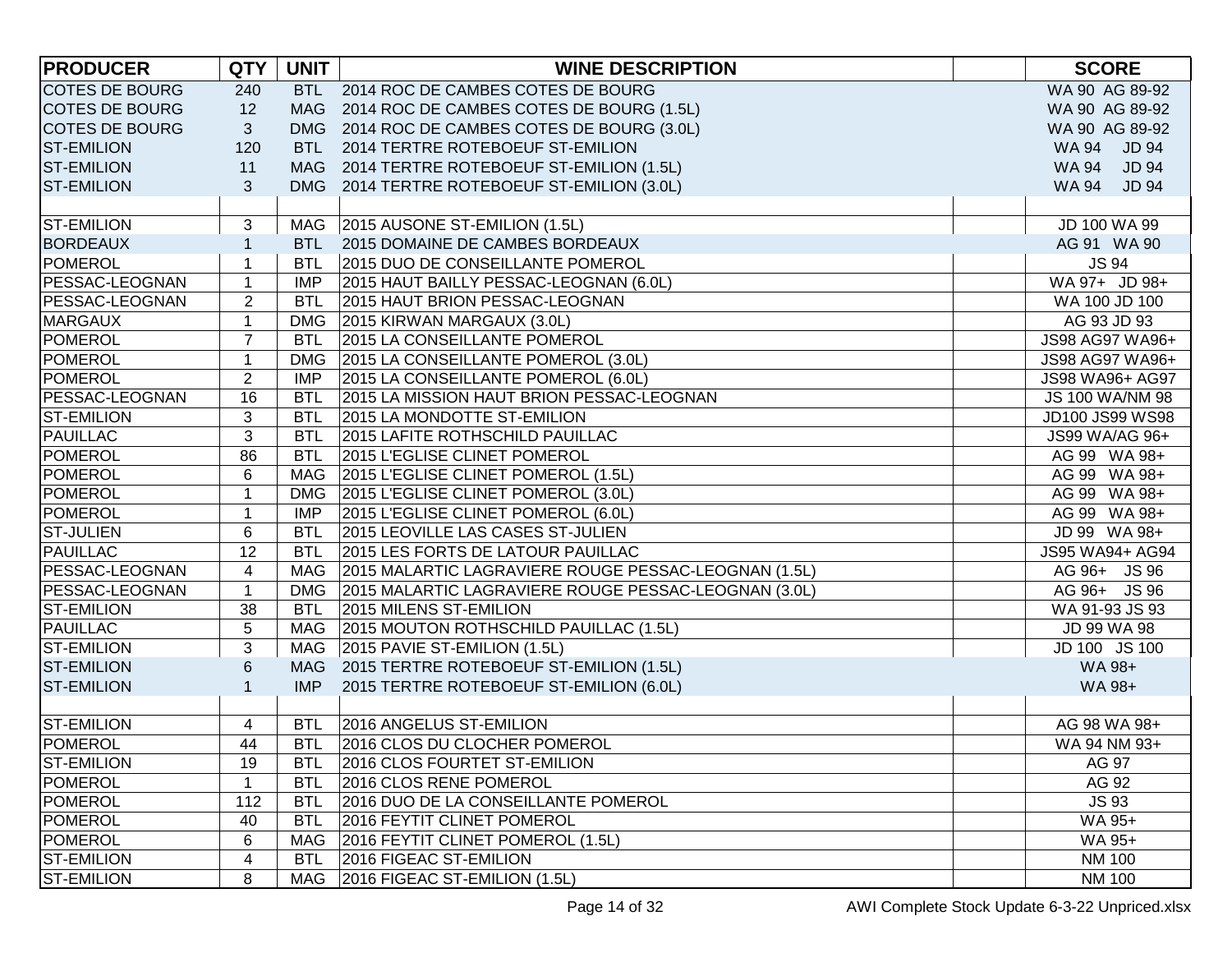| <b>PRODUCER</b>       | <b>QTY</b>     | <b>UNIT</b> | <b>WINE DESCRIPTION</b>                              | <b>SCORE</b>                 |
|-----------------------|----------------|-------------|------------------------------------------------------|------------------------------|
| <b>COTES DE BOURG</b> | 240            |             | BTL 2014 ROC DE CAMBES COTES DE BOURG                | WA 90 AG 89-92               |
| <b>COTES DE BOURG</b> | 12             |             | MAG 2014 ROC DE CAMBES COTES DE BOURG (1.5L)         | WA 90 AG 89-92               |
| <b>COTES DE BOURG</b> | 3              |             | DMG 2014 ROC DE CAMBES COTES DE BOURG (3.0L)         | WA 90 AG 89-92               |
| <b>ST-EMILION</b>     | 120            |             | BTL 2014 TERTRE ROTEBOEUF ST-EMILION                 | WA 94 JD 94                  |
| <b>ST-EMILION</b>     | 11             |             | MAG 2014 TERTRE ROTEBOEUF ST-EMILION (1.5L)          | <b>JD 94</b><br><b>WA 94</b> |
| <b>ST-EMILION</b>     | 3              |             | DMG 2014 TERTRE ROTEBOEUF ST-EMILION (3.0L)          | <b>JD 94</b><br>WA 94        |
|                       |                |             |                                                      |                              |
| <b>ST-EMILION</b>     | 3              |             | MAG 2015 AUSONE ST-EMILION (1.5L)                    | JD 100 WA 99                 |
| <b>BORDEAUX</b>       | $\mathbf{1}$   | <b>BTL</b>  | 2015 DOMAINE DE CAMBES BORDEAUX                      | AG 91 WA 90                  |
| <b>POMEROL</b>        | 1              | <b>BTL</b>  | 2015 DUO DE CONSEILLANTE POMEROL                     | <b>JS 94</b>                 |
| PESSAC-LEOGNAN        | 1              | IMP         | 2015 HAUT BAILLY PESSAC-LEOGNAN (6.0L)               | WA 97+ JD 98+                |
| PESSAC-LEOGNAN        | $\overline{c}$ | <b>BTL</b>  | 2015 HAUT BRION PESSAC-LEOGNAN                       | WA 100 JD 100                |
| <b>MARGAUX</b>        | 1              |             | DMG 2015 KIRWAN MARGAUX (3.0L)                       | AG 93 JD 93                  |
| <b>POMEROL</b>        | $\overline{7}$ | <b>BTL</b>  | 2015 LA CONSEILLANTE POMEROL                         | JS98 AG97 WA96+              |
| <b>POMEROL</b>        | $\mathbf{1}$   | <b>DMG</b>  | 2015 LA CONSEILLANTE POMEROL (3.0L)                  | JS98 AG97 WA96+              |
| <b>POMEROL</b>        | $\overline{2}$ | <b>IMP</b>  | 2015 LA CONSEILLANTE POMEROL (6.0L)                  | JS98 WA96+ AG97              |
| PESSAC-LEOGNAN        | 16             | <b>BTL</b>  | 2015 LA MISSION HAUT BRION PESSAC-LEOGNAN            | JS 100 WA/NM 98              |
| <b>ST-EMILION</b>     | 3              | <b>BTL</b>  | 2015 LA MONDOTTE ST-EMILION                          | JD100 JS99 WS98              |
| <b>PAUILLAC</b>       | 3              | <b>BTL</b>  | 2015 LAFITE ROTHSCHILD PAUILLAC                      | JS99 WA/AG 96+               |
| <b>POMEROL</b>        | 86             | <b>BTL</b>  | 2015 L'EGLISE CLINET POMEROL                         | AG 99 WA 98+                 |
| <b>POMEROL</b>        | 6              |             | MAG   2015 L'EGLISE CLINET POMEROL (1.5L)            | AG 99 WA 98+                 |
| <b>POMEROL</b>        | $\mathbf{1}$   | <b>DMG</b>  | 2015 L'EGLISE CLINET POMEROL (3.0L)                  | AG 99 WA 98+                 |
| <b>POMEROL</b>        | $\mathbf{1}$   | <b>IMP</b>  | 2015 L'EGLISE CLINET POMEROL (6.0L)                  | AG 99 WA 98+                 |
| <b>ST-JULIEN</b>      | 6              | <b>BTL</b>  | 2015 LEOVILLE LAS CASES ST-JULIEN                    | JD 99 WA 98+                 |
| <b>PAUILLAC</b>       | 12             | <b>BTL</b>  | 2015 LES FORTS DE LATOUR PAUILLAC                    | JS95 WA94+ AG94              |
| PESSAC-LEOGNAN        | 4              | MAG         | 2015 MALARTIC LAGRAVIERE ROUGE PESSAC-LEOGNAN (1.5L) | AG 96+ JS 96                 |
| PESSAC-LEOGNAN        | 1              | <b>DMG</b>  | 2015 MALARTIC LAGRAVIERE ROUGE PESSAC-LEOGNAN (3.0L) | AG 96+ JS 96                 |
| <b>ST-EMILION</b>     | 38             | <b>BTL</b>  | 2015 MILENS ST-EMILION                               | WA 91-93 JS 93               |
| <b>PAUILLAC</b>       | 5              |             | MAG 2015 MOUTON ROTHSCHILD PAUILLAC (1.5L)           | JD 99 WA 98                  |
| <b>ST-EMILION</b>     | 3              |             | MAG 2015 PAVIE ST-EMILION (1.5L)                     | JD 100 JS 100                |
| <b>ST-EMILION</b>     | 6              |             | MAG 2015 TERTRE ROTEBOEUF ST-EMILION (1.5L)          | WA 98+                       |
| <b>ST-EMILION</b>     | $\mathbf{1}$   | <b>IMP</b>  | 2015 TERTRE ROTEBOEUF ST-EMILION (6.0L)              | WA 98+                       |
|                       |                |             |                                                      |                              |
| <b>ST-EMILION</b>     | 4              | <b>BTL</b>  | 2016 ANGELUS ST-EMILION                              | AG 98 WA 98+                 |
| <b>POMEROL</b>        | 44             | <b>BTL</b>  | 2016 CLOS DU CLOCHER POMEROL                         | WA 94 NM 93+                 |
| <b>ST-EMILION</b>     | 19             | <b>BTL</b>  | 2016 CLOS FOURTET ST-EMILION                         | AG 97                        |
| POMEROL               | 1              | <b>BTL</b>  | 2016 CLOS RENE POMEROL                               | AG 92                        |
| <b>POMEROL</b>        | 112            | <b>BTL</b>  | 2016 DUO DE LA CONSEILLANTE POMEROL                  | <b>JS 93</b>                 |
| POMEROL               | 40             | <b>BTL</b>  | 2016 FEYTIT CLINET POMEROL                           | WA 95+                       |
| POMEROL               | 6              | MAG         | 2016 FEYTIT CLINET POMEROL (1.5L)                    | WA 95+                       |
| <b>ST-EMILION</b>     | 4              | <b>BTL</b>  | 2016 FIGEAC ST-EMILION                               | <b>NM 100</b>                |
| <b>ST-EMILION</b>     | 8              | MAG         | 2016 FIGEAC ST-EMILION (1.5L)                        | <b>NM 100</b>                |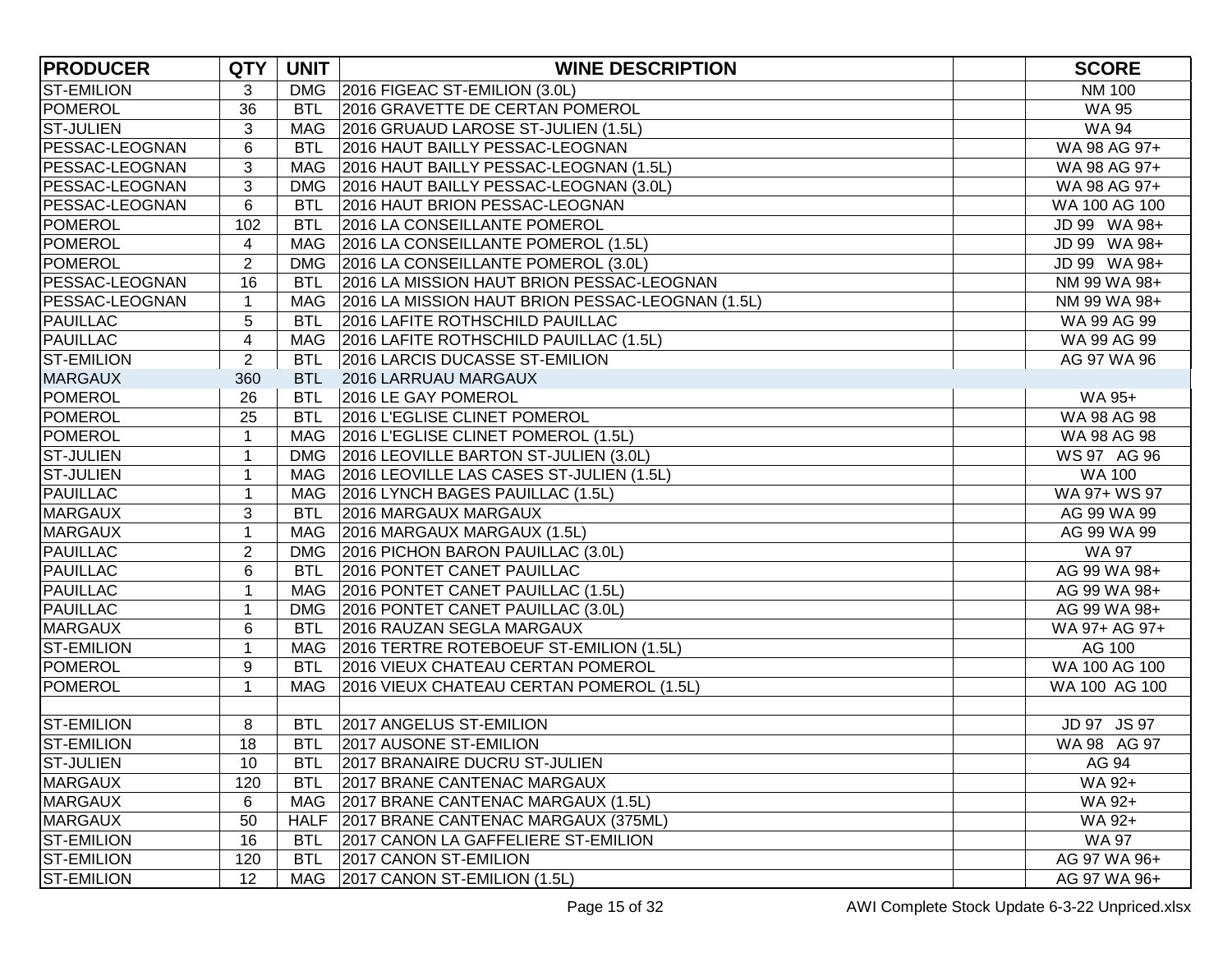| <b>PRODUCER</b>       | <b>QTY</b>     | <b>UNIT</b> | <b>WINE DESCRIPTION</b>                              | <b>SCORE</b>  |
|-----------------------|----------------|-------------|------------------------------------------------------|---------------|
| <b>ST-EMILION</b>     | 3              |             | DMG 2016 FIGEAC ST-EMILION (3.0L)                    | <b>NM 100</b> |
| POMEROL               | 36             |             | BTL 2016 GRAVETTE DE CERTAN POMEROL                  | <b>WA 95</b>  |
| <b>ST-JULIEN</b>      | 3              |             | MAG 2016 GRUAUD LAROSE ST-JULIEN (1.5L)              | <b>WA 94</b>  |
| PESSAC-LEOGNAN        | 6              |             | BTL 2016 HAUT BAILLY PESSAC-LEOGNAN                  | WA 98 AG 97+  |
| PESSAC-LEOGNAN        | 3              |             | MAG 2016 HAUT BAILLY PESSAC-LEOGNAN (1.5L)           | WA 98 AG 97+  |
| PESSAC-LEOGNAN        | 3              | <b>DMG</b>  | 2016 HAUT BAILLY PESSAC-LEOGNAN (3.0L)               | WA 98 AG 97+  |
| PESSAC-LEOGNAN        | 6              | <b>BTL</b>  | 2016 HAUT BRION PESSAC-LEOGNAN                       | WA 100 AG 100 |
| POMEROL               | 102            | <b>BTL</b>  | 2016 LA CONSEILLANTE POMEROL                         | JD 99 WA 98+  |
| POMEROL               | 4              |             | MAG   2016 LA CONSEILLANTE POMEROL (1.5L)            | JD 99 WA 98+  |
| POMEROL               | $\overline{2}$ |             | DMG 2016 LA CONSEILLANTE POMEROL (3.0L)              | JD 99 WA 98+  |
| PESSAC-LEOGNAN        | 16             | <b>BTL</b>  | 2016 LA MISSION HAUT BRION PESSAC-LEOGNAN            | NM 99 WA 98+  |
| <b>PESSAC-LEOGNAN</b> | $\mathbf 1$    |             | MAG 2016 LA MISSION HAUT BRION PESSAC-LEOGNAN (1.5L) | NM 99 WA 98+  |
| PAUILLAC              | 5              | <b>BTL</b>  | 2016 LAFITE ROTHSCHILD PAUILLAC                      | WA 99 AG 99   |
| <b>PAUILLAC</b>       | 4              |             | MAG 2016 LAFITE ROTHSCHILD PAUILLAC (1.5L)           | WA 99 AG 99   |
| <b>ST-EMILION</b>     | $\overline{2}$ | <b>BTL</b>  | 2016 LARCIS DUCASSE ST-EMILION                       | AG 97 WA 96   |
| <b>MARGAUX</b>        | 360            |             | BTL 2016 LARRUAU MARGAUX                             |               |
| POMEROL               | 26             | <b>BTL</b>  | 2016 LE GAY POMEROL                                  | WA 95+        |
| POMEROL               | 25             |             | BTL 2016 L'EGLISE CLINET POMEROL                     | WA 98 AG 98   |
| POMEROL               | $\mathbf{1}$   |             | MAG 2016 L'EGLISE CLINET POMEROL (1.5L)              | WA 98 AG 98   |
| <b>ST-JULIEN</b>      | $\mathbf{1}$   |             | DMG 2016 LEOVILLE BARTON ST-JULIEN (3.0L)            | WS 97 AG 96   |
| <b>ST-JULIEN</b>      | $\mathbf{1}$   |             | MAG 2016 LEOVILLE LAS CASES ST-JULIEN (1.5L)         | <b>WA 100</b> |
| <b>PAUILLAC</b>       | $\mathbf 1$    |             | MAG 2016 LYNCH BAGES PAUILLAC (1.5L)                 | WA 97+ WS 97  |
| <b>MARGAUX</b>        | 3              | <b>BTL</b>  | 2016 MARGAUX MARGAUX                                 | AG 99 WA 99   |
| <b>MARGAUX</b>        | $\mathbf 1$    |             | MAG 2016 MARGAUX MARGAUX (1.5L)                      | AG 99 WA 99   |
| <b>PAUILLAC</b>       | $\overline{2}$ |             | DMG 2016 PICHON BARON PAUILLAC (3.0L)                | <b>WA 97</b>  |
| PAUILLAC              | 6              | <b>BTL</b>  | 2016 PONTET CANET PAUILLAC                           | AG 99 WA 98+  |
| PAUILLAC              | $\mathbf{1}$   |             | MAG   2016 PONTET CANET PAUILLAC (1.5L)              | AG 99 WA 98+  |
| PAUILLAC              | 1              |             | DMG 2016 PONTET CANET PAUILLAC (3.0L)                | AG 99 WA 98+  |
| <b>MARGAUX</b>        | 6              | <b>BTL</b>  | 2016 RAUZAN SEGLA MARGAUX                            | WA 97+ AG 97+ |
| <b>ST-EMILION</b>     | 1              |             | MAG 2016 TERTRE ROTEBOEUF ST-EMILION (1.5L)          | AG 100        |
| POMEROL               | 9              | <b>BTL</b>  | 2016 VIEUX CHATEAU CERTAN POMEROL                    | WA 100 AG 100 |
| POMEROL               | $\mathbf 1$    |             | MAG   2016 VIEUX CHATEAU CERTAN POMEROL (1.5L)       | WA 100 AG 100 |
|                       |                |             |                                                      |               |
| ST-EMILION            | 8              | <b>BTL</b>  | 2017 ANGELUS ST-EMILION                              | JD 97 JS 97   |
| <b>ST-EMILION</b>     | 18             |             | BTL 2017 AUSONE ST-EMILION                           | WA 98 AG 97   |
| <b>ST-JULIEN</b>      | 10             | <b>BTL</b>  | 2017 BRANAIRE DUCRU ST-JULIEN                        | AG 94         |
| <b>MARGAUX</b>        | 120            | <b>BTL</b>  | 2017 BRANE CANTENAC MARGAUX                          | WA 92+        |
| <b>MARGAUX</b>        | 6              |             | MAG   2017 BRANE CANTENAC MARGAUX (1.5L)             | WA 92+        |
| <b>MARGAUX</b>        | 50             |             | HALF 2017 BRANE CANTENAC MARGAUX (375ML)             | WA 92+        |
| <b>ST-EMILION</b>     | 16             | <b>BTL</b>  | 2017 CANON LA GAFFELIERE ST-EMILION                  | <b>WA 97</b>  |
| <b>ST-EMILION</b>     | 120            | <b>BTL</b>  | 2017 CANON ST-EMILION                                | AG 97 WA 96+  |
| <b>ST-EMILION</b>     | 12             | MAG         | 2017 CANON ST-EMILION (1.5L)                         | AG 97 WA 96+  |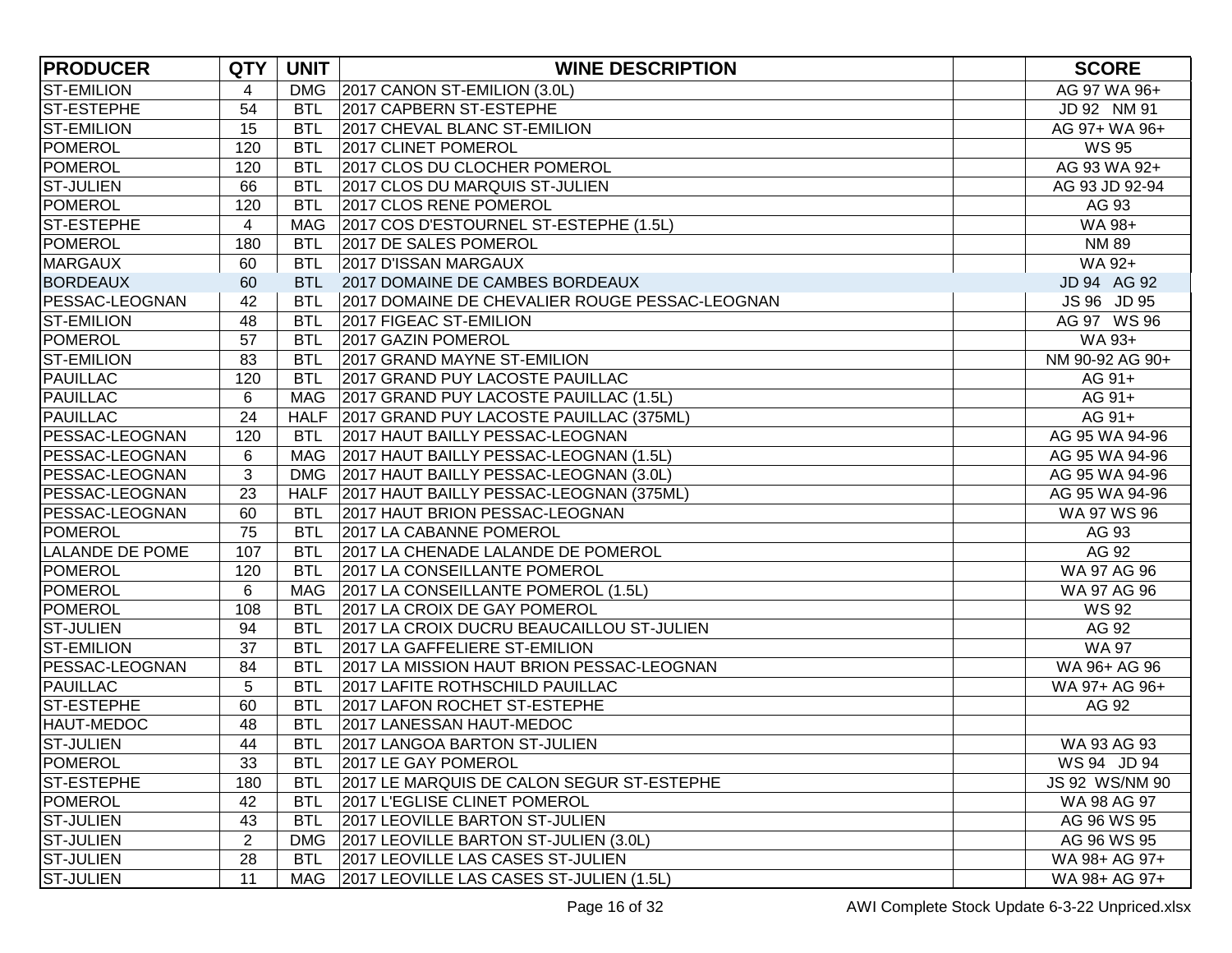| <b>PRODUCER</b>        | <b>QTY</b>               | <b>UNIT</b> | <b>WINE DESCRIPTION</b>                        | <b>SCORE</b>    |
|------------------------|--------------------------|-------------|------------------------------------------------|-----------------|
| <b>ST-EMILION</b>      | 4                        | <b>DMG</b>  | 2017 CANON ST-EMILION (3.0L)                   | AG 97 WA 96+    |
| ST-ESTEPHE             | 54                       | <b>BTL</b>  | 2017 CAPBERN ST-ESTEPHE                        | JD 92 NM 91     |
| <b>ST-EMILION</b>      | 15                       | <b>BTL</b>  | 2017 CHEVAL BLANC ST-EMILION                   | AG 97+ WA 96+   |
| <b>POMEROL</b>         | 120                      | <b>BTL</b>  | 2017 CLINET POMEROL                            | <b>WS 95</b>    |
| <b>POMEROL</b>         | 120                      | <b>BTL</b>  | 2017 CLOS DU CLOCHER POMEROL                   | AG 93 WA 92+    |
| <b>ST-JULIEN</b>       | 66                       | <b>BTL</b>  | 2017 CLOS DU MARQUIS ST-JULIEN                 | AG 93 JD 92-94  |
| <b>POMEROL</b>         | 120                      | <b>BTL</b>  | 2017 CLOS RENE POMEROL                         | AG 93           |
| <b>ST-ESTEPHE</b>      | $\overline{\mathcal{A}}$ | MAG         | 2017 COS D'ESTOURNEL ST-ESTEPHE (1.5L)         | WA 98+          |
| <b>POMEROL</b>         | 180                      | <b>BTL</b>  | 2017 DE SALES POMEROL                          | <b>NM 89</b>    |
| <b>MARGAUX</b>         | 60                       | <b>BTL</b>  | 2017 D'ISSAN MARGAUX                           | WA 92+          |
| <b>BORDEAUX</b>        | 60                       | <b>BTL</b>  | 2017 DOMAINE DE CAMBES BORDEAUX                | JD 94 AG 92     |
| <b>PESSAC-LEOGNAN</b>  | 42                       | <b>BTL</b>  | 2017 DOMAINE DE CHEVALIER ROUGE PESSAC-LEOGNAN | JS 96 JD 95     |
| <b>ST-EMILION</b>      | 48                       | <b>BTL</b>  | 2017 FIGEAC ST-EMILION                         | AG 97 WS 96     |
| <b>POMEROL</b>         | 57                       | <b>BTL</b>  | 2017 GAZIN POMEROL                             | WA 93+          |
| <b>ST-EMILION</b>      | 83                       | <b>BTL</b>  | 2017 GRAND MAYNE ST-EMILION                    | NM 90-92 AG 90+ |
| <b>PAUILLAC</b>        | 120                      | <b>BTL</b>  | 2017 GRAND PUY LACOSTE PAUILLAC                | AG 91+          |
| PAUILLAC               | 6                        | MAG         | 2017 GRAND PUY LACOSTE PAUILLAC (1.5L)         | AG 91+          |
| <b>PAUILLAC</b>        | 24                       | <b>HALF</b> | 2017 GRAND PUY LACOSTE PAUILLAC (375ML)        | AG 91+          |
| PESSAC-LEOGNAN         | 120                      | <b>BTL</b>  | 2017 HAUT BAILLY PESSAC-LEOGNAN                | AG 95 WA 94-96  |
| <b>PESSAC-LEOGNAN</b>  | 6                        | MAG         | 2017 HAUT BAILLY PESSAC-LEOGNAN (1.5L)         | AG 95 WA 94-96  |
| <b>PESSAC-LEOGNAN</b>  | 3                        | <b>DMG</b>  | 2017 HAUT BAILLY PESSAC-LEOGNAN (3.0L)         | AG 95 WA 94-96  |
| PESSAC-LEOGNAN         | 23                       |             | HALF 2017 HAUT BAILLY PESSAC-LEOGNAN (375ML)   | AG 95 WA 94-96  |
| <b>PESSAC-LEOGNAN</b>  | 60                       | <b>BTL</b>  | 2017 HAUT BRION PESSAC-LEOGNAN                 | WA 97 WS 96     |
| POMEROL                | 75                       | <b>BTL</b>  | 2017 LA CABANNE POMEROL                        | AG 93           |
| <b>LALANDE DE POME</b> | 107                      | <b>BTL</b>  | 2017 LA CHENADE LALANDE DE POMEROL             | AG 92           |
| POMEROL                | 120                      | <b>BTL</b>  | 2017 LA CONSEILLANTE POMEROL                   | WA 97 AG 96     |
| POMEROL                | 6                        | MAG         | 2017 LA CONSEILLANTE POMEROL (1.5L)            | WA 97 AG 96     |
| <b>POMEROL</b>         | 108                      | <b>BTL</b>  | 2017 LA CROIX DE GAY POMEROL                   | <b>WS 92</b>    |
| <b>ST-JULIEN</b>       | 94                       | <b>BTL</b>  | 2017 LA CROIX DUCRU BEAUCAILLOU ST-JULIEN      | AG 92           |
| <b>ST-EMILION</b>      | 37                       | <b>BTL</b>  | 2017 LA GAFFELIERE ST-EMILION                  | <b>WA 97</b>    |
| PESSAC-LEOGNAN         | 84                       | <b>BTL</b>  | 2017 LA MISSION HAUT BRION PESSAC-LEOGNAN      | WA 96+ AG 96    |
| <b>PAUILLAC</b>        | 5                        | <b>BTL</b>  | 2017 LAFITE ROTHSCHILD PAUILLAC                | WA 97+ AG 96+   |
| <b>ST-ESTEPHE</b>      | 60                       | <b>BTL</b>  | 2017 LAFON ROCHET ST-ESTEPHE                   | AG 92           |
| HAUT-MEDOC             | 48                       | <b>BTL</b>  | 2017 LANESSAN HAUT-MEDOC                       |                 |
| <b>ST-JULIEN</b>       | 44                       | <b>BTL</b>  | 2017 LANGOA BARTON ST-JULIEN                   | WA 93 AG 93     |
| POMEROL                | 33                       | <b>BTL</b>  | 2017 LE GAY POMEROL                            | WS 94 JD 94     |
| ST-ESTEPHE             | 180                      | <b>BTL</b>  | 2017 LE MARQUIS DE CALON SEGUR ST-ESTEPHE      | JS 92 WS/NM 90  |
| <b>POMEROL</b>         | 42                       | <b>BTL</b>  | 2017 L'EGLISE CLINET POMEROL                   | WA 98 AG 97     |
| <b>ST-JULIEN</b>       | 43                       | <b>BTL</b>  | 2017 LEOVILLE BARTON ST-JULIEN                 | AG 96 WS 95     |
| <b>ST-JULIEN</b>       | $\overline{2}$           | <b>DMG</b>  | 2017 LEOVILLE BARTON ST-JULIEN (3.0L)          | AG 96 WS 95     |
| <b>ST-JULIEN</b>       | 28                       | <b>BTL</b>  | 2017 LEOVILLE LAS CASES ST-JULIEN              | WA 98+ AG 97+   |
| <b>ST-JULIEN</b>       | 11                       | MAG         | 2017 LEOVILLE LAS CASES ST-JULIEN (1.5L)       | WA 98+ AG 97+   |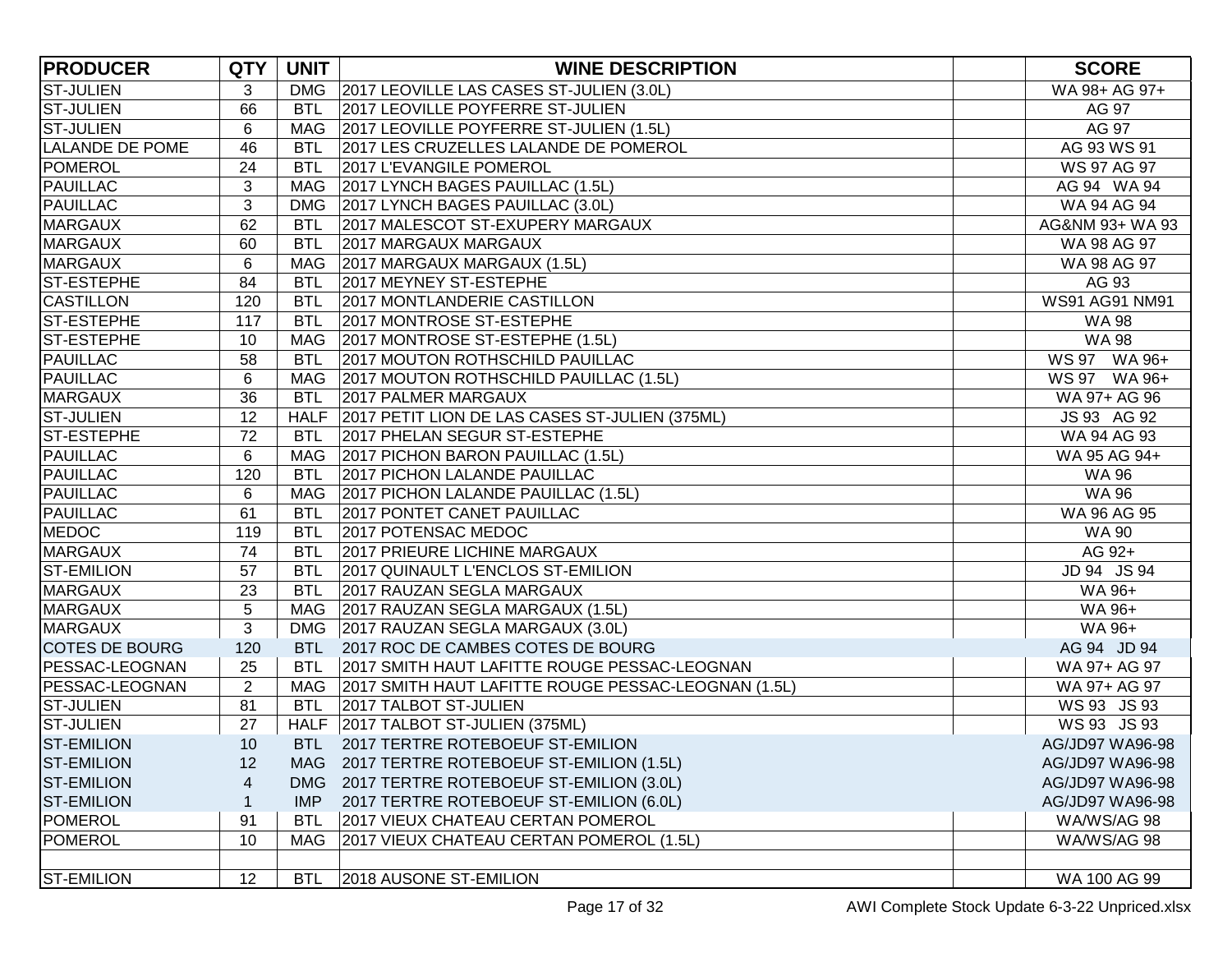| <b>PRODUCER</b>        | <b>QTY</b>     | <b>UNIT</b> | <b>WINE DESCRIPTION</b>                                 | <b>SCORE</b>    |
|------------------------|----------------|-------------|---------------------------------------------------------|-----------------|
| <b>ST-JULIEN</b>       | 3              |             | DMG 2017 LEOVILLE LAS CASES ST-JULIEN (3.0L)            | WA 98+ AG 97+   |
| <b>ST-JULIEN</b>       | 66             | <b>BTL</b>  | 2017 LEOVILLE POYFERRE ST-JULIEN                        | AG 97           |
| <b>ST-JULIEN</b>       | 6              |             | MAG 2017 LEOVILLE POYFERRE ST-JULIEN (1.5L)             | AG 97           |
| <b>LALANDE DE POME</b> | 46             | <b>BTL</b>  | 2017 LES CRUZELLES LALANDE DE POMEROL                   | AG 93 WS 91     |
| POMEROL                | 24             | <b>BTL</b>  | 2017 L'EVANGILE POMEROL                                 | WS 97 AG 97     |
| PAUILLAC               | 3              | <b>MAG</b>  | 2017 LYNCH BAGES PAUILLAC (1.5L)                        | AG 94 WA 94     |
| PAUILLAC               | 3              | <b>DMG</b>  | 2017 LYNCH BAGES PAUILLAC (3.0L)                        | WA 94 AG 94     |
| <b>MARGAUX</b>         | 62             | <b>BTL</b>  | 2017 MALESCOT ST-EXUPERY MARGAUX                        | AG&NM 93+ WA 93 |
| <b>MARGAUX</b>         | 60             | <b>BTL</b>  | 2017 MARGAUX MARGAUX                                    | WA 98 AG 97     |
| <b>MARGAUX</b>         | 6              | MAG         | 2017 MARGAUX MARGAUX (1.5L)                             | WA 98 AG 97     |
| <b>ST-ESTEPHE</b>      | 84             | <b>BTL</b>  | 2017 MEYNEY ST-ESTEPHE                                  | AG 93           |
| <b>CASTILLON</b>       | 120            | <b>BTL</b>  | 2017 MONTLANDERIE CASTILLON                             | WS91 AG91 NM91  |
| <b>ST-ESTEPHE</b>      | 117            | <b>BTL</b>  | 2017 MONTROSE ST-ESTEPHE                                | <b>WA 98</b>    |
| <b>ST-ESTEPHE</b>      | 10             | MAG         | 2017 MONTROSE ST-ESTEPHE (1.5L)                         | <b>WA98</b>     |
| <b>PAUILLAC</b>        | 58             | <b>BTL</b>  | 2017 MOUTON ROTHSCHILD PAUILLAC                         | WS 97 WA 96+    |
| <b>PAUILLAC</b>        | 6              | MAG         | 2017 MOUTON ROTHSCHILD PAUILLAC (1.5L)                  | WS 97 WA 96+    |
| <b>MARGAUX</b>         | 36             | <b>BTL</b>  | 2017 PALMER MARGAUX                                     | WA 97+ AG 96    |
| <b>ST-JULIEN</b>       | 12             |             | HALF 2017 PETIT LION DE LAS CASES ST-JULIEN (375ML)     | JS 93 AG 92     |
| <b>ST-ESTEPHE</b>      | 72             |             | BTL 2017 PHELAN SEGUR ST-ESTEPHE                        | WA 94 AG 93     |
| PAUILLAC               | 6              |             | MAG 2017 PICHON BARON PAUILLAC (1.5L)                   | WA 95 AG 94+    |
| PAUILLAC               | 120            | <b>BTL</b>  | 2017 PICHON LALANDE PAUILLAC                            | <b>WA 96</b>    |
| <b>PAUILLAC</b>        | 6              |             | MAG 2017 PICHON LALANDE PAUILLAC (1.5L)                 | <b>WA 96</b>    |
| PAUILLAC               | 61             | <b>BTL</b>  | 2017 PONTET CANET PAUILLAC                              | WA 96 AG 95     |
| <b>MEDOC</b>           | 119            | <b>BTL</b>  | 2017 POTENSAC MEDOC                                     | <b>WA 90</b>    |
| <b>MARGAUX</b>         | 74             | <b>BTL</b>  | 2017 PRIEURE LICHINE MARGAUX                            | AG 92+          |
| <b>ST-EMILION</b>      | 57             | <b>BTL</b>  | 2017 QUINAULT L'ENCLOS ST-EMILION                       | JD 94 JS 94     |
| <b>MARGAUX</b>         | 23             | <b>BTL</b>  | 2017 RAUZAN SEGLA MARGAUX                               | WA 96+          |
| <b>MARGAUX</b>         | 5              |             | MAG 2017 RAUZAN SEGLA MARGAUX (1.5L)                    | WA 96+          |
| <b>MARGAUX</b>         | 3              |             | DMG   2017 RAUZAN SEGLA MARGAUX (3.0L)                  | WA 96+          |
| <b>COTES DE BOURG</b>  | 120            | <b>BTL</b>  | 2017 ROC DE CAMBES COTES DE BOURG                       | AG 94 JD 94     |
| PESSAC-LEOGNAN         | 25             | <b>BTL</b>  | 2017 SMITH HAUT LAFITTE ROUGE PESSAC-LEOGNAN            | WA 97+ AG 97    |
| PESSAC-LEOGNAN         | $\overline{2}$ |             | MAG 2017 SMITH HAUT LAFITTE ROUGE PESSAC-LEOGNAN (1.5L) | WA 97+ AG 97    |
| <b>ST-JULIEN</b>       | 81             | <b>BTL</b>  | 2017 TALBOT ST-JULIEN                                   | WS 93 JS 93     |
| <b>ST-JULIEN</b>       | 27             |             | HALF 2017 TALBOT ST-JULIEN (375ML)                      | WS 93 JS 93     |
| <b>ST-EMILION</b>      | 10             |             | BTL 2017 TERTRE ROTEBOEUF ST-EMILION                    | AG/JD97 WA96-98 |
| <b>ST-EMILION</b>      | 12             |             | MAG 2017 TERTRE ROTEBOEUF ST-EMILION (1.5L)             | AG/JD97 WA96-98 |
| <b>ST-EMILION</b>      | 4              |             | DMG 2017 TERTRE ROTEBOEUF ST-EMILION (3.0L)             | AG/JD97 WA96-98 |
| <b>ST-EMILION</b>      | $\mathbf{1}$   |             | IMP 2017 TERTRE ROTEBOEUF ST-EMILION (6.0L)             | AG/JD97 WA96-98 |
| <b>POMEROL</b>         | 91             | <b>BTL</b>  | 2017 VIEUX CHATEAU CERTAN POMEROL                       | WA/WS/AG 98     |
| <b>POMEROL</b>         | 10             | MAG         | 2017 VIEUX CHATEAU CERTAN POMEROL (1.5L)                | WA/WS/AG 98     |
|                        |                |             |                                                         |                 |
| <b>ST-EMILION</b>      | 12             | <b>BTL</b>  | 2018 AUSONE ST-EMILION                                  | WA 100 AG 99    |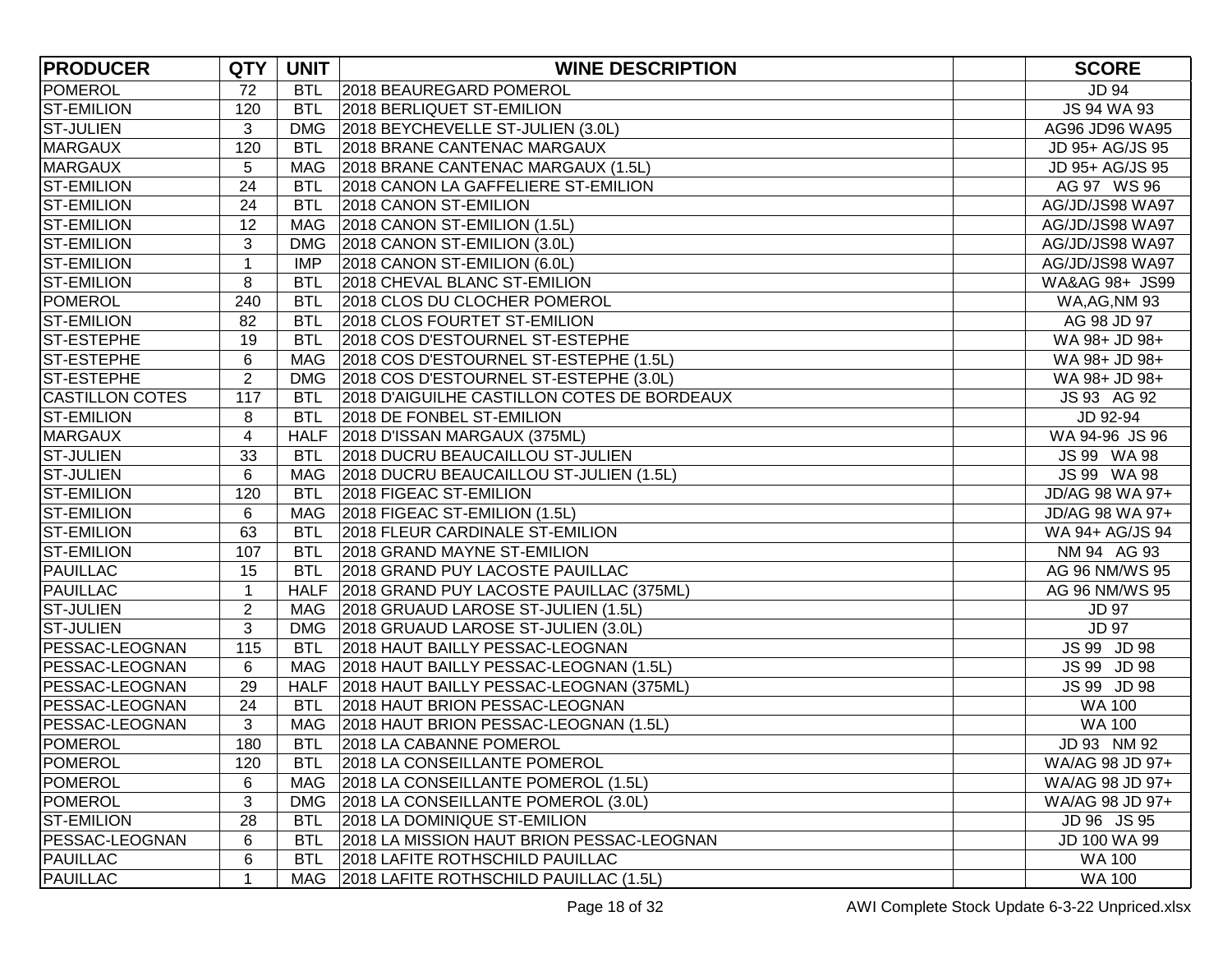| <b>PRODUCER</b>        | <b>QTY</b>              | <b>UNIT</b> | <b>WINE DESCRIPTION</b>                       | <b>SCORE</b>         |
|------------------------|-------------------------|-------------|-----------------------------------------------|----------------------|
| POMEROL                | 72                      | <b>BTL</b>  | 2018 BEAUREGARD POMEROL                       | JD 94                |
| <b>ST-EMILION</b>      | 120                     | <b>BTL</b>  | 2018 BERLIQUET ST-EMILION                     | JS 94 WA 93          |
| <b>ST-JULIEN</b>       | 3                       |             | DMG   2018 BEYCHEVELLE ST-JULIEN (3.0L)       | AG96 JD96 WA95       |
| <b>MARGAUX</b>         | 120                     | <b>BTL</b>  | 2018 BRANE CANTENAC MARGAUX                   | JD 95+ AG/JS 95      |
| <b>MARGAUX</b>         | 5                       | MAG         | 2018 BRANE CANTENAC MARGAUX (1.5L)            | JD 95+ AG/JS 95      |
| <b>ST-EMILION</b>      | 24                      | <b>BTL</b>  | 2018 CANON LA GAFFELIERE ST-EMILION           | AG 97 WS 96          |
| <b>ST-EMILION</b>      | 24                      | <b>BTL</b>  | 2018 CANON ST-EMILION                         | AG/JD/JS98 WA97      |
| <b>ST-EMILION</b>      | 12                      | <b>MAG</b>  | 2018 CANON ST-EMILION (1.5L)                  | AG/JD/JS98 WA97      |
| <b>ST-EMILION</b>      | 3                       | <b>DMG</b>  | 2018 CANON ST-EMILION (3.0L)                  | AG/JD/JS98 WA97      |
| <b>ST-EMILION</b>      | $\mathbf 1$             | <b>IMP</b>  | 2018 CANON ST-EMILION (6.0L)                  | AG/JD/JS98 WA97      |
| <b>ST-EMILION</b>      | 8                       | <b>BTL</b>  | 2018 CHEVAL BLANC ST-EMILION                  | WA&AG 98+ JS99       |
| <b>POMEROL</b>         | 240                     | <b>BTL</b>  | 2018 CLOS DU CLOCHER POMEROL                  | <b>WA, AG, NM 93</b> |
| <b>ST-EMILION</b>      | 82                      | <b>BTL</b>  | 2018 CLOS FOURTET ST-EMILION                  | AG 98 JD 97          |
| <b>ST-ESTEPHE</b>      | 19                      | <b>BTL</b>  | 2018 COS D'ESTOURNEL ST-ESTEPHE               | WA 98+ JD 98+        |
| <b>ST-ESTEPHE</b>      | 6                       | MAG         | 2018 COS D'ESTOURNEL ST-ESTEPHE (1.5L)        | WA 98+ JD 98+        |
| <b>ST-ESTEPHE</b>      | $\overline{2}$          | <b>DMG</b>  | 2018 COS D'ESTOURNEL ST-ESTEPHE (3.0L)        | WA 98+ JD 98+        |
| <b>CASTILLON COTES</b> | 117                     | <b>BTL</b>  | 2018 D'AIGUILHE CASTILLON COTES DE BORDEAUX   | JS 93 AG 92          |
| <b>ST-EMILION</b>      | 8                       | <b>BTL</b>  | 2018 DE FONBEL ST-EMILION                     | JD 92-94             |
| <b>MARGAUX</b>         | $\overline{\mathbf{4}}$ |             | HALF 2018 D'ISSAN MARGAUX (375ML)             | WA 94-96 JS 96       |
| <b>ST-JULIEN</b>       | 33                      | BTL         | 2018 DUCRU BEAUCAILLOU ST-JULIEN              | JS 99 WA 98          |
| <b>ST-JULIEN</b>       | 6                       |             | MAG   2018 DUCRU BEAUCAILLOU ST-JULIEN (1.5L) | JS 99 WA 98          |
| <b>ST-EMILION</b>      | 120                     | <b>BTL</b>  | 2018 FIGEAC ST-EMILION                        | JD/AG 98 WA 97+      |
| <b>ST-EMILION</b>      | 6                       |             | MAG 2018 FIGEAC ST-EMILION (1.5L)             | JD/AG 98 WA 97+      |
| <b>ST-EMILION</b>      | 63                      | <b>BTL</b>  | 2018 FLEUR CARDINALE ST-EMILION               | WA 94+ AG/JS 94      |
| <b>ST-EMILION</b>      | 107                     | <b>BTL</b>  | 2018 GRAND MAYNE ST-EMILION                   | NM 94 AG 93          |
| <b>PAUILLAC</b>        | 15                      | <b>BTL</b>  | 2018 GRAND PUY LACOSTE PAUILLAC               | AG 96 NM/WS 95       |
| <b>PAUILLAC</b>        | $\mathbf 1$             | <b>HALF</b> | 2018 GRAND PUY LACOSTE PAUILLAC (375ML)       | AG 96 NM/WS 95       |
| <b>ST-JULIEN</b>       | $\overline{2}$          | MAG         | 2018 GRUAUD LAROSE ST-JULIEN (1.5L)           | <b>JD 97</b>         |
| <b>ST-JULIEN</b>       | 3                       | DMG         | 2018 GRUAUD LAROSE ST-JULIEN (3.0L)           | <b>JD 97</b>         |
| PESSAC-LEOGNAN         | 115                     | <b>BTL</b>  | 2018 HAUT BAILLY PESSAC-LEOGNAN               | JS 99 JD 98          |
| <b>PESSAC-LEOGNAN</b>  | 6                       |             | MAG   2018 HAUT BAILLY PESSAC-LEOGNAN (1.5L)  | JS 99 JD 98          |
| PESSAC-LEOGNAN         | 29                      |             | HALF 2018 HAUT BAILLY PESSAC-LEOGNAN (375ML)  | JS 99 JD 98          |
| PESSAC-LEOGNAN         | 24                      | <b>BTL</b>  | 2018 HAUT BRION PESSAC-LEOGNAN                | <b>WA 100</b>        |
| PESSAC-LEOGNAN         | 3                       | MAG         | 2018 HAUT BRION PESSAC-LEOGNAN (1.5L)         | <b>WA 100</b>        |
| <b>POMEROL</b>         | 180                     | <b>BTL</b>  | 2018 LA CABANNE POMEROL                       | JD 93 NM 92          |
| <b>POMEROL</b>         | 120                     | <b>BTL</b>  | 2018 LA CONSEILLANTE POMEROL                  | WA/AG 98 JD 97+      |
| POMEROL                | 6                       | MAG         | 2018 LA CONSEILLANTE POMEROL (1.5L)           | WA/AG 98 JD 97+      |
| POMEROL                | 3                       | <b>DMG</b>  | 2018 LA CONSEILLANTE POMEROL (3.0L)           | WA/AG 98 JD 97+      |
| <b>ST-EMILION</b>      | 28                      | BTL         | 2018 LA DOMINIQUE ST-EMILION                  | JD 96 JS 95          |
| PESSAC-LEOGNAN         | 6                       | BTL         | 2018 LA MISSION HAUT BRION PESSAC-LEOGNAN     | JD 100 WA 99         |
| PAUILLAC               | 6                       | <b>BTL</b>  | 2018 LAFITE ROTHSCHILD PAUILLAC               | <b>WA 100</b>        |
| <b>PAUILLAC</b>        | 1                       | MAG         | 2018 LAFITE ROTHSCHILD PAUILLAC (1.5L)        | <b>WA 100</b>        |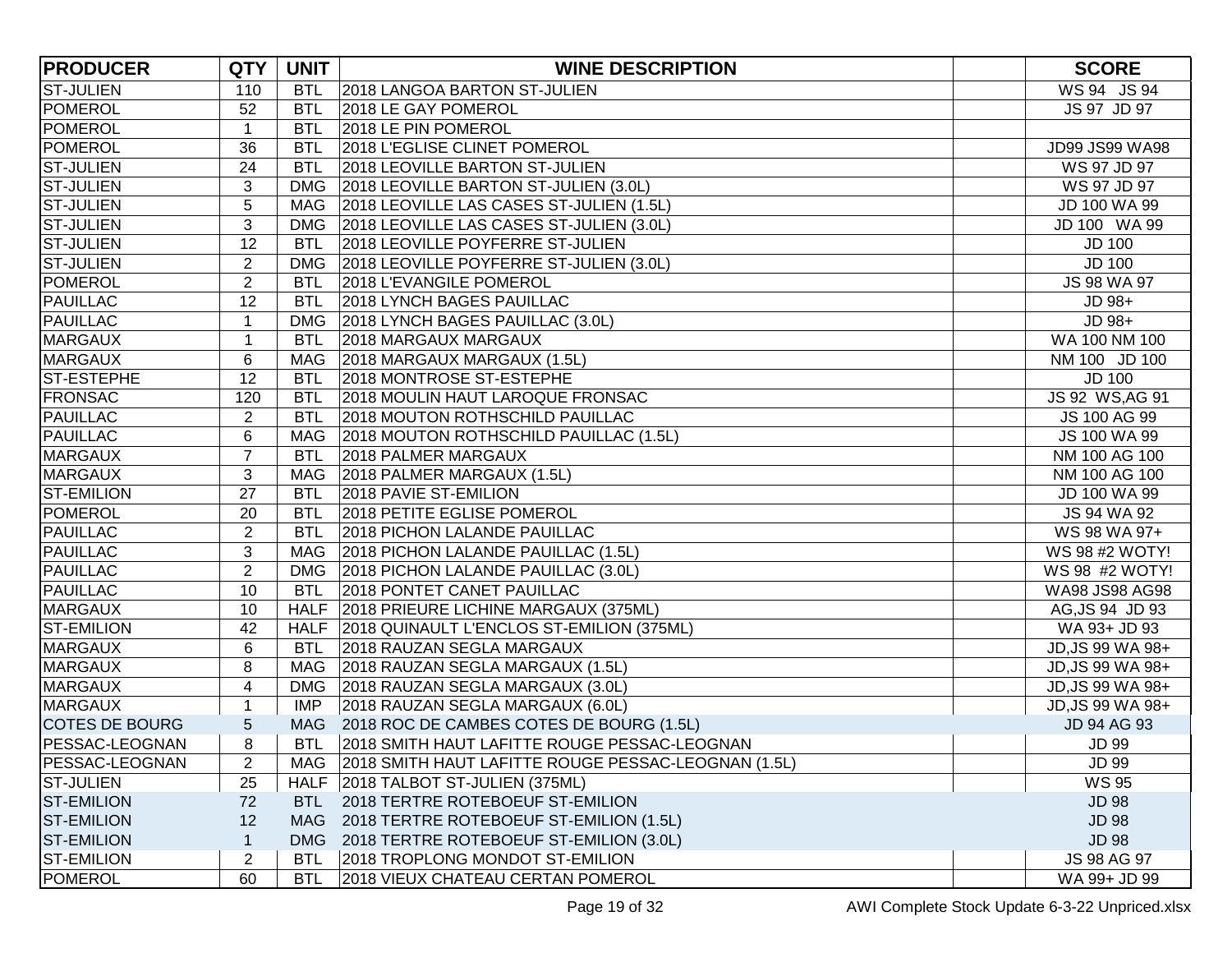| <b>PRODUCER</b>       | <b>QTY</b>              | <b>UNIT</b> | <b>WINE DESCRIPTION</b>                             | <b>SCORE</b>     |
|-----------------------|-------------------------|-------------|-----------------------------------------------------|------------------|
| <b>ST-JULIEN</b>      | 110                     | <b>BTL</b>  | 2018 LANGOA BARTON ST-JULIEN                        | WS 94 JS 94      |
| POMEROL               | 52                      | <b>BTL</b>  | 2018 LE GAY POMEROL                                 | JS 97 JD 97      |
| POMEROL               | $\mathbf{1}$            | <b>BTL</b>  | 2018 LE PIN POMEROL                                 |                  |
| POMEROL               | 36                      | <b>BTL</b>  | 2018 L'EGLISE CLINET POMEROL                        | JD99 JS99 WA98   |
| <b>ST-JULIEN</b>      | 24                      | <b>BTL</b>  | 2018 LEOVILLE BARTON ST-JULIEN                      | WS 97 JD 97      |
| <b>ST-JULIEN</b>      | 3                       | <b>DMG</b>  | 2018 LEOVILLE BARTON ST-JULIEN (3.0L)               | WS 97 JD 97      |
| <b>ST-JULIEN</b>      | 5                       |             | MAG   2018 LEOVILLE LAS CASES ST-JULIEN (1.5L)      | JD 100 WA 99     |
| <b>ST-JULIEN</b>      | 3                       | <b>DMG</b>  | 2018 LEOVILLE LAS CASES ST-JULIEN (3.0L)            | JD 100 WA 99     |
| <b>ST-JULIEN</b>      | 12                      | <b>BTL</b>  | 2018 LEOVILLE POYFERRE ST-JULIEN                    | <b>JD 100</b>    |
| <b>ST-JULIEN</b>      | $\overline{2}$          |             | DMG   2018 LEOVILLE POYFERRE ST-JULIEN (3.0L)       | <b>JD 100</b>    |
| POMEROL               | $\overline{2}$          | BTL         | 2018 L'EVANGILE POMEROL                             | JS 98 WA 97      |
| <b>PAUILLAC</b>       | 12                      | <b>BTL</b>  | 2018 LYNCH BAGES PAUILLAC                           | JD 98+           |
| <b>PAUILLAC</b>       | 1                       |             | DMG   2018 LYNCH BAGES PAUILLAC (3.0L)              | JD 98+           |
| <b>MARGAUX</b>        | 1                       | <b>BTL</b>  | 2018 MARGAUX MARGAUX                                | WA 100 NM 100    |
| <b>MARGAUX</b>        | $\,6$                   |             | MAG 2018 MARGAUX MARGAUX (1.5L)                     | NM 100 JD 100    |
| <b>ST-ESTEPHE</b>     | 12                      | <b>BTL</b>  | 2018 MONTROSE ST-ESTEPHE                            | <b>JD 100</b>    |
| <b>FRONSAC</b>        | 120                     | <b>BTL</b>  | 2018 MOULIN HAUT LAROQUE FRONSAC                    | JS 92 WS, AG 91  |
| <b>PAUILLAC</b>       | $\overline{2}$          | <b>BTL</b>  | 2018 MOUTON ROTHSCHILD PAUILLAC                     | JS 100 AG 99     |
| <b>PAUILLAC</b>       | 6                       |             | MAG 2018 MOUTON ROTHSCHILD PAUILLAC (1.5L)          | JS 100 WA 99     |
| <b>MARGAUX</b>        | $\overline{7}$          |             | BTL 2018 PALMER MARGAUX                             | NM 100 AG 100    |
| <b>MARGAUX</b>        | $\sqrt{3}$              |             | MAG 2018 PALMER MARGAUX (1.5L)                      | NM 100 AG 100    |
| <b>ST-EMILION</b>     | 27                      | <b>BTL</b>  | 2018 PAVIE ST-EMILION                               | JD 100 WA 99     |
| <b>POMEROL</b>        | 20                      | <b>BTL</b>  | 2018 PETITE EGLISE POMEROL                          | JS 94 WA 92      |
| PAUILLAC              | $\overline{2}$          | <b>BTL</b>  | 2018 PICHON LALANDE PAUILLAC                        | WS 98 WA 97+     |
| PAUILLAC              | 3                       |             | MAG   2018 PICHON LALANDE PAUILLAC (1.5L)           | WS 98 #2 WOTY!   |
| PAUILLAC              | $\overline{2}$          |             | DMG 2018 PICHON LALANDE PAUILLAC (3.0L)             | WS 98 #2 WOTY!   |
| PAUILLAC              | 10                      | <b>BTL</b>  | 2018 PONTET CANET PAUILLAC                          | WA98 JS98 AG98   |
| <b>MARGAUX</b>        | 10                      |             | HALF 2018 PRIEURE LICHINE MARGAUX (375ML)           | AG, JS 94 JD 93  |
| <b>ST-EMILION</b>     | 42                      |             | HALF 2018 QUINAULT L'ENCLOS ST-EMILION (375ML)      | WA 93+ JD 93     |
| <b>MARGAUX</b>        | 6                       | <b>BTL</b>  | 2018 RAUZAN SEGLA MARGAUX                           | JD, JS 99 WA 98+ |
| <b>MARGAUX</b>        | 8                       |             | MAG 2018 RAUZAN SEGLA MARGAUX (1.5L)                | JD, JS 99 WA 98+ |
| <b>MARGAUX</b>        | $\overline{\mathbf{4}}$ |             | DMG   2018 RAUZAN SEGLA MARGAUX (3.0L)              | JD, JS 99 WA 98+ |
| <b>MARGAUX</b>        | 1                       | <b>IMP</b>  | 2018 RAUZAN SEGLA MARGAUX (6.0L)                    | JD, JS 99 WA 98+ |
| <b>COTES DE BOURG</b> | 5                       |             | MAG 2018 ROC DE CAMBES COTES DE BOURG (1.5L)        | JD 94 AG 93      |
| PESSAC-LEOGNAN        | 8                       |             | BTL 2018 SMITH HAUT LAFITTE ROUGE PESSAC-LEOGNAN    | <b>JD 99</b>     |
| PESSAC-LEOGNAN        | $\overline{2}$          | MAG         | 2018 SMITH HAUT LAFITTE ROUGE PESSAC-LEOGNAN (1.5L) | <b>JD 99</b>     |
| <b>ST-JULIEN</b>      | 25                      |             | HALF 2018 TALBOT ST-JULIEN (375ML)                  | <b>WS 95</b>     |
| <b>ST-EMILION</b>     | 72                      | <b>BTL</b>  | 2018 TERTRE ROTEBOEUF ST-EMILION                    | <b>JD 98</b>     |
| <b>ST-EMILION</b>     | 12                      |             | MAG 2018 TERTRE ROTEBOEUF ST-EMILION (1.5L)         | <b>JD 98</b>     |
| <b>ST-EMILION</b>     | $\mathbf 1$             | <b>DMG</b>  | 2018 TERTRE ROTEBOEUF ST-EMILION (3.0L)             | <b>JD 98</b>     |
| <b>ST-EMILION</b>     | $\overline{2}$          | <b>BTL</b>  | 2018 TROPLONG MONDOT ST-EMILION                     | JS 98 AG 97      |
| <b>POMEROL</b>        | 60                      | <b>BTL</b>  | 2018 VIEUX CHATEAU CERTAN POMEROL                   | WA 99+ JD 99     |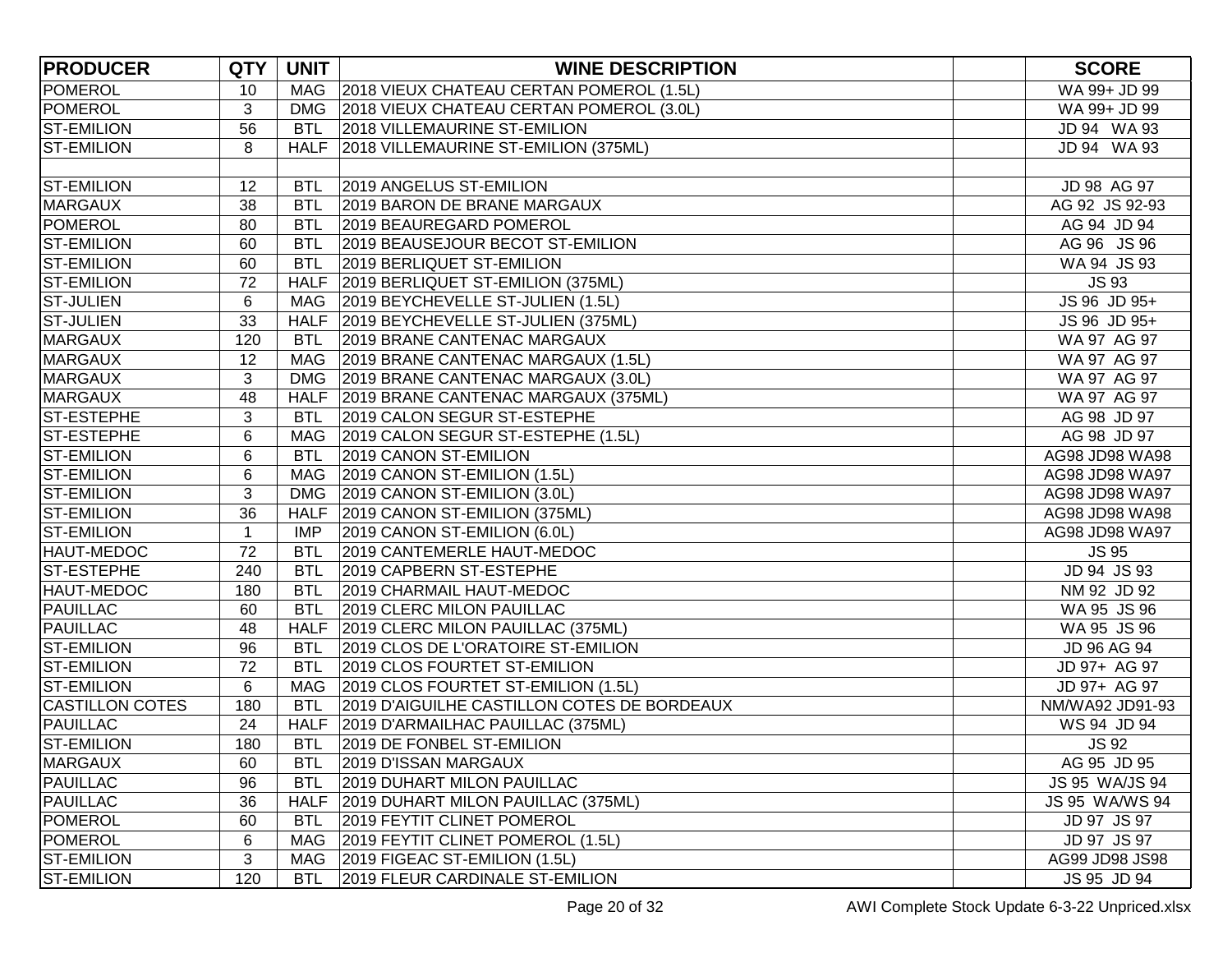| <b>PRODUCER</b>        | <b>QTY</b>   | <b>UNIT</b> | <b>WINE DESCRIPTION</b>                      | <b>SCORE</b>    |
|------------------------|--------------|-------------|----------------------------------------------|-----------------|
| <b>POMEROL</b>         | 10           |             | MAG 2018 VIEUX CHATEAU CERTAN POMEROL (1.5L) | WA 99+ JD 99    |
| POMEROL                | 3            |             | DMG 2018 VIEUX CHATEAU CERTAN POMEROL (3.0L) | WA 99+ JD 99    |
| <b>ST-EMILION</b>      | 56           | <b>BTL</b>  | 2018 VILLEMAURINE ST-EMILION                 | JD 94 WA 93     |
| <b>ST-EMILION</b>      | 8            |             | HALF 2018 VILLEMAURINE ST-EMILION (375ML)    | JD 94 WA 93     |
|                        |              |             |                                              |                 |
| <b>ST-EMILION</b>      | 12           | <b>BTL</b>  | 2019 ANGELUS ST-EMILION                      | JD 98 AG 97     |
| <b>MARGAUX</b>         | 38           | <b>BTL</b>  | 2019 BARON DE BRANE MARGAUX                  | AG 92 JS 92-93  |
| POMEROL                | 80           | <b>BTL</b>  | 2019 BEAUREGARD POMEROL                      | AG 94 JD 94     |
| <b>ST-EMILION</b>      | 60           | <b>BTL</b>  | 2019 BEAUSEJOUR BECOT ST-EMILION             | AG 96 JS 96     |
| <b>ST-EMILION</b>      | 60           | <b>BTL</b>  | 2019 BERLIQUET ST-EMILION                    | WA 94 JS 93     |
| <b>ST-EMILION</b>      | 72           |             | HALF 2019 BERLIQUET ST-EMILION (375ML)       | <b>JS93</b>     |
| <b>ST-JULIEN</b>       | 6            |             | MAG 2019 BEYCHEVELLE ST-JULIEN (1.5L)        | JS 96 JD 95+    |
| <b>ST-JULIEN</b>       | 33           |             | HALF 2019 BEYCHEVELLE ST-JULIEN (375ML)      | JS 96 JD 95+    |
| <b>MARGAUX</b>         | 120          | <b>BTL</b>  | 2019 BRANE CANTENAC MARGAUX                  | WA 97 AG 97     |
| <b>MARGAUX</b>         | 12           |             | MAG   2019 BRANE CANTENAC MARGAUX (1.5L)     | WA 97 AG 97     |
| <b>MARGAUX</b>         | 3            |             | DMG   2019 BRANE CANTENAC MARGAUX (3.0L)     | WA 97 AG 97     |
| <b>MARGAUX</b>         | 48           |             | HALF 2019 BRANE CANTENAC MARGAUX (375ML)     | WA 97 AG 97     |
| ST-ESTEPHE             | 3            |             | BTL 2019 CALON SEGUR ST-ESTEPHE              | AG 98 JD 97     |
| ST-ESTEPHE             | 6            |             | MAG 2019 CALON SEGUR ST-ESTEPHE (1.5L)       | AG 98 JD 97     |
| <b>ST-EMILION</b>      | $\,6$        |             | BTL 2019 CANON ST-EMILION                    | AG98 JD98 WA98  |
| <b>ST-EMILION</b>      | 6            |             | MAG 2019 CANON ST-EMILION (1.5L)             | AG98 JD98 WA97  |
| <b>ST-EMILION</b>      | 3            |             | DMG 2019 CANON ST-EMILION (3.0L)             | AG98 JD98 WA97  |
| <b>ST-EMILION</b>      | 36           |             | HALF 2019 CANON ST-EMILION (375ML)           | AG98 JD98 WA98  |
| <b>ST-EMILION</b>      | $\mathbf{1}$ | <b>IMP</b>  | 2019 CANON ST-EMILION (6.0L)                 | AG98 JD98 WA97  |
| <b>HAUT-MEDOC</b>      | 72           | <b>BTL</b>  | 2019 CANTEMERLE HAUT-MEDOC                   | <b>JS 95</b>    |
| ST-ESTEPHE             | 240          | <b>BTL</b>  | 2019 CAPBERN ST-ESTEPHE                      | JD 94 JS 93     |
| HAUT-MEDOC             | 180          | <b>BTL</b>  | 2019 CHARMAIL HAUT-MEDOC                     | NM 92 JD 92     |
| PAUILLAC               | 60           | <b>BTL</b>  | 2019 CLERC MILON PAUILLAC                    | WA 95 JS 96     |
| <b>PAUILLAC</b>        | 48           |             | HALF 2019 CLERC MILON PAUILLAC (375ML)       | WA 95 JS 96     |
| <b>ST-EMILION</b>      | 96           | <b>BTL</b>  | 2019 CLOS DE L'ORATOIRE ST-EMILION           | JD 96 AG 94     |
| <b>ST-EMILION</b>      | 72           | <b>BTL</b>  | 2019 CLOS FOURTET ST-EMILION                 | JD 97+ AG 97    |
| <b>ST-EMILION</b>      | 6            |             | MAG 2019 CLOS FOURTET ST-EMILION (1.5L)      | JD 97+ AG 97    |
| <b>CASTILLON COTES</b> | 180          | <b>BTL</b>  | 2019 D'AIGUILHE CASTILLON COTES DE BORDEAUX  | NM/WA92 JD91-93 |
| PAUILLAC               | 24           |             | HALF 2019 D'ARMAILHAC PAUILLAC (375ML)       | WS 94 JD 94     |
| <b>ST-EMILION</b>      | 180          |             | BTL 2019 DE FONBEL ST-EMILION                | <b>JS 92</b>    |
| <b>MARGAUX</b>         | 60           | <b>BTL</b>  | 2019 D'ISSAN MARGAUX                         | AG 95 JD 95     |
| <b>PAUILLAC</b>        | 96           | <b>BTL</b>  | 2019 DUHART MILON PAUILLAC                   | JS 95 WA/JS 94  |
| <b>PAUILLAC</b>        | 36           |             | HALF 2019 DUHART MILON PAUILLAC (375ML)      | JS 95 WA/WS 94  |
| POMEROL                | 60           | <b>BTL</b>  | 2019 FEYTIT CLINET POMEROL                   | JD 97 JS 97     |
| POMEROL                | 6            | MAG         | 2019 FEYTIT CLINET POMEROL (1.5L)            | JD 97 JS 97     |
| <b>ST-EMILION</b>      | 3            | MAG         | 2019 FIGEAC ST-EMILION (1.5L)                | AG99 JD98 JS98  |
| <b>ST-EMILION</b>      | 120          | <b>BTL</b>  | 2019 FLEUR CARDINALE ST-EMILION              | JS 95 JD 94     |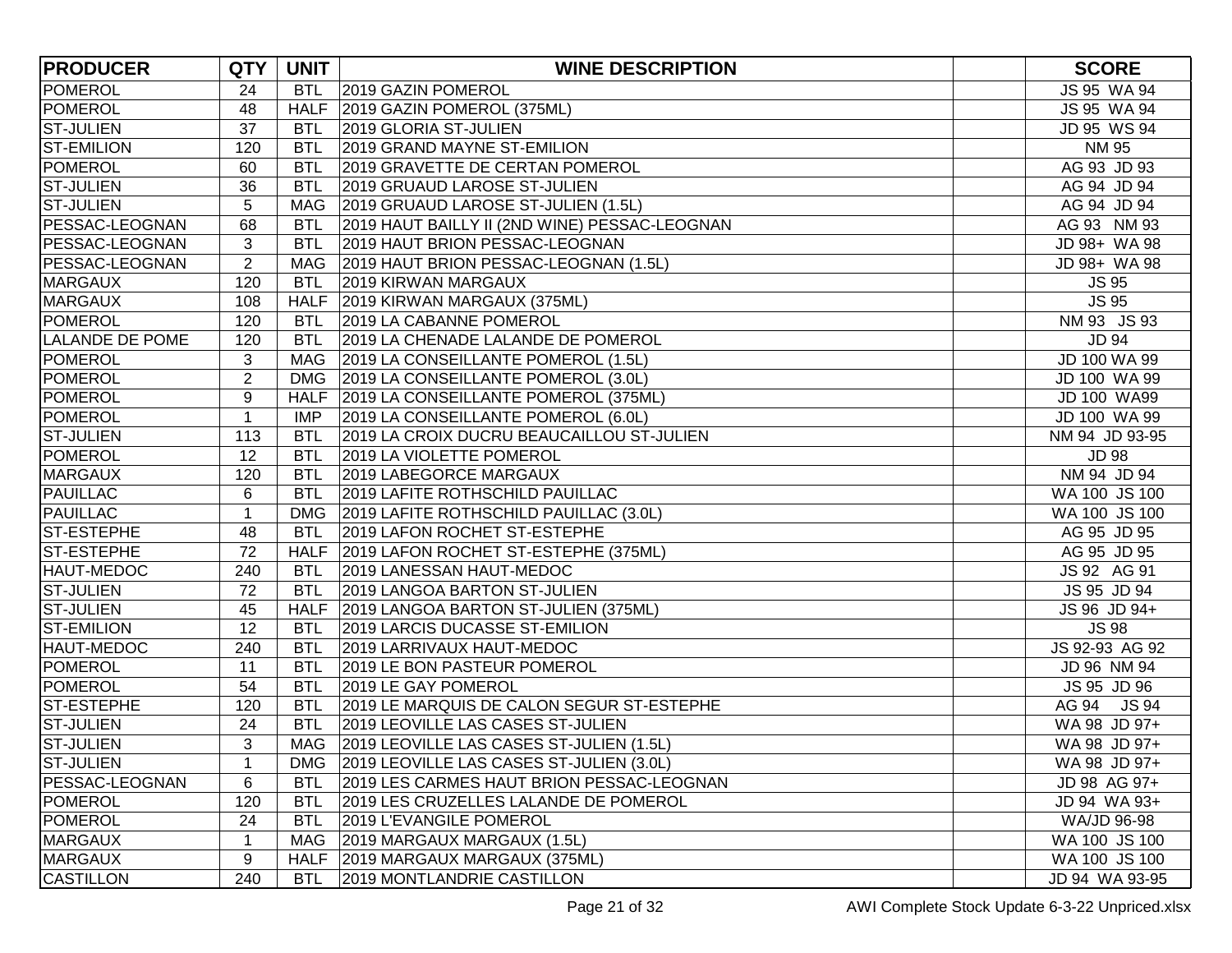| <b>PRODUCER</b>        | <b>QTY</b>       | <b>UNIT</b> | <b>WINE DESCRIPTION</b>                        | <b>SCORE</b>   |
|------------------------|------------------|-------------|------------------------------------------------|----------------|
| POMEROL                | 24               | <b>BTL</b>  | 2019 GAZIN POMEROL                             | JS 95 WA 94    |
| POMEROL                | 48               |             | HALF 2019 GAZIN POMEROL (375ML)                | JS 95 WA 94    |
| <b>ST-JULIEN</b>       | 37               | <b>BTL</b>  | 2019 GLORIA ST-JULIEN                          | JD 95 WS 94    |
| <b>ST-EMILION</b>      | 120              | <b>BTL</b>  | 2019 GRAND MAYNE ST-EMILION                    | <b>NM 95</b>   |
| <b>POMEROL</b>         | 60               | <b>BTL</b>  | 2019 GRAVETTE DE CERTAN POMEROL                | AG 93 JD 93    |
| <b>ST-JULIEN</b>       | 36               | <b>BTL</b>  | 2019 GRUAUD LAROSE ST-JULIEN                   | AG 94 JD 94    |
| <b>ST-JULIEN</b>       | 5                | MAG         | 2019 GRUAUD LAROSE ST-JULIEN (1.5L)            | AG 94 JD 94    |
| PESSAC-LEOGNAN         | 68               | <b>BTL</b>  | 2019 HAUT BAILLY II (2ND WINE) PESSAC-LEOGNAN  | AG 93 NM 93    |
| PESSAC-LEOGNAN         | 3                | <b>BTL</b>  | 2019 HAUT BRION PESSAC-LEOGNAN                 | JD 98+ WA 98   |
| <b>PESSAC-LEOGNAN</b>  | $\boldsymbol{2}$ |             | MAG 2019 HAUT BRION PESSAC-LEOGNAN (1.5L)      | JD 98+ WA 98   |
| <b>MARGAUX</b>         | 120              | <b>BTL</b>  | 2019 KIRWAN MARGAUX                            | <b>JS 95</b>   |
| <b>MARGAUX</b>         | 108              |             | HALF 2019 KIRWAN MARGAUX (375ML)               | <b>JS 95</b>   |
| POMEROL                | 120              | <b>BTL</b>  | 2019 LA CABANNE POMEROL                        | NM 93 JS 93    |
| <b>LALANDE DE POME</b> | 120              | <b>BTL</b>  | 2019 LA CHENADE LALANDE DE POMEROL             | <b>JD 94</b>   |
| <b>POMEROL</b>         | 3                |             | MAG   2019 LA CONSEILLANTE POMEROL (1.5L)      | JD 100 WA 99   |
| <b>POMEROL</b>         | $\overline{2}$   |             | DMG   2019 LA CONSEILLANTE POMEROL (3.0L)      | JD 100 WA 99   |
| POMEROL                | 9                |             | HALF 2019 LA CONSEILLANTE POMEROL (375ML)      | JD 100 WA99    |
| POMEROL                | $\mathbf{1}$     | <b>IMP</b>  | 2019 LA CONSEILLANTE POMEROL (6.0L)            | JD 100 WA 99   |
| <b>ST-JULIEN</b>       | 113              | <b>BTL</b>  | 2019 LA CROIX DUCRU BEAUCAILLOU ST-JULIEN      | NM 94 JD 93-95 |
| POMEROL                | 12               |             | BTL 2019 LA VIOLETTE POMEROL                   | <b>JD 98</b>   |
| <b>MARGAUX</b>         | 120              |             | BTL 2019 LABEGORCE MARGAUX                     | NM 94 JD 94    |
| PAUILLAC               | 6                |             | BTL 2019 LAFITE ROTHSCHILD PAUILLAC            | WA 100 JS 100  |
| <b>PAUILLAC</b>        | $\mathbf{1}$     |             | DMG 2019 LAFITE ROTHSCHILD PAUILLAC (3.0L)     | WA 100 JS 100  |
| ST-ESTEPHE             | 48               | <b>BTL</b>  | 2019 LAFON ROCHET ST-ESTEPHE                   | AG 95 JD 95    |
| ST-ESTEPHE             | 72               |             | HALF   2019 LAFON ROCHET ST-ESTEPHE (375ML)    | AG 95 JD 95    |
| HAUT-MEDOC             | 240              | <b>BTL</b>  | 2019 LANESSAN HAUT-MEDOC                       | JS 92 AG 91    |
| <b>ST-JULIEN</b>       | 72               | <b>BTL</b>  | 2019 LANGOA BARTON ST-JULIEN                   | JS 95 JD 94    |
| <b>ST-JULIEN</b>       | 45               |             | HALF 2019 LANGOA BARTON ST-JULIEN (375ML)      | JS 96 JD 94+   |
| <b>ST-EMILION</b>      | 12               | <b>BTL</b>  | 2019 LARCIS DUCASSE ST-EMILION                 | <b>JS 98</b>   |
| HAUT-MEDOC             | 240              | <b>BTL</b>  | 2019 LARRIVAUX HAUT-MEDOC                      | JS 92-93 AG 92 |
| <b>POMEROL</b>         | 11               | <b>BTL</b>  | 2019 LE BON PASTEUR POMEROL                    | JD 96 NM 94    |
| POMEROL                | 54               | <b>BTL</b>  | 2019 LE GAY POMEROL                            | JS 95 JD 96    |
| ST-ESTEPHE             | 120              | <b>BTL</b>  | 2019 LE MARQUIS DE CALON SEGUR ST-ESTEPHE      | AG 94 JS 94    |
| <b>ST-JULIEN</b>       | 24               | <b>BTL</b>  | 2019 LEOVILLE LAS CASES ST-JULIEN              | WA 98 JD 97+   |
| <b>ST-JULIEN</b>       | 3                |             | MAG   2019 LEOVILLE LAS CASES ST-JULIEN (1.5L) | WA 98 JD 97+   |
| <b>ST-JULIEN</b>       | 1                |             | DMG 2019 LEOVILLE LAS CASES ST-JULIEN (3.0L)   | WA 98 JD 97+   |
| PESSAC-LEOGNAN         | 6                | <b>BTL</b>  | 2019 LES CARMES HAUT BRION PESSAC-LEOGNAN      | JD 98 AG 97+   |
| POMEROL                | 120              | <b>BTL</b>  | 2019 LES CRUZELLES LALANDE DE POMEROL          | JD 94 WA 93+   |
| POMEROL                | 24               | <b>BTL</b>  | 2019 L'EVANGILE POMEROL                        | WA/JD 96-98    |
| <b>MARGAUX</b>         | $\mathbf{1}$     |             | MAG   2019 MARGAUX MARGAUX (1.5L)              | WA 100 JS 100  |
| <b>MARGAUX</b>         | 9                |             | HALF 2019 MARGAUX MARGAUX (375ML)              | WA 100 JS 100  |
| <b>CASTILLON</b>       | 240              | <b>BTL</b>  | 2019 MONTLANDRIE CASTILLON                     | JD 94 WA 93-95 |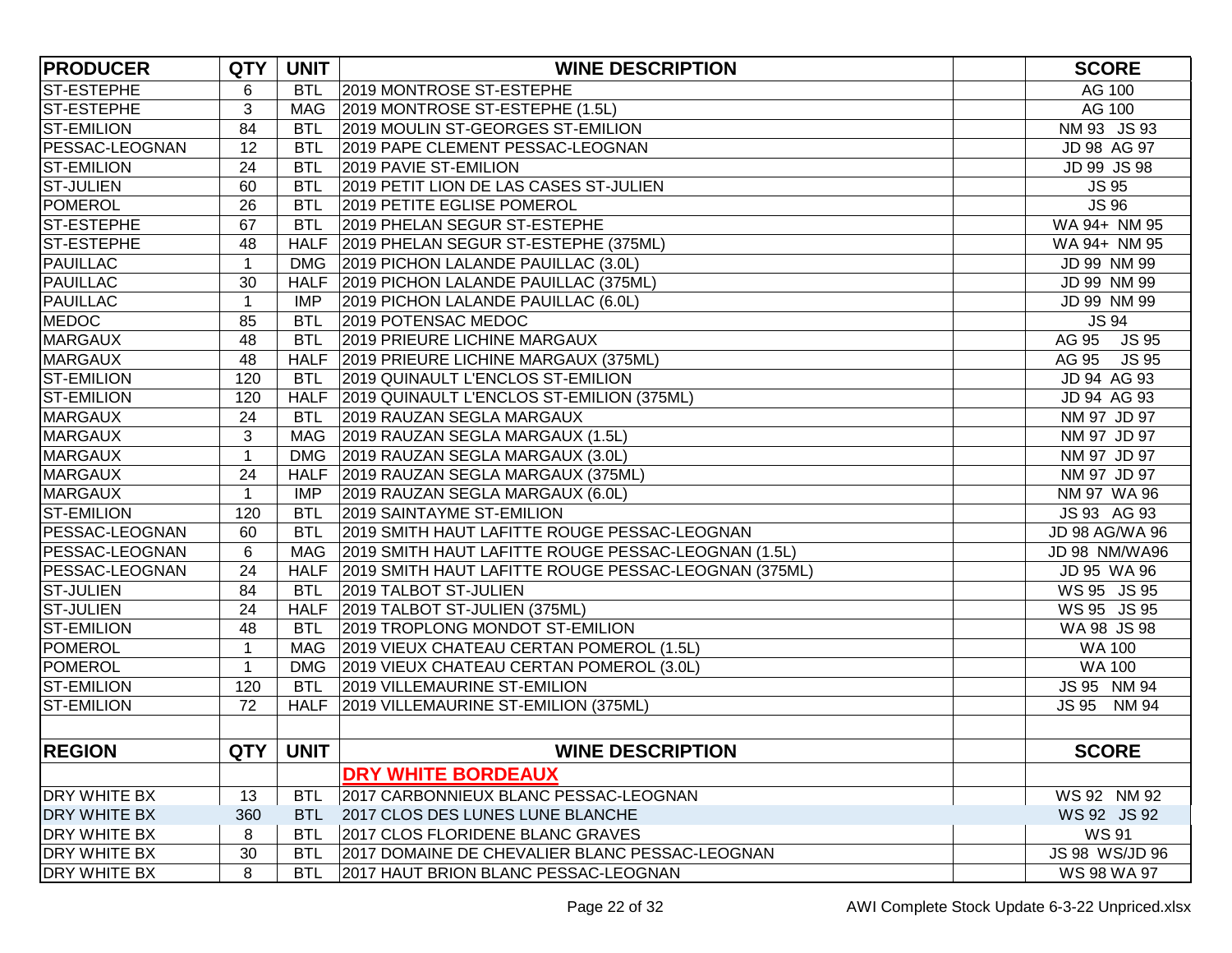| <b>PRODUCER</b>       | <b>QTY</b>   | <b>UNIT</b> | <b>WINE DESCRIPTION</b>                                   | <b>SCORE</b>   |
|-----------------------|--------------|-------------|-----------------------------------------------------------|----------------|
| <b>ST-ESTEPHE</b>     | 6            | <b>BTL</b>  | 2019 MONTROSE ST-ESTEPHE                                  | AG 100         |
| ST-ESTEPHE            | 3            | <b>MAG</b>  | 2019 MONTROSE ST-ESTEPHE (1.5L)                           | AG 100         |
| <b>ST-EMILION</b>     | 84           | <b>BTL</b>  | 2019 MOULIN ST-GEORGES ST-EMILION                         | NM 93 JS 93    |
| <b>PESSAC-LEOGNAN</b> | 12           | BTL         | 2019 PAPE CLEMENT PESSAC-LEOGNAN                          | JD 98 AG 97    |
| <b>ST-EMILION</b>     | 24           | <b>BTL</b>  | 2019 PAVIE ST-EMILION                                     | JD 99 JS 98    |
| <b>ST-JULIEN</b>      | 60           | <b>BTL</b>  | 2019 PETIT LION DE LAS CASES ST-JULIEN                    | <b>JS 95</b>   |
| POMEROL               | 26           | <b>BTL</b>  | 2019 PETITE EGLISE POMEROL                                | <b>JS 96</b>   |
| <b>ST-ESTEPHE</b>     | 67           | <b>BTL</b>  | 2019 PHELAN SEGUR ST-ESTEPHE                              | WA 94+ NM 95   |
| <b>ST-ESTEPHE</b>     | 48           |             | HALF 2019 PHELAN SEGUR ST-ESTEPHE (375ML)                 | WA 94+ NM 95   |
| <b>PAUILLAC</b>       | 1            | <b>DMG</b>  | 2019 PICHON LALANDE PAUILLAC (3.0L)                       | JD 99 NM 99    |
| <b>PAUILLAC</b>       | 30           |             | HALF   2019 PICHON LALANDE PAUILLAC (375ML)               | JD 99 NM 99    |
| <b>PAUILLAC</b>       | 1            | IMP         | 2019 PICHON LALANDE PAUILLAC (6.0L)                       | JD 99 NM 99    |
| <b>MEDOC</b>          | 85           | <b>BTL</b>  | 2019 POTENSAC MEDOC                                       | <b>JS 94</b>   |
| <b>MARGAUX</b>        | 48           | <b>BTL</b>  | 2019 PRIEURE LICHINE MARGAUX                              | AG 95 JS 95    |
| <b>MARGAUX</b>        | 48           |             | HALF 2019 PRIEURE LICHINE MARGAUX (375ML)                 | AG 95 JS 95    |
| <b>ST-EMILION</b>     | 120          | <b>BTL</b>  | 2019 QUINAULT L'ENCLOS ST-EMILION                         | JD 94 AG 93    |
| <b>ST-EMILION</b>     | 120          |             | HALF 2019 QUINAULT L'ENCLOS ST-EMILION (375ML)            | JD 94 AG 93    |
| <b>MARGAUX</b>        | 24           | <b>BTL</b>  | 2019 RAUZAN SEGLA MARGAUX                                 | NM 97 JD 97    |
| <b>MARGAUX</b>        | 3            |             | MAG 2019 RAUZAN SEGLA MARGAUX (1.5L)                      | NM 97 JD 97    |
| <b>MARGAUX</b>        | $\mathbf{1}$ |             | DMG 2019 RAUZAN SEGLA MARGAUX (3.0L)                      | NM 97 JD 97    |
| <b>MARGAUX</b>        | 24           |             | HALF 2019 RAUZAN SEGLA MARGAUX (375ML)                    | NM 97 JD 97    |
| <b>MARGAUX</b>        | $\mathbf{1}$ | <b>IMP</b>  | 2019 RAUZAN SEGLA MARGAUX (6.0L)                          | NM 97 WA 96    |
| <b>ST-EMILION</b>     | 120          | <b>BTL</b>  | 2019 SAINTAYME ST-EMILION                                 | JS 93 AG 93    |
| PESSAC-LEOGNAN        | 60           | <b>BTL</b>  | 2019 SMITH HAUT LAFITTE ROUGE PESSAC-LEOGNAN              | JD 98 AG/WA 96 |
| <b>PESSAC-LEOGNAN</b> | 6            | <b>MAG</b>  | 2019 SMITH HAUT LAFITTE ROUGE PESSAC-LEOGNAN (1.5L)       | JD 98 NM/WA96  |
| <b>PESSAC-LEOGNAN</b> | 24           |             | HALF 2019 SMITH HAUT LAFITTE ROUGE PESSAC-LEOGNAN (375ML) | JD 95 WA 96    |
| <b>ST-JULIEN</b>      | 84           | <b>BTL</b>  | 2019 TALBOT ST-JULIEN                                     | WS 95 JS 95    |
| <b>ST-JULIEN</b>      | 24           |             | HALF 2019 TALBOT ST-JULIEN (375ML)                        | WS 95 JS 95    |
| <b>ST-EMILION</b>     | 48           | <b>BTL</b>  | 2019 TROPLONG MONDOT ST-EMILION                           | WA 98 JS 98    |
| <b>POMEROL</b>        | 1            |             | MAG 2019 VIEUX CHATEAU CERTAN POMEROL (1.5L)              | <b>WA 100</b>  |
| <b>POMEROL</b>        | 1            |             | DMG 2019 VIEUX CHATEAU CERTAN POMEROL (3.0L)              | <b>WA 100</b>  |
| <b>ST-EMILION</b>     | 120          | <b>BTL</b>  | 2019 VILLEMAURINE ST-EMILION                              | JS 95 NM 94    |
| <b>ST-EMILION</b>     | 72           |             | HALF 2019 VILLEMAURINE ST-EMILION (375ML)                 | JS 95 NM 94    |
|                       |              |             |                                                           |                |
| <b>REGION</b>         |              | QTY   UNIT  | <b>WINE DESCRIPTION</b>                                   | <b>SCORE</b>   |
|                       |              |             | DRY WHITE BORDEAUX                                        |                |
| <b>DRY WHITE BX</b>   | 13           | <b>BTL</b>  | 2017 CARBONNIEUX BLANC PESSAC-LEOGNAN                     | WS 92 NM 92    |
| <b>DRY WHITE BX</b>   | 360          | <b>BTL</b>  | 2017 CLOS DES LUNES LUNE BLANCHE                          | WS 92 JS 92    |
| <b>DRY WHITE BX</b>   | 8            | <b>BTL</b>  | 2017 CLOS FLORIDENE BLANC GRAVES                          | <b>WS 91</b>   |
| <b>DRY WHITE BX</b>   | 30           | <b>BTL</b>  | 2017 DOMAINE DE CHEVALIER BLANC PESSAC-LEOGNAN            | JS 98 WS/JD 96 |
| <b>DRY WHITE BX</b>   | 8            | <b>BTL</b>  | 2017 HAUT BRION BLANC PESSAC-LEOGNAN                      | WS 98 WA 97    |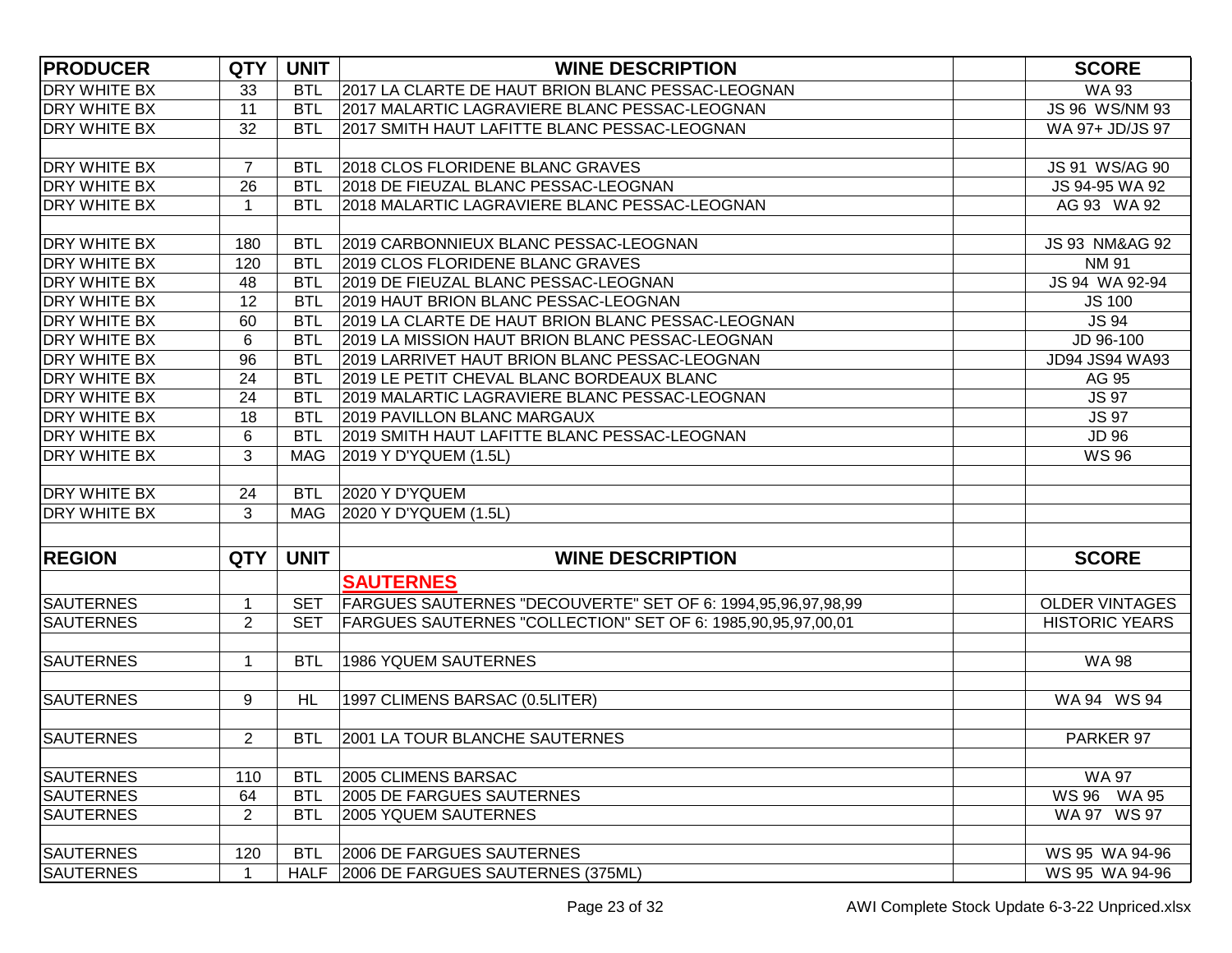| <b>PRODUCER</b>     | <b>QTY</b>     | <b>UNIT</b> | <b>WINE DESCRIPTION</b>                                      | <b>SCORE</b>              |
|---------------------|----------------|-------------|--------------------------------------------------------------|---------------------------|
| <b>DRY WHITE BX</b> | 33             | <b>BTL</b>  | 2017 LA CLARTE DE HAUT BRION BLANC PESSAC-LEOGNAN            | <b>WA 93</b>              |
| <b>DRY WHITE BX</b> | 11             | <b>BTL</b>  | 2017 MALARTIC LAGRAVIERE BLANC PESSAC-LEOGNAN                | JS 96 WS/NM 93            |
| <b>DRY WHITE BX</b> | 32             | <b>BTL</b>  | 2017 SMITH HAUT LAFITTE BLANC PESSAC-LEOGNAN                 | WA 97+ JD/JS 97           |
|                     |                |             |                                                              |                           |
| <b>DRY WHITE BX</b> | $\overline{7}$ | <b>BTL</b>  | 2018 CLOS FLORIDENE BLANC GRAVES                             | JS 91 WS/AG 90            |
| <b>DRY WHITE BX</b> | 26             | <b>BTL</b>  | 2018 DE FIEUZAL BLANC PESSAC-LEOGNAN                         | JS 94-95 WA 92            |
| <b>DRY WHITE BX</b> | -1             | <b>BTL</b>  | 2018 MALARTIC LAGRAVIERE BLANC PESSAC-LEOGNAN                | AG 93 WA 92               |
|                     |                |             |                                                              |                           |
| <b>DRY WHITE BX</b> | 180            | <b>BTL</b>  | 2019 CARBONNIEUX BLANC PESSAC-LEOGNAN                        | <b>JS 93 NM&amp;AG 92</b> |
| <b>DRY WHITE BX</b> | 120            | <b>BTL</b>  | 2019 CLOS FLORIDENE BLANC GRAVES                             | <b>NM 91</b>              |
| <b>DRY WHITE BX</b> | 48             | <b>BTL</b>  | 2019 DE FIEUZAL BLANC PESSAC-LEOGNAN                         | JS 94 WA 92-94            |
| <b>DRY WHITE BX</b> | 12             | <b>BTL</b>  | 2019 HAUT BRION BLANC PESSAC-LEOGNAN                         | <b>JS 100</b>             |
| <b>DRY WHITE BX</b> | 60             | <b>BTL</b>  | 2019 LA CLARTE DE HAUT BRION BLANC PESSAC-LEOGNAN            | <b>JS 94</b>              |
| <b>DRY WHITE BX</b> | 6              | <b>BTL</b>  | 2019 LA MISSION HAUT BRION BLANC PESSAC-LEOGNAN              | JD 96-100                 |
| <b>DRY WHITE BX</b> | 96             | <b>BTL</b>  | 2019 LARRIVET HAUT BRION BLANC PESSAC-LEOGNAN                | JD94 JS94 WA93            |
| <b>DRY WHITE BX</b> | 24             | <b>BTL</b>  | 2019 LE PETIT CHEVAL BLANC BORDEAUX BLANC                    | AG 95                     |
| <b>DRY WHITE BX</b> | 24             | <b>BTL</b>  | 2019 MALARTIC LAGRAVIERE BLANC PESSAC-LEOGNAN                | <b>JS 97</b>              |
| <b>DRY WHITE BX</b> | 18             | <b>BTL</b>  | 2019 PAVILLON BLANC MARGAUX                                  | <b>JS 97</b>              |
| <b>DRY WHITE BX</b> | 6              | <b>BTL</b>  | 2019 SMITH HAUT LAFITTE BLANC PESSAC-LEOGNAN                 | <b>JD 96</b>              |
| <b>DRY WHITE BX</b> | 3              | <b>MAG</b>  | 2019 Y D'YQUEM (1.5L)                                        | <b>WS 96</b>              |
|                     |                |             |                                                              |                           |
| <b>DRY WHITE BX</b> | 24             | <b>BTL</b>  | 2020 Y D'YQUEM                                               |                           |
| <b>DRY WHITE BX</b> | 3              | <b>MAG</b>  | 2020 Y D'YQUEM (1.5L)                                        |                           |
|                     |                |             |                                                              |                           |
| <b>REGION</b>       | <b>QTY</b>     | <b>UNIT</b> | <b>WINE DESCRIPTION</b>                                      | <b>SCORE</b>              |
|                     |                |             | <b>SAUTERNES</b>                                             |                           |
| <b>SAUTERNES</b>    | $\mathbf 1$    | <b>SET</b>  | FARGUES SAUTERNES "DECOUVERTE" SET OF 6: 1994,95,96,97,98,99 | <b>OLDER VINTAGES</b>     |
| <b>SAUTERNES</b>    | $\overline{2}$ | <b>SET</b>  | FARGUES SAUTERNES "COLLECTION" SET OF 6: 1985,90,95,97,00,01 | <b>HISTORIC YEARS</b>     |
|                     |                |             |                                                              |                           |
| <b>SAUTERNES</b>    | $\overline{1}$ | <b>BTL</b>  | <b>1986 YQUEM SAUTERNES</b>                                  | <b>WA 98</b>              |
|                     |                |             |                                                              |                           |
| <b>SAUTERNES</b>    | 9              | <b>HL</b>   | 1997 CLIMENS BARSAC (0.5LITER)                               | WA 94 WS 94               |
|                     |                |             |                                                              |                           |
| <b>SAUTERNES</b>    | $\overline{2}$ | BTL.        | 2001 LA TOUR BLANCHE SAUTERNES                               | PARKER 97                 |
|                     |                |             |                                                              |                           |
| <b>SAUTERNES</b>    | 110            | <b>BTL</b>  | 2005 CLIMENS BARSAC                                          | <b>WA 97</b>              |
| <b>SAUTERNES</b>    | 64             | <b>BTL</b>  | 2005 DE FARGUES SAUTERNES                                    | WS 96 WA 95               |
| <b>SAUTERNES</b>    | $\overline{2}$ | <b>BTL</b>  | <b>2005 YQUEM SAUTERNES</b>                                  | WA 97 WS 97               |
|                     |                |             |                                                              |                           |
| <b>SAUTERNES</b>    | 120            | <b>BTL</b>  | 2006 DE FARGUES SAUTERNES                                    | WS 95 WA 94-96            |
| <b>SAUTERNES</b>    | $\mathbf 1$    | <b>HALF</b> | 2006 DE FARGUES SAUTERNES (375ML)                            | WS 95 WA 94-96            |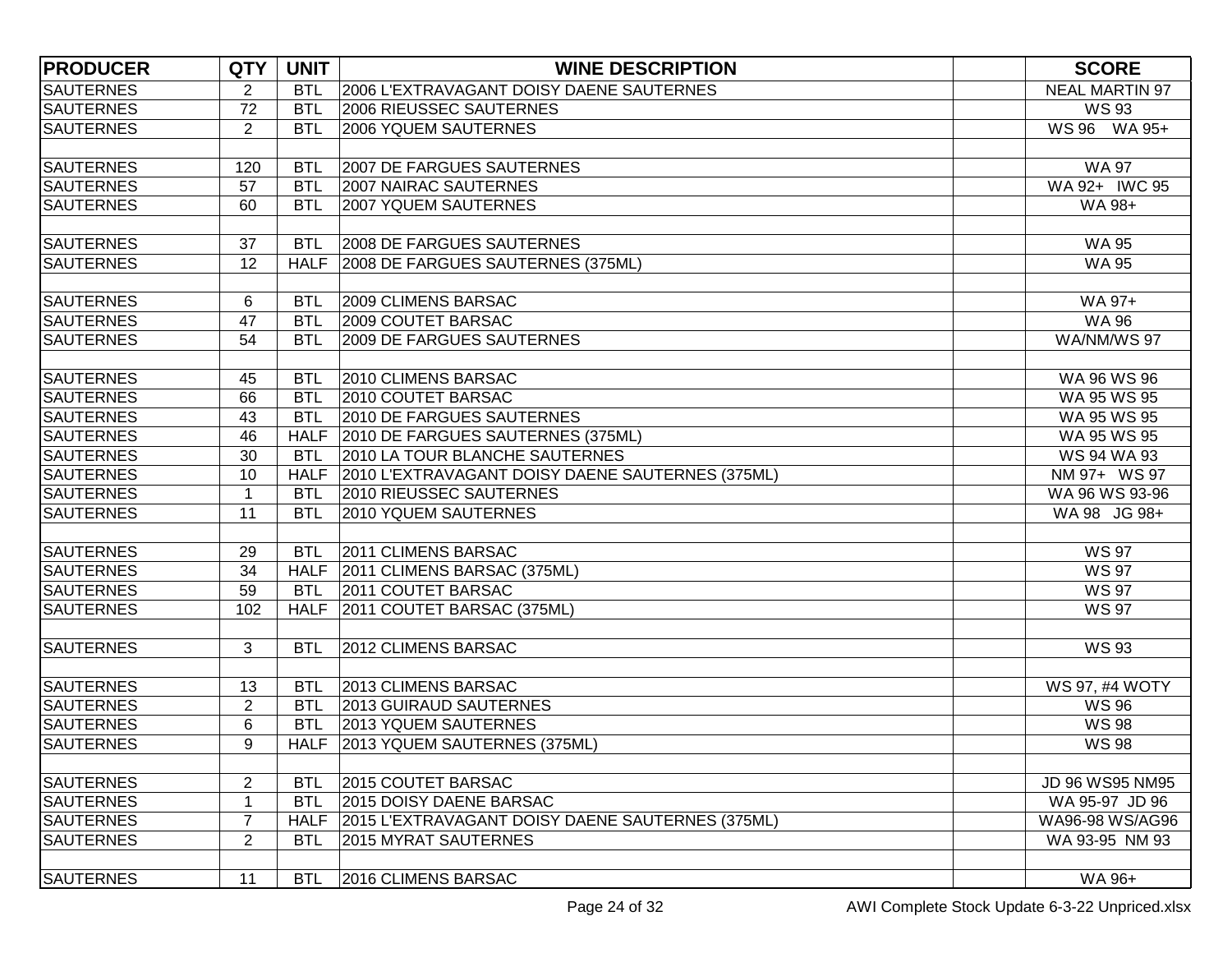| <b>PRODUCER</b>  | <b>QTY</b>     | <b>UNIT</b> | <b>WINE DESCRIPTION</b>                               | <b>SCORE</b>          |
|------------------|----------------|-------------|-------------------------------------------------------|-----------------------|
| <b>SAUTERNES</b> | $\overline{2}$ | <b>BTL</b>  | 2006 L'EXTRAVAGANT DOISY DAENE SAUTERNES              | <b>NEAL MARTIN 97</b> |
| <b>SAUTERNES</b> | 72             | <b>BTL</b>  | 2006 RIEUSSEC SAUTERNES                               | <b>WS 93</b>          |
| <b>SAUTERNES</b> | $\overline{2}$ | <b>BTL</b>  | <b>2006 YQUEM SAUTERNES</b>                           | WS 96 WA 95+          |
|                  |                |             |                                                       |                       |
| <b>SAUTERNES</b> | 120            | <b>BTL</b>  | 2007 DE FARGUES SAUTERNES                             | <b>WA 97</b>          |
| <b>SAUTERNES</b> | 57             | <b>BTL</b>  | 2007 NAIRAC SAUTERNES                                 | WA 92+ IWC 95         |
| <b>SAUTERNES</b> | 60             | <b>BTL</b>  | <b>2007 YQUEM SAUTERNES</b>                           | WA 98+                |
|                  |                |             |                                                       |                       |
| <b>SAUTERNES</b> | 37             | <b>BTL</b>  | 2008 DE FARGUES SAUTERNES                             | <b>WA 95</b>          |
| <b>SAUTERNES</b> | 12             | <b>HALF</b> | 2008 DE FARGUES SAUTERNES (375ML)                     | <b>WA 95</b>          |
|                  |                |             |                                                       |                       |
| <b>SAUTERNES</b> | 6              | <b>BTL</b>  | 2009 CLIMENS BARSAC                                   | WA 97+                |
| <b>SAUTERNES</b> | 47             | <b>BTL</b>  | 2009 COUTET BARSAC                                    | <b>WA 96</b>          |
| <b>SAUTERNES</b> | 54             | <b>BTL</b>  | 2009 DE FARGUES SAUTERNES                             | WA/NM/WS 97           |
|                  |                |             |                                                       |                       |
| <b>SAUTERNES</b> | 45             | <b>BTL</b>  | 2010 CLIMENS BARSAC                                   | WA 96 WS 96           |
| <b>SAUTERNES</b> | 66             | <b>BTL</b>  | 2010 COUTET BARSAC                                    | WA 95 WS 95           |
| <b>SAUTERNES</b> | 43             | <b>BTL</b>  | 2010 DE FARGUES SAUTERNES                             | WA 95 WS 95           |
| <b>SAUTERNES</b> | 46             |             | HALF 2010 DE FARGUES SAUTERNES (375ML)                | WA 95 WS 95           |
| <b>SAUTERNES</b> | 30             | <b>BTL</b>  | 2010 LA TOUR BLANCHE SAUTERNES                        | WS 94 WA 93           |
| <b>SAUTERNES</b> | 10             |             | HALF 2010 L'EXTRAVAGANT DOISY DAENE SAUTERNES (375ML) | NM 97+ WS 97          |
| <b>SAUTERNES</b> | $\mathbf{1}$   | <b>BTL</b>  | 2010 RIEUSSEC SAUTERNES                               | WA 96 WS 93-96        |
| <b>SAUTERNES</b> | 11             | <b>BTL</b>  | 2010 YQUEM SAUTERNES                                  | WA 98 JG 98+          |
|                  |                |             |                                                       |                       |
| <b>SAUTERNES</b> | 29             | <b>BTL</b>  | 2011 CLIMENS BARSAC                                   | <b>WS 97</b>          |
| <b>SAUTERNES</b> | 34             |             | HALF 2011 CLIMENS BARSAC (375ML)                      | <b>WS 97</b>          |
| <b>SAUTERNES</b> | 59             | <b>BTL</b>  | 2011 COUTET BARSAC                                    | <b>WS 97</b>          |
| <b>SAUTERNES</b> | 102            | <b>HALF</b> | 2011 COUTET BARSAC (375ML)                            | <b>WS 97</b>          |
|                  |                |             |                                                       |                       |
| <b>SAUTERNES</b> | 3              | <b>BTL</b>  | 2012 CLIMENS BARSAC                                   | <b>WS 93</b>          |
|                  |                |             |                                                       |                       |
| <b>SAUTERNES</b> | 13             | <b>BTL</b>  | 2013 CLIMENS BARSAC                                   | WS 97, #4 WOTY        |
| <b>SAUTERNES</b> | $\overline{2}$ | <b>BTL</b>  | 2013 GUIRAUD SAUTERNES                                | <b>WS 96</b>          |
| <b>SAUTERNES</b> | 6              | <b>BTL</b>  | 2013 YQUEM SAUTERNES                                  | <b>WS 98</b>          |
| <b>SAUTERNES</b> | 9              |             | HALF 2013 YQUEM SAUTERNES (375ML)                     | <b>WS 98</b>          |
|                  |                |             |                                                       |                       |
| <b>SAUTERNES</b> | $\overline{c}$ | <b>BTL</b>  | 2015 COUTET BARSAC                                    | JD 96 WS95 NM95       |
| <b>SAUTERNES</b> | 1              | <b>BTL</b>  | 2015 DOISY DAENE BARSAC                               | WA 95-97 JD 96        |
| <b>SAUTERNES</b> | $\overline{7}$ | HALF        | 2015 L'EXTRAVAGANT DOISY DAENE SAUTERNES (375ML)      | WA96-98 WS/AG96       |
| <b>SAUTERNES</b> | $\overline{2}$ | <b>BTL</b>  | 2015 MYRAT SAUTERNES                                  | WA 93-95 NM 93        |
|                  |                |             |                                                       |                       |
| <b>SAUTERNES</b> | 11             | <b>BTL</b>  | 2016 CLIMENS BARSAC                                   | WA 96+                |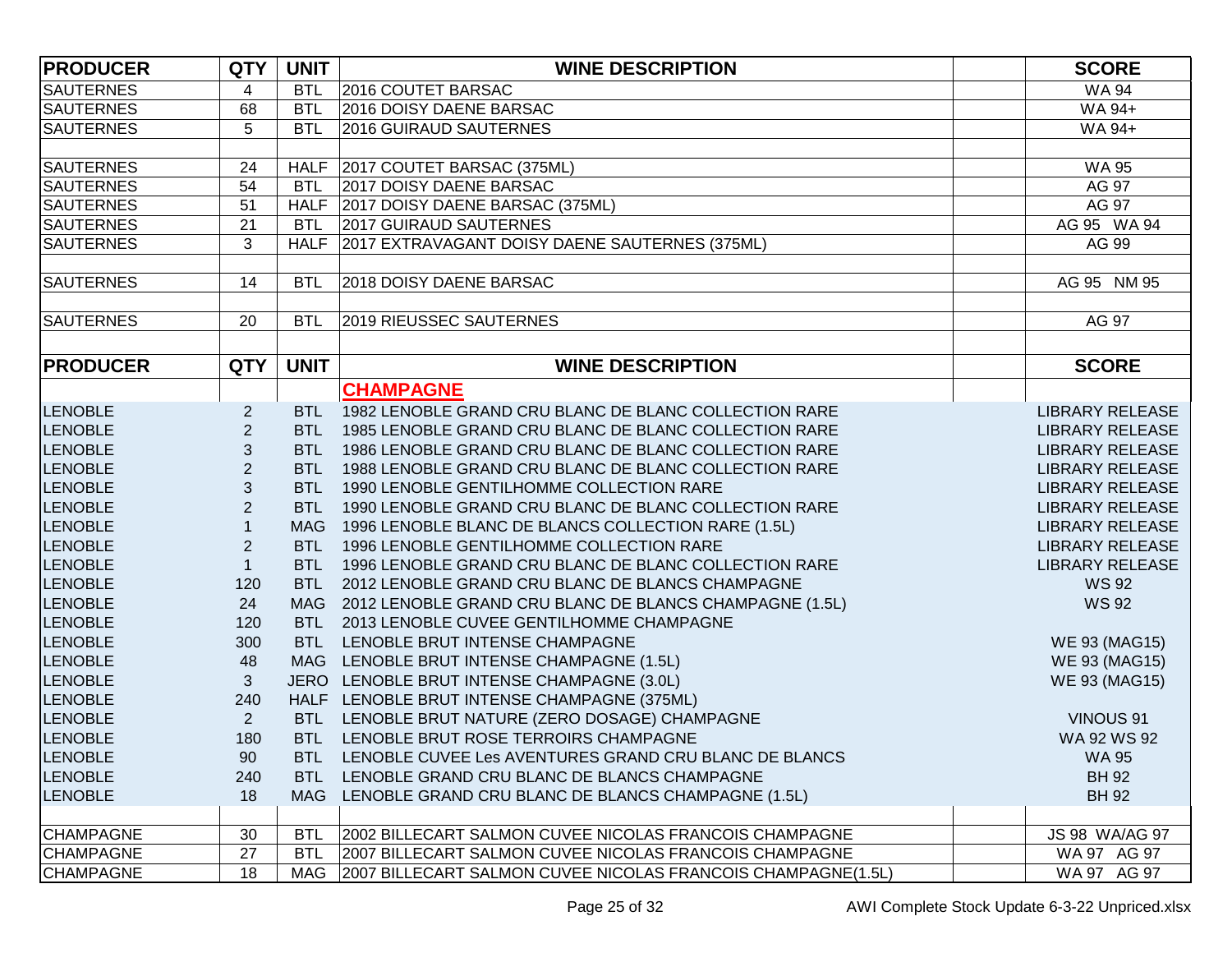| <b>PRODUCER</b>  | <b>QTY</b>     | <b>UNIT</b> | <b>WINE DESCRIPTION</b>                                      | <b>SCORE</b>           |
|------------------|----------------|-------------|--------------------------------------------------------------|------------------------|
| <b>SAUTERNES</b> | 4              | <b>BTL</b>  | 2016 COUTET BARSAC                                           | <b>WA 94</b>           |
| <b>SAUTERNES</b> | 68             | <b>BTL</b>  | 2016 DOISY DAENE BARSAC                                      | WA 94+                 |
| <b>SAUTERNES</b> | 5              | <b>BTL</b>  | 2016 GUIRAUD SAUTERNES                                       | WA 94+                 |
|                  |                |             |                                                              |                        |
| <b>SAUTERNES</b> | 24             |             | HALF 2017 COUTET BARSAC (375ML)                              | <b>WA 95</b>           |
| <b>SAUTERNES</b> | 54             | <b>BTL</b>  | 2017 DOISY DAENE BARSAC                                      | AG 97                  |
| <b>SAUTERNES</b> | 51             |             | HALF 2017 DOISY DAENE BARSAC (375ML)                         | AG 97                  |
| <b>SAUTERNES</b> | 21             | <b>BTL</b>  | <b>2017 GUIRAUD SAUTERNES</b>                                | AG 95 WA 94            |
| <b>SAUTERNES</b> | 3              | <b>HALF</b> | 2017 EXTRAVAGANT DOISY DAENE SAUTERNES (375ML)               | AG 99                  |
|                  |                |             |                                                              |                        |
| <b>SAUTERNES</b> | 14             | <b>BTL</b>  | 2018 DOISY DAENE BARSAC                                      | AG 95 NM 95            |
|                  |                |             |                                                              |                        |
| <b>SAUTERNES</b> | 20             | <b>BTL</b>  | <b>2019 RIEUSSEC SAUTERNES</b>                               | AG 97                  |
|                  |                |             |                                                              |                        |
| <b>PRODUCER</b>  | <b>QTY</b>     | <b>UNIT</b> | <b>WINE DESCRIPTION</b>                                      | <b>SCORE</b>           |
|                  |                |             | <b>CHAMPAGNE</b>                                             |                        |
| <b>LENOBLE</b>   | $\overline{c}$ |             | BTL 1982 LENOBLE GRAND CRU BLANC DE BLANC COLLECTION RARE    | <b>LIBRARY RELEASE</b> |
| <b>LENOBLE</b>   | $\overline{c}$ | <b>BTL</b>  | 1985 LENOBLE GRAND CRU BLANC DE BLANC COLLECTION RARE        | <b>LIBRARY RELEASE</b> |
| <b>LENOBLE</b>   | 3              | <b>BTL</b>  | 1986 LENOBLE GRAND CRU BLANC DE BLANC COLLECTION RARE        | <b>LIBRARY RELEASE</b> |
| <b>LENOBLE</b>   | $\overline{c}$ | <b>BTL</b>  | 1988 LENOBLE GRAND CRU BLANC DE BLANC COLLECTION RARE        | <b>LIBRARY RELEASE</b> |
| <b>LENOBLE</b>   | 3              | <b>BTL</b>  | 1990 LENOBLE GENTILHOMME COLLECTION RARE                     | <b>LIBRARY RELEASE</b> |
| <b>LENOBLE</b>   | $\overline{c}$ | <b>BTL</b>  | 1990 LENOBLE GRAND CRU BLANC DE BLANC COLLECTION RARE        | <b>LIBRARY RELEASE</b> |
| <b>LENOBLE</b>   | $\mathbf{1}$   | MAG         | 1996 LENOBLE BLANC DE BLANCS COLLECTION RARE (1.5L)          | <b>LIBRARY RELEASE</b> |
| <b>LENOBLE</b>   | $\overline{c}$ | <b>BTL</b>  | 1996 LENOBLE GENTILHOMME COLLECTION RARE                     | <b>LIBRARY RELEASE</b> |
| <b>LENOBLE</b>   | $\mathbf{1}$   | <b>BTL</b>  | 1996 LENOBLE GRAND CRU BLANC DE BLANC COLLECTION RARE        | <b>LIBRARY RELEASE</b> |
| <b>LENOBLE</b>   | 120            | <b>BTL</b>  | 2012 LENOBLE GRAND CRU BLANC DE BLANCS CHAMPAGNE             | <b>WS 92</b>           |
| <b>LENOBLE</b>   | 24             |             | MAG 2012 LENOBLE GRAND CRU BLANC DE BLANCS CHAMPAGNE (1.5L)  | <b>WS 92</b>           |
| <b>LENOBLE</b>   | 120            | <b>BTL</b>  | 2013 LENOBLE CUVEE GENTILHOMME CHAMPAGNE                     |                        |
| <b>LENOBLE</b>   | 300            | <b>BTL</b>  | LENOBLE BRUT INTENSE CHAMPAGNE                               | <b>WE 93 (MAG15)</b>   |
| <b>LENOBLE</b>   | 48             |             | MAG LENOBLE BRUT INTENSE CHAMPAGNE (1.5L)                    | <b>WE 93 (MAG15)</b>   |
| <b>LENOBLE</b>   | 3              |             | JERO LENOBLE BRUT INTENSE CHAMPAGNE (3.0L)                   | <b>WE 93 (MAG15)</b>   |
| <b>LENOBLE</b>   | 240            |             | HALF LENOBLE BRUT INTENSE CHAMPAGNE (375ML)                  |                        |
| <b>LENOBLE</b>   | $2^{\circ}$    |             | BTL LENOBLE BRUT NATURE (ZERO DOSAGE) CHAMPAGNE              | VINOUS 91              |
| <b>LENOBLE</b>   | 180            |             | BTL LENOBLE BRUT ROSE TERROIRS CHAMPAGNE                     | WA 92 WS 92            |
| LENOBLE          | 90             | <b>BTL</b>  | LENOBLE CUVEE Les AVENTURES GRAND CRU BLANC DE BLANCS        | <b>WA 95</b>           |
| <b>LENOBLE</b>   | 240            | BTL.        | LENOBLE GRAND CRU BLANC DE BLANCS CHAMPAGNE                  | <b>BH 92</b>           |
| <b>LENOBLE</b>   | 18             | MAG         | LENOBLE GRAND CRU BLANC DE BLANCS CHAMPAGNE (1.5L)           | <b>BH 92</b>           |
|                  |                |             |                                                              |                        |
| <b>CHAMPAGNE</b> | 30             | <b>BTL</b>  | 2002 BILLECART SALMON CUVEE NICOLAS FRANCOIS CHAMPAGNE       | JS 98 WA/AG 97         |
| <b>CHAMPAGNE</b> | 27             | <b>BTL</b>  | 2007 BILLECART SALMON CUVEE NICOLAS FRANCOIS CHAMPAGNE       | WA 97 AG 97            |
| <b>CHAMPAGNE</b> | 18             | MAG         | 2007 BILLECART SALMON CUVEE NICOLAS FRANCOIS CHAMPAGNE(1.5L) | WA 97 AG 97            |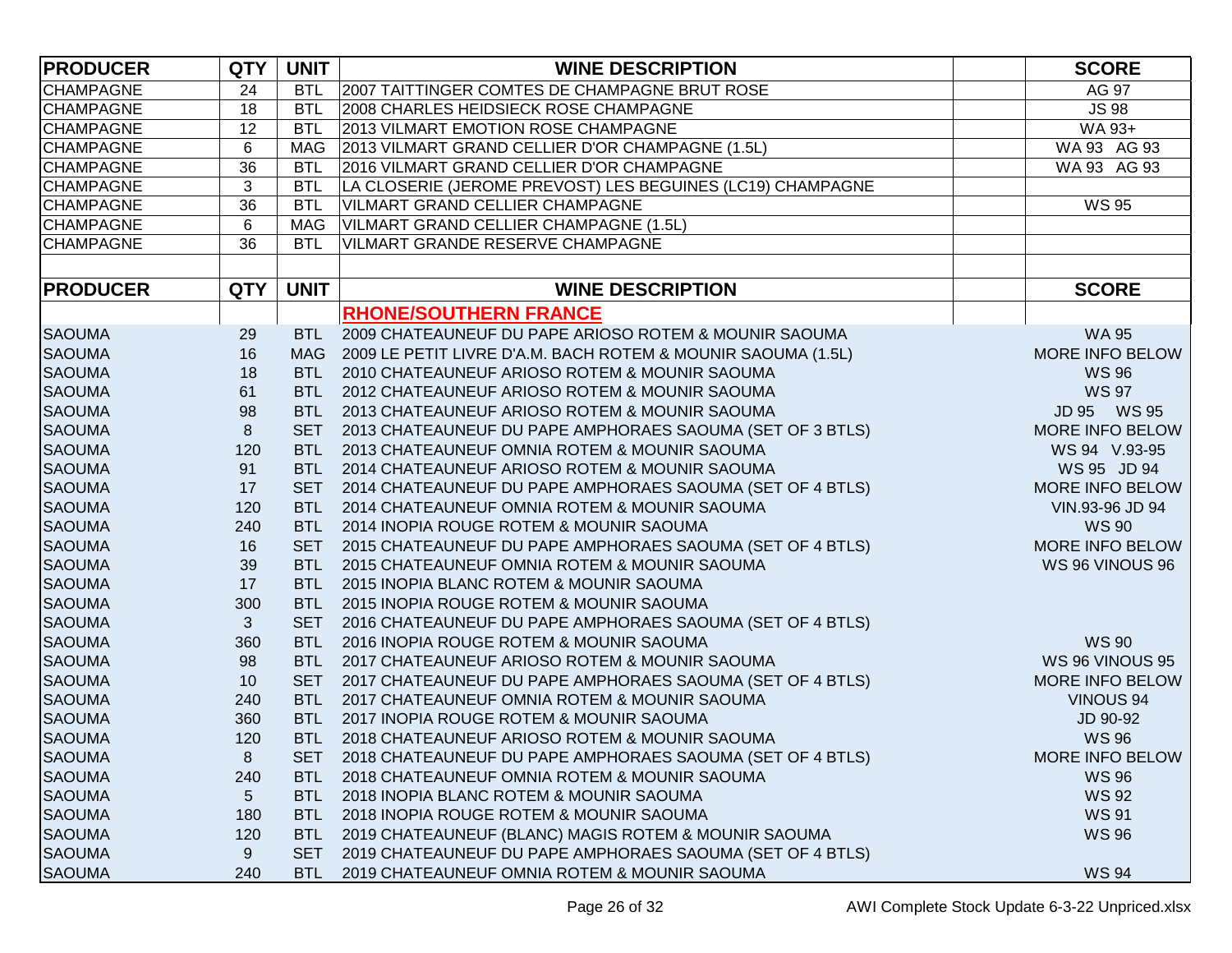| <b>PRODUCER</b>  | <b>QTY</b>   | <b>UNIT</b> | <b>WINE DESCRIPTION</b>                                          | <b>SCORE</b>     |
|------------------|--------------|-------------|------------------------------------------------------------------|------------------|
| <b>CHAMPAGNE</b> | 24           | <b>BTL</b>  | 2007 TAITTINGER COMTES DE CHAMPAGNE BRUT ROSE                    | AG 97            |
| <b>CHAMPAGNE</b> | 18           | <b>BTL</b>  | 2008 CHARLES HEIDSIECK ROSE CHAMPAGNE                            | <b>JS 98</b>     |
| <b>CHAMPAGNE</b> | 12           | <b>BTL</b>  | 2013 VILMART EMOTION ROSE CHAMPAGNE                              | WA 93+           |
| <b>CHAMPAGNE</b> | $\,6$        | <b>MAG</b>  | 2013 VILMART GRAND CELLIER D'OR CHAMPAGNE (1.5L)                 | WA 93 AG 93      |
| <b>CHAMPAGNE</b> | 36           | <b>BTL</b>  | 2016 VILMART GRAND CELLIER D'OR CHAMPAGNE                        | WA 93 AG 93      |
| <b>CHAMPAGNE</b> | 3            | <b>BTL</b>  | LA CLOSERIE (JEROME PREVOST) LES BEGUINES (LC19) CHAMPAGNE       |                  |
| <b>CHAMPAGNE</b> | 36           | <b>BTL</b>  | VILMART GRAND CELLIER CHAMPAGNE                                  | <b>WS 95</b>     |
| <b>CHAMPAGNE</b> | 6            | <b>MAG</b>  | VILMART GRAND CELLIER CHAMPAGNE (1.5L)                           |                  |
| <b>CHAMPAGNE</b> | 36           | <b>BTL</b>  | VILMART GRANDE RESERVE CHAMPAGNE                                 |                  |
|                  |              |             |                                                                  |                  |
| <b>PRODUCER</b>  | <b>QTY</b>   | <b>UNIT</b> | <b>WINE DESCRIPTION</b>                                          | <b>SCORE</b>     |
|                  |              |             | <b>RHONE/SOUTHERN FRANCE</b>                                     |                  |
| <b>SAOUMA</b>    | 29           |             | BTL 2009 CHATEAUNEUF DU PAPE ARIOSO ROTEM & MOUNIR SAOUMA        | <b>WA 95</b>     |
| <b>SAOUMA</b>    | 16           |             | MAG 2009 LE PETIT LIVRE D'A.M. BACH ROTEM & MOUNIR SAOUMA (1.5L) | MORE INFO BELOW  |
| <b>SAOUMA</b>    | 18           | <b>BTL</b>  | 2010 CHATEAUNEUF ARIOSO ROTEM & MOUNIR SAOUMA                    | <b>WS 96</b>     |
| <b>SAOUMA</b>    | 61           | <b>BTL</b>  | 2012 CHATEAUNEUF ARIOSO ROTEM & MOUNIR SAOUMA                    | <b>WS 97</b>     |
| <b>SAOUMA</b>    | 98           | <b>BTL</b>  | 2013 CHATEAUNEUF ARIOSO ROTEM & MOUNIR SAOUMA                    | JD 95 WS 95      |
| <b>SAOUMA</b>    | 8            | <b>SET</b>  | 2013 CHATEAUNEUF DU PAPE AMPHORAES SAOUMA (SET OF 3 BTLS)        | MORE INFO BELOW  |
| <b>SAOUMA</b>    | 120          | <b>BTL</b>  | 2013 CHATEAUNEUF OMNIA ROTEM & MOUNIR SAOUMA                     | WS 94 V.93-95    |
| <b>SAOUMA</b>    | 91           | <b>BTL</b>  | 2014 CHATEAUNEUF ARIOSO ROTEM & MOUNIR SAOUMA                    | WS 95 JD 94      |
| <b>SAOUMA</b>    | 17           | <b>SET</b>  | 2014 CHATEAUNEUF DU PAPE AMPHORAES SAOUMA (SET OF 4 BTLS)        | MORE INFO BELOW  |
| <b>SAOUMA</b>    | 120          | <b>BTL</b>  | 2014 CHATEAUNEUF OMNIA ROTEM & MOUNIR SAOUMA                     | VIN.93-96 JD 94  |
| <b>SAOUMA</b>    | 240          |             | BTL 2014 INOPIA ROUGE ROTEM & MOUNIR SAOUMA                      | <b>WS 90</b>     |
| <b>SAOUMA</b>    | 16           |             | SET 2015 CHATEAUNEUF DU PAPE AMPHORAES SAOUMA (SET OF 4 BTLS)    | MORE INFO BELOW  |
| <b>SAOUMA</b>    | 39           |             | BTL 2015 CHATEAUNEUF OMNIA ROTEM & MOUNIR SAOUMA                 | WS 96 VINOUS 96  |
| <b>SAOUMA</b>    | 17           |             | BTL 2015 INOPIA BLANC ROTEM & MOUNIR SAOUMA                      |                  |
| <b>SAOUMA</b>    | 300          |             | BTL 2015 INOPIA ROUGE ROTEM & MOUNIR SAOUMA                      |                  |
| <b>SAOUMA</b>    | $\mathbf{3}$ |             | SET 2016 CHATEAUNEUF DU PAPE AMPHORAES SAOUMA (SET OF 4 BTLS)    |                  |
| <b>SAOUMA</b>    | 360          |             | BTL 2016 INOPIA ROUGE ROTEM & MOUNIR SAOUMA                      | <b>WS 90</b>     |
| <b>SAOUMA</b>    | 98           |             | BTL 2017 CHATEAUNEUF ARIOSO ROTEM & MOUNIR SAOUMA                | WS 96 VINOUS 95  |
| <b>SAOUMA</b>    | 10           | <b>SET</b>  | 2017 CHATEAUNEUF DU PAPE AMPHORAES SAOUMA (SET OF 4 BTLS)        | MORE INFO BELOW  |
| <b>SAOUMA</b>    | 240          | <b>BTL</b>  | 2017 CHATEAUNEUF OMNIA ROTEM & MOUNIR SAOUMA                     | <b>VINOUS 94</b> |
| <b>SAOUMA</b>    | 360          | <b>BTL</b>  | 2017 INOPIA ROUGE ROTEM & MOUNIR SAOUMA                          | JD 90-92         |
| <b>SAOUMA</b>    | 120          |             | BTL 2018 CHATEAUNEUF ARIOSO ROTEM & MOUNIR SAOUMA                | <b>WS 96</b>     |
| <b>SAOUMA</b>    | 8            | <b>SET</b>  | 2018 CHATEAUNEUF DU PAPE AMPHORAES SAOUMA (SET OF 4 BTLS)        | MORE INFO BELOW  |
| <b>SAOUMA</b>    | 240          | BTL         | 2018 CHATEAUNEUF OMNIA ROTEM & MOUNIR SAOUMA                     | <b>WS 96</b>     |
| <b>SAOUMA</b>    | 5            | BTL         | 2018 INOPIA BLANC ROTEM & MOUNIR SAOUMA                          | <b>WS 92</b>     |
| <b>SAOUMA</b>    | 180          | BTL         | 2018 INOPIA ROUGE ROTEM & MOUNIR SAOUMA                          | <b>WS 91</b>     |
| <b>SAOUMA</b>    | 120          | BTL         | 2019 CHATEAUNEUF (BLANC) MAGIS ROTEM & MOUNIR SAOUMA             | <b>WS 96</b>     |
| <b>SAOUMA</b>    | 9            | <b>SET</b>  | 2019 CHATEAUNEUF DU PAPE AMPHORAES SAOUMA (SET OF 4 BTLS)        |                  |
| <b>SAOUMA</b>    | 240          | <b>BTL</b>  | 2019 CHATEAUNEUF OMNIA ROTEM & MOUNIR SAOUMA                     | <b>WS 94</b>     |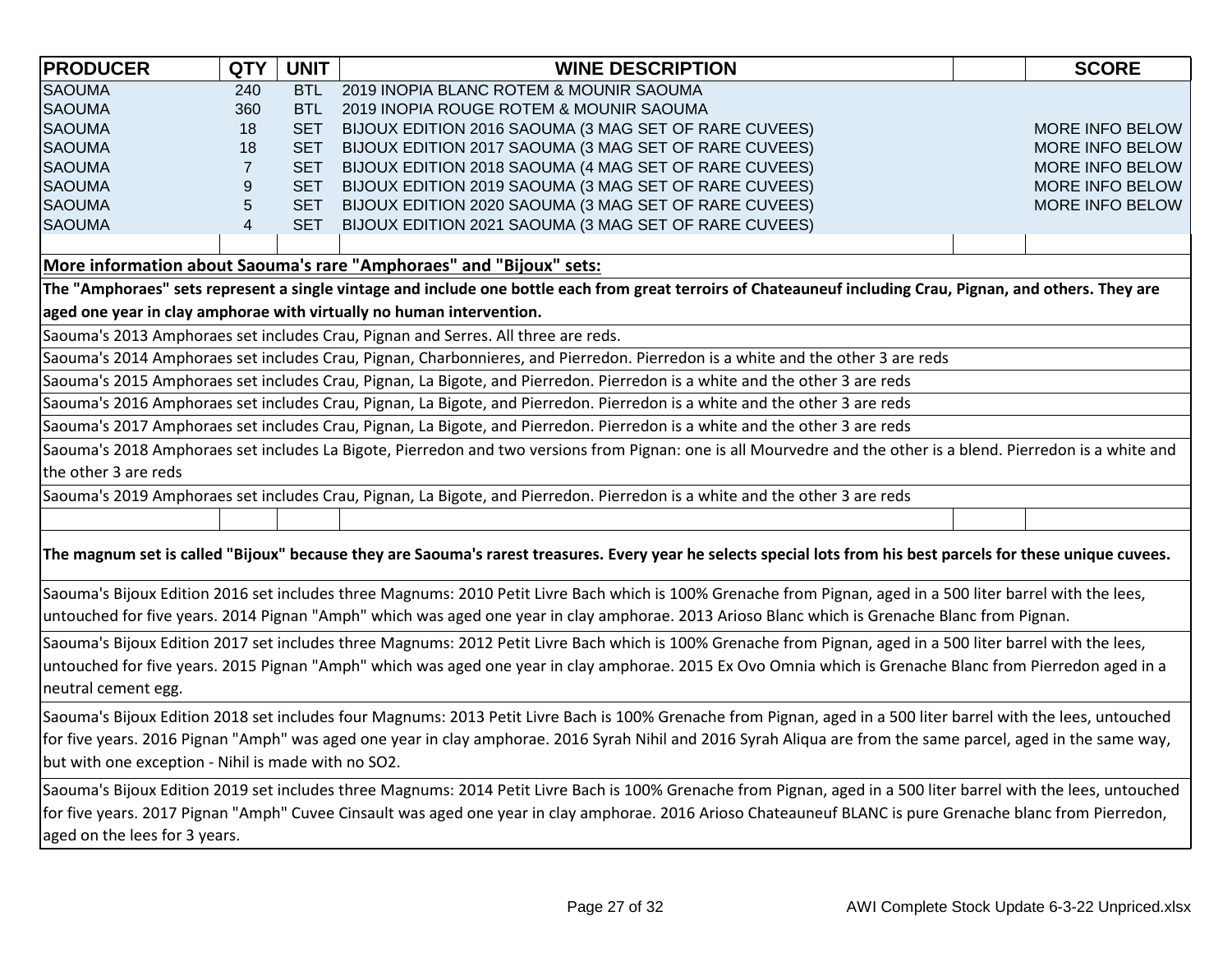| <b>PRODUCER</b>                                                                                                                                                                                                                                                                                                                                  | <b>QTY</b>       | <b>UNIT</b> | <b>WINE DESCRIPTION</b>                                                                                                                                          |  | <b>SCORE</b>    |  |
|--------------------------------------------------------------------------------------------------------------------------------------------------------------------------------------------------------------------------------------------------------------------------------------------------------------------------------------------------|------------------|-------------|------------------------------------------------------------------------------------------------------------------------------------------------------------------|--|-----------------|--|
| <b>SAOUMA</b>                                                                                                                                                                                                                                                                                                                                    | 240              | <b>BTL</b>  | 2019 INOPIA BLANC ROTEM & MOUNIR SAOUMA                                                                                                                          |  |                 |  |
| <b>SAOUMA</b>                                                                                                                                                                                                                                                                                                                                    | 360              | <b>BTL</b>  | 2019 INOPIA ROUGE ROTEM & MOUNIR SAOUMA                                                                                                                          |  |                 |  |
| <b>SAOUMA</b>                                                                                                                                                                                                                                                                                                                                    | 18               | <b>SET</b>  | BIJOUX EDITION 2016 SAOUMA (3 MAG SET OF RARE CUVEES)                                                                                                            |  | MORE INFO BELOW |  |
| <b>SAOUMA</b>                                                                                                                                                                                                                                                                                                                                    | 18               | <b>SET</b>  | BIJOUX EDITION 2017 SAOUMA (3 MAG SET OF RARE CUVEES)                                                                                                            |  | MORE INFO BELOW |  |
| <b>SAOUMA</b>                                                                                                                                                                                                                                                                                                                                    | $\overline{7}$   | <b>SET</b>  | BIJOUX EDITION 2018 SAOUMA (4 MAG SET OF RARE CUVEES)                                                                                                            |  | MORE INFO BELOW |  |
| <b>SAOUMA</b>                                                                                                                                                                                                                                                                                                                                    | $\boldsymbol{9}$ | <b>SET</b>  | BIJOUX EDITION 2019 SAOUMA (3 MAG SET OF RARE CUVEES)                                                                                                            |  | MORE INFO BELOW |  |
| <b>SAOUMA</b>                                                                                                                                                                                                                                                                                                                                    | $\sqrt{5}$       | <b>SET</b>  | BIJOUX EDITION 2020 SAOUMA (3 MAG SET OF RARE CUVEES)                                                                                                            |  | MORE INFO BELOW |  |
| <b>SAOUMA</b>                                                                                                                                                                                                                                                                                                                                    | $\overline{4}$   | <b>SET</b>  | BIJOUX EDITION 2021 SAOUMA (3 MAG SET OF RARE CUVEES)                                                                                                            |  |                 |  |
|                                                                                                                                                                                                                                                                                                                                                  |                  |             |                                                                                                                                                                  |  |                 |  |
|                                                                                                                                                                                                                                                                                                                                                  |                  |             | More information about Saouma's rare "Amphoraes" and "Bijoux" sets:                                                                                              |  |                 |  |
|                                                                                                                                                                                                                                                                                                                                                  |                  |             | The "Amphoraes" sets represent a single vintage and include one bottle each from great terroirs of Chateauneuf including Crau, Pignan, and others. They are      |  |                 |  |
|                                                                                                                                                                                                                                                                                                                                                  |                  |             | aged one year in clay amphorae with virtually no human intervention.                                                                                             |  |                 |  |
|                                                                                                                                                                                                                                                                                                                                                  |                  |             | Saouma's 2013 Amphoraes set includes Crau, Pignan and Serres. All three are reds.                                                                                |  |                 |  |
|                                                                                                                                                                                                                                                                                                                                                  |                  |             | Saouma's 2014 Amphoraes set includes Crau, Pignan, Charbonnieres, and Pierredon. Pierredon is a white and the other 3 are reds                                   |  |                 |  |
|                                                                                                                                                                                                                                                                                                                                                  |                  |             | Saouma's 2015 Amphoraes set includes Crau, Pignan, La Bigote, and Pierredon. Pierredon is a white and the other 3 are reds                                       |  |                 |  |
|                                                                                                                                                                                                                                                                                                                                                  |                  |             | Saouma's 2016 Amphoraes set includes Crau, Pignan, La Bigote, and Pierredon. Pierredon is a white and the other 3 are reds                                       |  |                 |  |
|                                                                                                                                                                                                                                                                                                                                                  |                  |             | Saouma's 2017 Amphoraes set includes Crau, Pignan, La Bigote, and Pierredon. Pierredon is a white and the other 3 are reds                                       |  |                 |  |
|                                                                                                                                                                                                                                                                                                                                                  |                  |             | Saouma's 2018 Amphoraes set includes La Bigote, Pierredon and two versions from Pignan: one is all Mourvedre and the other is a blend. Pierredon is a white and  |  |                 |  |
| the other 3 are reds                                                                                                                                                                                                                                                                                                                             |                  |             |                                                                                                                                                                  |  |                 |  |
|                                                                                                                                                                                                                                                                                                                                                  |                  |             | Saouma's 2019 Amphoraes set includes Crau, Pignan, La Bigote, and Pierredon. Pierredon is a white and the other 3 are reds                                       |  |                 |  |
|                                                                                                                                                                                                                                                                                                                                                  |                  |             |                                                                                                                                                                  |  |                 |  |
|                                                                                                                                                                                                                                                                                                                                                  |                  |             | The magnum set is called "Bijoux" because they are Saouma's rarest treasures. Every year he selects special lots from his best parcels for these unique cuvees.  |  |                 |  |
|                                                                                                                                                                                                                                                                                                                                                  |                  |             | Saouma's Bijoux Edition 2016 set includes three Magnums: 2010 Petit Livre Bach which is 100% Grenache from Pignan, aged in a 500 liter barrel with the lees,     |  |                 |  |
|                                                                                                                                                                                                                                                                                                                                                  |                  |             | untouched for five years. 2014 Pignan "Amph" which was aged one year in clay amphorae. 2013 Arioso Blanc which is Grenache Blanc from Pignan.                    |  |                 |  |
| Saouma's Bijoux Edition 2017 set includes three Magnums: 2012 Petit Livre Bach which is 100% Grenache from Pignan, aged in a 500 liter barrel with the lees,<br>untouched for five years. 2015 Pignan "Amph" which was aged one year in clay amphorae. 2015 Ex Ovo Omnia which is Grenache Blanc from Pierredon aged in a<br>neutral cement egg. |                  |             |                                                                                                                                                                  |  |                 |  |
| Saouma's Bijoux Edition 2018 set includes four Magnums: 2013 Petit Livre Bach is 100% Grenache from Pignan, aged in a 500 liter barrel with the lees, untouched<br>for five years. 2016 Pignan "Amph" was aged one year in clay amphorae. 2016 Syrah Nihil and 2016 Syrah Aliqua are from the same parcel, aged in the same way,                 |                  |             |                                                                                                                                                                  |  |                 |  |
| but with one exception - Nihil is made with no SO2.                                                                                                                                                                                                                                                                                              |                  |             |                                                                                                                                                                  |  |                 |  |
|                                                                                                                                                                                                                                                                                                                                                  |                  |             | Saouma's Bijoux Edition 2019 set includes three Magnums: 2014 Petit Livre Bach is 100% Grenache from Pignan, aged in a 500 liter barrel with the lees, untouched |  |                 |  |
| aged on the lees for 3 years.                                                                                                                                                                                                                                                                                                                    |                  |             | for five years. 2017 Pignan "Amph" Cuvee Cinsault was aged one year in clay amphorae. 2016 Arioso Chateauneuf BLANC is pure Grenache blanc from Pierredon,       |  |                 |  |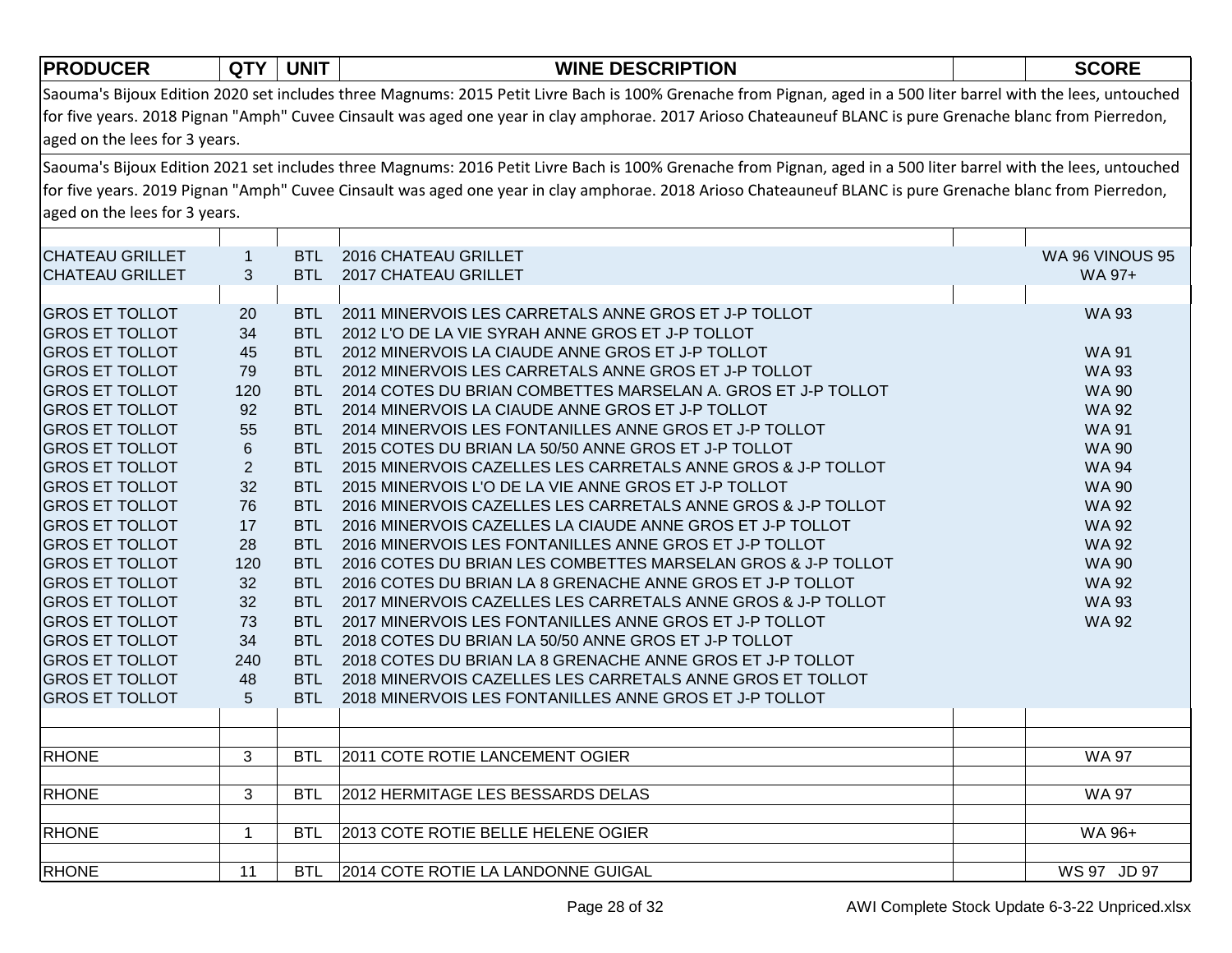| Saouma's Bijoux Edition 2020 set includes three Magnums: 2015 Petit Livre Bach is 100% Grenache from Pignan, aged in a 500 liter barrel with the lees, untouched<br>for five years. 2018 Pignan "Amph" Cuvee Cinsault was aged one year in clay amphorae. 2017 Arioso Chateauneuf BLANC is pure Grenache blanc from Pierredon,<br>aged on the lees for 3 years.<br>Saouma's Bijoux Edition 2021 set includes three Magnums: 2016 Petit Livre Bach is 100% Grenache from Pignan, aged in a 500 liter barrel with the lees, untouched<br>for five years. 2019 Pignan "Amph" Cuvee Cinsault was aged one year in clay amphorae. 2018 Arioso Chateauneuf BLANC is pure Grenache blanc from Pierredon,<br>aged on the lees for 3 years.<br><b>CHATEAU GRILLET</b><br>BTL 2016 CHATEAU GRILLET<br>WA 96 VINOUS 95<br>$\mathbf{1}$<br>3<br><b>CHATEAU GRILLET</b><br><b>BTL</b><br>2017 CHATEAU GRILLET<br>WA 97+<br><b>GROS ET TOLLOT</b><br>2011 MINERVOIS LES CARRETALS ANNE GROS ET J-P TOLLOT<br><b>WA 93</b><br>20<br>BTL<br>34<br><b>GROS ET TOLLOT</b><br><b>BTL</b><br>2012 L'O DE LA VIE SYRAH ANNE GROS ET J-P TOLLOT<br><b>GROS ET TOLLOT</b><br>45<br>2012 MINERVOIS LA CIAUDE ANNE GROS ET J-P TOLLOT<br><b>BTL</b><br><b>WA 91</b><br>79<br><b>GROS ET TOLLOT</b><br>2012 MINERVOIS LES CARRETALS ANNE GROS ET J-P TOLLOT<br><b>WA 93</b><br><b>BTL</b><br><b>GROS ET TOLLOT</b><br>120<br>2014 COTES DU BRIAN COMBETTES MARSELAN A. GROS ET J-P TOLLOT<br><b>WA 90</b><br><b>BTL</b><br>92<br><b>GROS ET TOLLOT</b><br>2014 MINERVOIS LA CIAUDE ANNE GROS ET J-P TOLLOT<br><b>WA 92</b><br><b>BTL</b><br>55<br><b>GROS ET TOLLOT</b><br>2014 MINERVOIS LES FONTANILLES ANNE GROS ET J-P TOLLOT<br><b>WA 91</b><br><b>BTL</b><br>$\,6\,$<br><b>GROS ET TOLLOT</b><br>2015 COTES DU BRIAN LA 50/50 ANNE GROS ET J-P TOLLOT<br><b>WA 90</b><br><b>BTL</b><br>$\overline{2}$<br><b>GROS ET TOLLOT</b><br>2015 MINERVOIS CAZELLES LES CARRETALS ANNE GROS & J-P TOLLOT<br><b>WA 94</b><br><b>BTL</b><br>32<br><b>GROS ET TOLLOT</b><br>2015 MINERVOIS L'O DE LA VIE ANNE GROS ET J-P TOLLOT<br><b>WA 90</b><br><b>BTL</b><br><b>GROS ET TOLLOT</b><br>76<br>2016 MINERVOIS CAZELLES LES CARRETALS ANNE GROS & J-P TOLLOT<br><b>WA 92</b><br><b>BTL</b><br><b>GROS ET TOLLOT</b><br>17<br>2016 MINERVOIS CAZELLES LA CIAUDE ANNE GROS ET J-P TOLLOT<br><b>WA 92</b><br><b>BTL</b><br><b>GROS ET TOLLOT</b><br>28<br><b>WA 92</b><br><b>BTL</b><br>2016 MINERVOIS LES FONTANILLES ANNE GROS ET J-P TOLLOT<br><b>GROS ET TOLLOT</b><br>120<br><b>BTL</b><br>2016 COTES DU BRIAN LES COMBETTES MARSELAN GROS & J-P TOLLOT<br><b>WA 90</b><br><b>GROS ET TOLLOT</b><br>32<br>2016 COTES DU BRIAN LA 8 GRENACHE ANNE GROS ET J-P TOLLOT<br><b>BTL</b><br><b>WA 92</b><br><b>GROS ET TOLLOT</b><br>32<br>BTL<br>2017 MINERVOIS CAZELLES LES CARRETALS ANNE GROS & J-P TOLLOT<br><b>WA 93</b><br><b>GROS ET TOLLOT</b><br>73<br><b>BTL</b><br>2017 MINERVOIS LES FONTANILLES ANNE GROS ET J-P TOLLOT<br><b>WA 92</b><br><b>GROS ET TOLLOT</b><br>34<br><b>BTL</b><br>2018 COTES DU BRIAN LA 50/50 ANNE GROS ET J-P TOLLOT<br><b>GROS ET TOLLOT</b><br>240<br>2018 COTES DU BRIAN LA 8 GRENACHE ANNE GROS ET J-P TOLLOT<br>BTL<br><b>GROS ET TOLLOT</b><br>48<br>2018 MINERVOIS CAZELLES LES CARRETALS ANNE GROS ET TOLLOT<br>BTL<br>5<br><b>GROS ET TOLLOT</b><br>2018 MINERVOIS LES FONTANILLES ANNE GROS ET J-P TOLLOT<br><b>BTL</b><br><b>RHONE</b><br>2011 COTE ROTIE LANCEMENT OGIER<br><b>BTL</b><br>3<br>WA 97<br>3<br><b>RHONE</b><br><b>BTL</b><br>2012 HERMITAGE LES BESSARDS DELAS<br><b>WA 97</b><br><b>RHONE</b><br>$\mathbf 1$<br>2013 COTE ROTIE BELLE HELENE OGIER<br>WA 96+<br><b>BTL</b> | <b>PRODUCER</b> | <b>QTY</b> | <b>UNIT</b> | <b>WINE DESCRIPTION</b> | <b>SCORE</b> |  |  |  |
|--------------------------------------------------------------------------------------------------------------------------------------------------------------------------------------------------------------------------------------------------------------------------------------------------------------------------------------------------------------------------------------------------------------------------------------------------------------------------------------------------------------------------------------------------------------------------------------------------------------------------------------------------------------------------------------------------------------------------------------------------------------------------------------------------------------------------------------------------------------------------------------------------------------------------------------------------------------------------------------------------------------------------------------------------------------------------------------------------------------------------------------------------------------------------------------------------------------------------------------------------------------------------------------------------------------------------------------------------------------------------------------------------------------------------------------------------------------------------------------------------------------------------------------------------------------------------------------------------------------------------------------------------------------------------------------------------------------------------------------------------------------------------------------------------------------------------------------------------------------------------------------------------------------------------------------------------------------------------------------------------------------------------------------------------------------------------------------------------------------------------------------------------------------------------------------------------------------------------------------------------------------------------------------------------------------------------------------------------------------------------------------------------------------------------------------------------------------------------------------------------------------------------------------------------------------------------------------------------------------------------------------------------------------------------------------------------------------------------------------------------------------------------------------------------------------------------------------------------------------------------------------------------------------------------------------------------------------------------------------------------------------------------------------------------------------------------------------------------------------------------------------------------------------------------------------------------------------------------------------------------------------------------------------------------------------------------------------------------------------------------------------------------------------------------------------------------------------------------------------------------------------------------------------------------------------------------------------------------------------------------------------------------------------------------------------------------------|-----------------|------------|-------------|-------------------------|--------------|--|--|--|
|                                                                                                                                                                                                                                                                                                                                                                                                                                                                                                                                                                                                                                                                                                                                                                                                                                                                                                                                                                                                                                                                                                                                                                                                                                                                                                                                                                                                                                                                                                                                                                                                                                                                                                                                                                                                                                                                                                                                                                                                                                                                                                                                                                                                                                                                                                                                                                                                                                                                                                                                                                                                                                                                                                                                                                                                                                                                                                                                                                                                                                                                                                                                                                                                                                                                                                                                                                                                                                                                                                                                                                                                                                                                                                        |                 |            |             |                         |              |  |  |  |
|                                                                                                                                                                                                                                                                                                                                                                                                                                                                                                                                                                                                                                                                                                                                                                                                                                                                                                                                                                                                                                                                                                                                                                                                                                                                                                                                                                                                                                                                                                                                                                                                                                                                                                                                                                                                                                                                                                                                                                                                                                                                                                                                                                                                                                                                                                                                                                                                                                                                                                                                                                                                                                                                                                                                                                                                                                                                                                                                                                                                                                                                                                                                                                                                                                                                                                                                                                                                                                                                                                                                                                                                                                                                                                        |                 |            |             |                         |              |  |  |  |
|                                                                                                                                                                                                                                                                                                                                                                                                                                                                                                                                                                                                                                                                                                                                                                                                                                                                                                                                                                                                                                                                                                                                                                                                                                                                                                                                                                                                                                                                                                                                                                                                                                                                                                                                                                                                                                                                                                                                                                                                                                                                                                                                                                                                                                                                                                                                                                                                                                                                                                                                                                                                                                                                                                                                                                                                                                                                                                                                                                                                                                                                                                                                                                                                                                                                                                                                                                                                                                                                                                                                                                                                                                                                                                        |                 |            |             |                         |              |  |  |  |
|                                                                                                                                                                                                                                                                                                                                                                                                                                                                                                                                                                                                                                                                                                                                                                                                                                                                                                                                                                                                                                                                                                                                                                                                                                                                                                                                                                                                                                                                                                                                                                                                                                                                                                                                                                                                                                                                                                                                                                                                                                                                                                                                                                                                                                                                                                                                                                                                                                                                                                                                                                                                                                                                                                                                                                                                                                                                                                                                                                                                                                                                                                                                                                                                                                                                                                                                                                                                                                                                                                                                                                                                                                                                                                        |                 |            |             |                         |              |  |  |  |
|                                                                                                                                                                                                                                                                                                                                                                                                                                                                                                                                                                                                                                                                                                                                                                                                                                                                                                                                                                                                                                                                                                                                                                                                                                                                                                                                                                                                                                                                                                                                                                                                                                                                                                                                                                                                                                                                                                                                                                                                                                                                                                                                                                                                                                                                                                                                                                                                                                                                                                                                                                                                                                                                                                                                                                                                                                                                                                                                                                                                                                                                                                                                                                                                                                                                                                                                                                                                                                                                                                                                                                                                                                                                                                        |                 |            |             |                         |              |  |  |  |
|                                                                                                                                                                                                                                                                                                                                                                                                                                                                                                                                                                                                                                                                                                                                                                                                                                                                                                                                                                                                                                                                                                                                                                                                                                                                                                                                                                                                                                                                                                                                                                                                                                                                                                                                                                                                                                                                                                                                                                                                                                                                                                                                                                                                                                                                                                                                                                                                                                                                                                                                                                                                                                                                                                                                                                                                                                                                                                                                                                                                                                                                                                                                                                                                                                                                                                                                                                                                                                                                                                                                                                                                                                                                                                        |                 |            |             |                         |              |  |  |  |
|                                                                                                                                                                                                                                                                                                                                                                                                                                                                                                                                                                                                                                                                                                                                                                                                                                                                                                                                                                                                                                                                                                                                                                                                                                                                                                                                                                                                                                                                                                                                                                                                                                                                                                                                                                                                                                                                                                                                                                                                                                                                                                                                                                                                                                                                                                                                                                                                                                                                                                                                                                                                                                                                                                                                                                                                                                                                                                                                                                                                                                                                                                                                                                                                                                                                                                                                                                                                                                                                                                                                                                                                                                                                                                        |                 |            |             |                         |              |  |  |  |
|                                                                                                                                                                                                                                                                                                                                                                                                                                                                                                                                                                                                                                                                                                                                                                                                                                                                                                                                                                                                                                                                                                                                                                                                                                                                                                                                                                                                                                                                                                                                                                                                                                                                                                                                                                                                                                                                                                                                                                                                                                                                                                                                                                                                                                                                                                                                                                                                                                                                                                                                                                                                                                                                                                                                                                                                                                                                                                                                                                                                                                                                                                                                                                                                                                                                                                                                                                                                                                                                                                                                                                                                                                                                                                        |                 |            |             |                         |              |  |  |  |
|                                                                                                                                                                                                                                                                                                                                                                                                                                                                                                                                                                                                                                                                                                                                                                                                                                                                                                                                                                                                                                                                                                                                                                                                                                                                                                                                                                                                                                                                                                                                                                                                                                                                                                                                                                                                                                                                                                                                                                                                                                                                                                                                                                                                                                                                                                                                                                                                                                                                                                                                                                                                                                                                                                                                                                                                                                                                                                                                                                                                                                                                                                                                                                                                                                                                                                                                                                                                                                                                                                                                                                                                                                                                                                        |                 |            |             |                         |              |  |  |  |
|                                                                                                                                                                                                                                                                                                                                                                                                                                                                                                                                                                                                                                                                                                                                                                                                                                                                                                                                                                                                                                                                                                                                                                                                                                                                                                                                                                                                                                                                                                                                                                                                                                                                                                                                                                                                                                                                                                                                                                                                                                                                                                                                                                                                                                                                                                                                                                                                                                                                                                                                                                                                                                                                                                                                                                                                                                                                                                                                                                                                                                                                                                                                                                                                                                                                                                                                                                                                                                                                                                                                                                                                                                                                                                        |                 |            |             |                         |              |  |  |  |
|                                                                                                                                                                                                                                                                                                                                                                                                                                                                                                                                                                                                                                                                                                                                                                                                                                                                                                                                                                                                                                                                                                                                                                                                                                                                                                                                                                                                                                                                                                                                                                                                                                                                                                                                                                                                                                                                                                                                                                                                                                                                                                                                                                                                                                                                                                                                                                                                                                                                                                                                                                                                                                                                                                                                                                                                                                                                                                                                                                                                                                                                                                                                                                                                                                                                                                                                                                                                                                                                                                                                                                                                                                                                                                        |                 |            |             |                         |              |  |  |  |
|                                                                                                                                                                                                                                                                                                                                                                                                                                                                                                                                                                                                                                                                                                                                                                                                                                                                                                                                                                                                                                                                                                                                                                                                                                                                                                                                                                                                                                                                                                                                                                                                                                                                                                                                                                                                                                                                                                                                                                                                                                                                                                                                                                                                                                                                                                                                                                                                                                                                                                                                                                                                                                                                                                                                                                                                                                                                                                                                                                                                                                                                                                                                                                                                                                                                                                                                                                                                                                                                                                                                                                                                                                                                                                        |                 |            |             |                         |              |  |  |  |
|                                                                                                                                                                                                                                                                                                                                                                                                                                                                                                                                                                                                                                                                                                                                                                                                                                                                                                                                                                                                                                                                                                                                                                                                                                                                                                                                                                                                                                                                                                                                                                                                                                                                                                                                                                                                                                                                                                                                                                                                                                                                                                                                                                                                                                                                                                                                                                                                                                                                                                                                                                                                                                                                                                                                                                                                                                                                                                                                                                                                                                                                                                                                                                                                                                                                                                                                                                                                                                                                                                                                                                                                                                                                                                        |                 |            |             |                         |              |  |  |  |
|                                                                                                                                                                                                                                                                                                                                                                                                                                                                                                                                                                                                                                                                                                                                                                                                                                                                                                                                                                                                                                                                                                                                                                                                                                                                                                                                                                                                                                                                                                                                                                                                                                                                                                                                                                                                                                                                                                                                                                                                                                                                                                                                                                                                                                                                                                                                                                                                                                                                                                                                                                                                                                                                                                                                                                                                                                                                                                                                                                                                                                                                                                                                                                                                                                                                                                                                                                                                                                                                                                                                                                                                                                                                                                        |                 |            |             |                         |              |  |  |  |
|                                                                                                                                                                                                                                                                                                                                                                                                                                                                                                                                                                                                                                                                                                                                                                                                                                                                                                                                                                                                                                                                                                                                                                                                                                                                                                                                                                                                                                                                                                                                                                                                                                                                                                                                                                                                                                                                                                                                                                                                                                                                                                                                                                                                                                                                                                                                                                                                                                                                                                                                                                                                                                                                                                                                                                                                                                                                                                                                                                                                                                                                                                                                                                                                                                                                                                                                                                                                                                                                                                                                                                                                                                                                                                        |                 |            |             |                         |              |  |  |  |
|                                                                                                                                                                                                                                                                                                                                                                                                                                                                                                                                                                                                                                                                                                                                                                                                                                                                                                                                                                                                                                                                                                                                                                                                                                                                                                                                                                                                                                                                                                                                                                                                                                                                                                                                                                                                                                                                                                                                                                                                                                                                                                                                                                                                                                                                                                                                                                                                                                                                                                                                                                                                                                                                                                                                                                                                                                                                                                                                                                                                                                                                                                                                                                                                                                                                                                                                                                                                                                                                                                                                                                                                                                                                                                        |                 |            |             |                         |              |  |  |  |
|                                                                                                                                                                                                                                                                                                                                                                                                                                                                                                                                                                                                                                                                                                                                                                                                                                                                                                                                                                                                                                                                                                                                                                                                                                                                                                                                                                                                                                                                                                                                                                                                                                                                                                                                                                                                                                                                                                                                                                                                                                                                                                                                                                                                                                                                                                                                                                                                                                                                                                                                                                                                                                                                                                                                                                                                                                                                                                                                                                                                                                                                                                                                                                                                                                                                                                                                                                                                                                                                                                                                                                                                                                                                                                        |                 |            |             |                         |              |  |  |  |
|                                                                                                                                                                                                                                                                                                                                                                                                                                                                                                                                                                                                                                                                                                                                                                                                                                                                                                                                                                                                                                                                                                                                                                                                                                                                                                                                                                                                                                                                                                                                                                                                                                                                                                                                                                                                                                                                                                                                                                                                                                                                                                                                                                                                                                                                                                                                                                                                                                                                                                                                                                                                                                                                                                                                                                                                                                                                                                                                                                                                                                                                                                                                                                                                                                                                                                                                                                                                                                                                                                                                                                                                                                                                                                        |                 |            |             |                         |              |  |  |  |
|                                                                                                                                                                                                                                                                                                                                                                                                                                                                                                                                                                                                                                                                                                                                                                                                                                                                                                                                                                                                                                                                                                                                                                                                                                                                                                                                                                                                                                                                                                                                                                                                                                                                                                                                                                                                                                                                                                                                                                                                                                                                                                                                                                                                                                                                                                                                                                                                                                                                                                                                                                                                                                                                                                                                                                                                                                                                                                                                                                                                                                                                                                                                                                                                                                                                                                                                                                                                                                                                                                                                                                                                                                                                                                        |                 |            |             |                         |              |  |  |  |
|                                                                                                                                                                                                                                                                                                                                                                                                                                                                                                                                                                                                                                                                                                                                                                                                                                                                                                                                                                                                                                                                                                                                                                                                                                                                                                                                                                                                                                                                                                                                                                                                                                                                                                                                                                                                                                                                                                                                                                                                                                                                                                                                                                                                                                                                                                                                                                                                                                                                                                                                                                                                                                                                                                                                                                                                                                                                                                                                                                                                                                                                                                                                                                                                                                                                                                                                                                                                                                                                                                                                                                                                                                                                                                        |                 |            |             |                         |              |  |  |  |
|                                                                                                                                                                                                                                                                                                                                                                                                                                                                                                                                                                                                                                                                                                                                                                                                                                                                                                                                                                                                                                                                                                                                                                                                                                                                                                                                                                                                                                                                                                                                                                                                                                                                                                                                                                                                                                                                                                                                                                                                                                                                                                                                                                                                                                                                                                                                                                                                                                                                                                                                                                                                                                                                                                                                                                                                                                                                                                                                                                                                                                                                                                                                                                                                                                                                                                                                                                                                                                                                                                                                                                                                                                                                                                        |                 |            |             |                         |              |  |  |  |
|                                                                                                                                                                                                                                                                                                                                                                                                                                                                                                                                                                                                                                                                                                                                                                                                                                                                                                                                                                                                                                                                                                                                                                                                                                                                                                                                                                                                                                                                                                                                                                                                                                                                                                                                                                                                                                                                                                                                                                                                                                                                                                                                                                                                                                                                                                                                                                                                                                                                                                                                                                                                                                                                                                                                                                                                                                                                                                                                                                                                                                                                                                                                                                                                                                                                                                                                                                                                                                                                                                                                                                                                                                                                                                        |                 |            |             |                         |              |  |  |  |
|                                                                                                                                                                                                                                                                                                                                                                                                                                                                                                                                                                                                                                                                                                                                                                                                                                                                                                                                                                                                                                                                                                                                                                                                                                                                                                                                                                                                                                                                                                                                                                                                                                                                                                                                                                                                                                                                                                                                                                                                                                                                                                                                                                                                                                                                                                                                                                                                                                                                                                                                                                                                                                                                                                                                                                                                                                                                                                                                                                                                                                                                                                                                                                                                                                                                                                                                                                                                                                                                                                                                                                                                                                                                                                        |                 |            |             |                         |              |  |  |  |
|                                                                                                                                                                                                                                                                                                                                                                                                                                                                                                                                                                                                                                                                                                                                                                                                                                                                                                                                                                                                                                                                                                                                                                                                                                                                                                                                                                                                                                                                                                                                                                                                                                                                                                                                                                                                                                                                                                                                                                                                                                                                                                                                                                                                                                                                                                                                                                                                                                                                                                                                                                                                                                                                                                                                                                                                                                                                                                                                                                                                                                                                                                                                                                                                                                                                                                                                                                                                                                                                                                                                                                                                                                                                                                        |                 |            |             |                         |              |  |  |  |
|                                                                                                                                                                                                                                                                                                                                                                                                                                                                                                                                                                                                                                                                                                                                                                                                                                                                                                                                                                                                                                                                                                                                                                                                                                                                                                                                                                                                                                                                                                                                                                                                                                                                                                                                                                                                                                                                                                                                                                                                                                                                                                                                                                                                                                                                                                                                                                                                                                                                                                                                                                                                                                                                                                                                                                                                                                                                                                                                                                                                                                                                                                                                                                                                                                                                                                                                                                                                                                                                                                                                                                                                                                                                                                        |                 |            |             |                         |              |  |  |  |
|                                                                                                                                                                                                                                                                                                                                                                                                                                                                                                                                                                                                                                                                                                                                                                                                                                                                                                                                                                                                                                                                                                                                                                                                                                                                                                                                                                                                                                                                                                                                                                                                                                                                                                                                                                                                                                                                                                                                                                                                                                                                                                                                                                                                                                                                                                                                                                                                                                                                                                                                                                                                                                                                                                                                                                                                                                                                                                                                                                                                                                                                                                                                                                                                                                                                                                                                                                                                                                                                                                                                                                                                                                                                                                        |                 |            |             |                         |              |  |  |  |
|                                                                                                                                                                                                                                                                                                                                                                                                                                                                                                                                                                                                                                                                                                                                                                                                                                                                                                                                                                                                                                                                                                                                                                                                                                                                                                                                                                                                                                                                                                                                                                                                                                                                                                                                                                                                                                                                                                                                                                                                                                                                                                                                                                                                                                                                                                                                                                                                                                                                                                                                                                                                                                                                                                                                                                                                                                                                                                                                                                                                                                                                                                                                                                                                                                                                                                                                                                                                                                                                                                                                                                                                                                                                                                        |                 |            |             |                         |              |  |  |  |
|                                                                                                                                                                                                                                                                                                                                                                                                                                                                                                                                                                                                                                                                                                                                                                                                                                                                                                                                                                                                                                                                                                                                                                                                                                                                                                                                                                                                                                                                                                                                                                                                                                                                                                                                                                                                                                                                                                                                                                                                                                                                                                                                                                                                                                                                                                                                                                                                                                                                                                                                                                                                                                                                                                                                                                                                                                                                                                                                                                                                                                                                                                                                                                                                                                                                                                                                                                                                                                                                                                                                                                                                                                                                                                        |                 |            |             |                         |              |  |  |  |
|                                                                                                                                                                                                                                                                                                                                                                                                                                                                                                                                                                                                                                                                                                                                                                                                                                                                                                                                                                                                                                                                                                                                                                                                                                                                                                                                                                                                                                                                                                                                                                                                                                                                                                                                                                                                                                                                                                                                                                                                                                                                                                                                                                                                                                                                                                                                                                                                                                                                                                                                                                                                                                                                                                                                                                                                                                                                                                                                                                                                                                                                                                                                                                                                                                                                                                                                                                                                                                                                                                                                                                                                                                                                                                        |                 |            |             |                         |              |  |  |  |
|                                                                                                                                                                                                                                                                                                                                                                                                                                                                                                                                                                                                                                                                                                                                                                                                                                                                                                                                                                                                                                                                                                                                                                                                                                                                                                                                                                                                                                                                                                                                                                                                                                                                                                                                                                                                                                                                                                                                                                                                                                                                                                                                                                                                                                                                                                                                                                                                                                                                                                                                                                                                                                                                                                                                                                                                                                                                                                                                                                                                                                                                                                                                                                                                                                                                                                                                                                                                                                                                                                                                                                                                                                                                                                        |                 |            |             |                         |              |  |  |  |
|                                                                                                                                                                                                                                                                                                                                                                                                                                                                                                                                                                                                                                                                                                                                                                                                                                                                                                                                                                                                                                                                                                                                                                                                                                                                                                                                                                                                                                                                                                                                                                                                                                                                                                                                                                                                                                                                                                                                                                                                                                                                                                                                                                                                                                                                                                                                                                                                                                                                                                                                                                                                                                                                                                                                                                                                                                                                                                                                                                                                                                                                                                                                                                                                                                                                                                                                                                                                                                                                                                                                                                                                                                                                                                        |                 |            |             |                         |              |  |  |  |
|                                                                                                                                                                                                                                                                                                                                                                                                                                                                                                                                                                                                                                                                                                                                                                                                                                                                                                                                                                                                                                                                                                                                                                                                                                                                                                                                                                                                                                                                                                                                                                                                                                                                                                                                                                                                                                                                                                                                                                                                                                                                                                                                                                                                                                                                                                                                                                                                                                                                                                                                                                                                                                                                                                                                                                                                                                                                                                                                                                                                                                                                                                                                                                                                                                                                                                                                                                                                                                                                                                                                                                                                                                                                                                        |                 |            |             |                         |              |  |  |  |
|                                                                                                                                                                                                                                                                                                                                                                                                                                                                                                                                                                                                                                                                                                                                                                                                                                                                                                                                                                                                                                                                                                                                                                                                                                                                                                                                                                                                                                                                                                                                                                                                                                                                                                                                                                                                                                                                                                                                                                                                                                                                                                                                                                                                                                                                                                                                                                                                                                                                                                                                                                                                                                                                                                                                                                                                                                                                                                                                                                                                                                                                                                                                                                                                                                                                                                                                                                                                                                                                                                                                                                                                                                                                                                        |                 |            |             |                         |              |  |  |  |
|                                                                                                                                                                                                                                                                                                                                                                                                                                                                                                                                                                                                                                                                                                                                                                                                                                                                                                                                                                                                                                                                                                                                                                                                                                                                                                                                                                                                                                                                                                                                                                                                                                                                                                                                                                                                                                                                                                                                                                                                                                                                                                                                                                                                                                                                                                                                                                                                                                                                                                                                                                                                                                                                                                                                                                                                                                                                                                                                                                                                                                                                                                                                                                                                                                                                                                                                                                                                                                                                                                                                                                                                                                                                                                        |                 |            |             |                         |              |  |  |  |
|                                                                                                                                                                                                                                                                                                                                                                                                                                                                                                                                                                                                                                                                                                                                                                                                                                                                                                                                                                                                                                                                                                                                                                                                                                                                                                                                                                                                                                                                                                                                                                                                                                                                                                                                                                                                                                                                                                                                                                                                                                                                                                                                                                                                                                                                                                                                                                                                                                                                                                                                                                                                                                                                                                                                                                                                                                                                                                                                                                                                                                                                                                                                                                                                                                                                                                                                                                                                                                                                                                                                                                                                                                                                                                        |                 |            |             |                         |              |  |  |  |
|                                                                                                                                                                                                                                                                                                                                                                                                                                                                                                                                                                                                                                                                                                                                                                                                                                                                                                                                                                                                                                                                                                                                                                                                                                                                                                                                                                                                                                                                                                                                                                                                                                                                                                                                                                                                                                                                                                                                                                                                                                                                                                                                                                                                                                                                                                                                                                                                                                                                                                                                                                                                                                                                                                                                                                                                                                                                                                                                                                                                                                                                                                                                                                                                                                                                                                                                                                                                                                                                                                                                                                                                                                                                                                        |                 |            |             |                         |              |  |  |  |
|                                                                                                                                                                                                                                                                                                                                                                                                                                                                                                                                                                                                                                                                                                                                                                                                                                                                                                                                                                                                                                                                                                                                                                                                                                                                                                                                                                                                                                                                                                                                                                                                                                                                                                                                                                                                                                                                                                                                                                                                                                                                                                                                                                                                                                                                                                                                                                                                                                                                                                                                                                                                                                                                                                                                                                                                                                                                                                                                                                                                                                                                                                                                                                                                                                                                                                                                                                                                                                                                                                                                                                                                                                                                                                        |                 |            |             |                         |              |  |  |  |
|                                                                                                                                                                                                                                                                                                                                                                                                                                                                                                                                                                                                                                                                                                                                                                                                                                                                                                                                                                                                                                                                                                                                                                                                                                                                                                                                                                                                                                                                                                                                                                                                                                                                                                                                                                                                                                                                                                                                                                                                                                                                                                                                                                                                                                                                                                                                                                                                                                                                                                                                                                                                                                                                                                                                                                                                                                                                                                                                                                                                                                                                                                                                                                                                                                                                                                                                                                                                                                                                                                                                                                                                                                                                                                        |                 |            |             |                         |              |  |  |  |
| 11<br><b>BTL</b><br>2014 COTE ROTIE LA LANDONNE GUIGAL<br>WS 97 JD 97                                                                                                                                                                                                                                                                                                                                                                                                                                                                                                                                                                                                                                                                                                                                                                                                                                                                                                                                                                                                                                                                                                                                                                                                                                                                                                                                                                                                                                                                                                                                                                                                                                                                                                                                                                                                                                                                                                                                                                                                                                                                                                                                                                                                                                                                                                                                                                                                                                                                                                                                                                                                                                                                                                                                                                                                                                                                                                                                                                                                                                                                                                                                                                                                                                                                                                                                                                                                                                                                                                                                                                                                                                  | <b>RHONE</b>    |            |             |                         |              |  |  |  |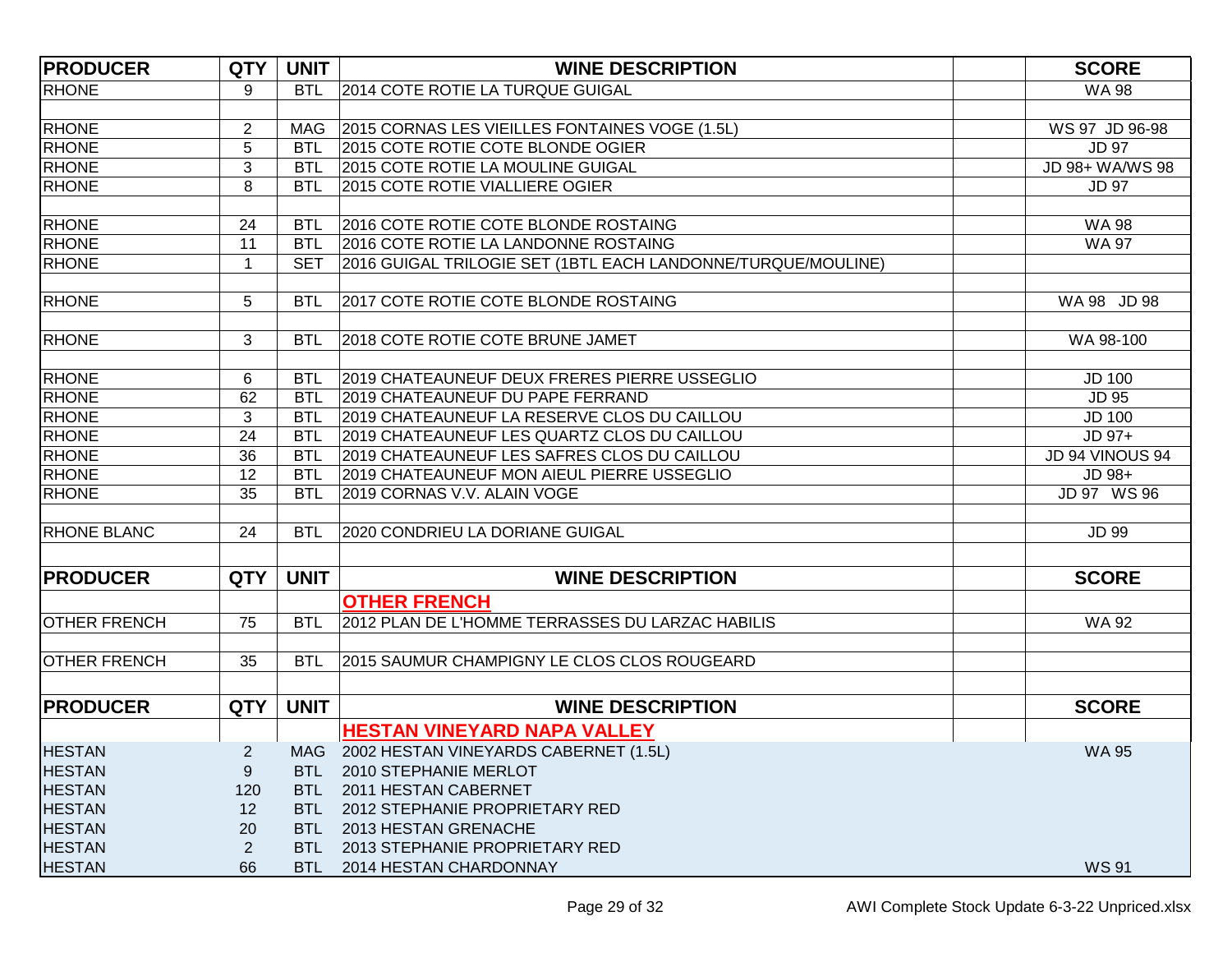| <b>PRODUCER</b>     | <b>QTY</b>     | <b>UNIT</b> | <b>WINE DESCRIPTION</b>                                      | <b>SCORE</b>    |
|---------------------|----------------|-------------|--------------------------------------------------------------|-----------------|
| <b>RHONE</b>        | 9              | <b>BTL</b>  | 2014 COTE ROTIE LA TURQUE GUIGAL                             | <b>WA 98</b>    |
|                     |                |             |                                                              |                 |
| RHONE               | $\overline{2}$ | MAG         | 2015 CORNAS LES VIEILLES FONTAINES VOGE (1.5L)               | WS 97 JD 96-98  |
| <b>RHONE</b>        | 5              | <b>BTL</b>  | 2015 COTE ROTIE COTE BLONDE OGIER                            | <b>JD 97</b>    |
| <b>RHONE</b>        | 3              | <b>BTL</b>  | 2015 COTE ROTIE LA MOULINE GUIGAL                            | JD 98+ WA/WS 98 |
| <b>RHONE</b>        | 8              | <b>BTL</b>  | 2015 COTE ROTIE VIALLIERE OGIER                              | <b>JD 97</b>    |
|                     |                |             |                                                              |                 |
| <b>RHONE</b>        | 24             | <b>BTL</b>  | 2016 COTE ROTIE COTE BLONDE ROSTAING                         | <b>WA 98</b>    |
| <b>RHONE</b>        | 11             | <b>BTL</b>  | 2016 COTE ROTIE LA LANDONNE ROSTAING                         | <b>WA 97</b>    |
| <b>RHONE</b>        | 1              | <b>SET</b>  | 2016 GUIGAL TRILOGIE SET (1BTL EACH LANDONNE/TURQUE/MOULINE) |                 |
|                     |                |             |                                                              |                 |
| <b>RHONE</b>        | 5              | <b>BTL</b>  | 2017 COTE ROTIE COTE BLONDE ROSTAING                         | WA 98 JD 98     |
|                     |                |             |                                                              |                 |
| RHONE               | 3              | <b>BTL</b>  | 2018 COTE ROTIE COTE BRUNE JAMET                             | WA 98-100       |
| RHONE               | 6              | <b>BTL</b>  | 2019 CHATEAUNEUF DEUX FRERES PIERRE USSEGLIO                 | <b>JD 100</b>   |
| <b>RHONE</b>        | 62             | <b>BTL</b>  | 2019 CHATEAUNEUF DU PAPE FERRAND                             | <b>JD 95</b>    |
| <b>RHONE</b>        | 3              | <b>BTL</b>  | 2019 CHATEAUNEUF LA RESERVE CLOS DU CAILLOU                  | <b>JD 100</b>   |
| <b>RHONE</b>        | 24             | <b>BTL</b>  | 2019 CHATEAUNEUF LES QUARTZ CLOS DU CAILLOU                  | JD 97+          |
| <b>RHONE</b>        | 36             | <b>BTL</b>  | 2019 CHATEAUNEUF LES SAFRES CLOS DU CAILLOU                  | JD 94 VINOUS 94 |
| RHONE               | 12             | <b>BTL</b>  | 2019 CHATEAUNEUF MON AIEUL PIERRE USSEGLIO                   | JD 98+          |
| <b>RHONE</b>        | 35             | <b>BTL</b>  | 2019 CORNAS V.V. ALAIN VOGE                                  | JD 97 WS 96     |
|                     |                |             |                                                              |                 |
| <b>RHONE BLANC</b>  | 24             | <b>BTL</b>  | 2020 CONDRIEU LA DORIANE GUIGAL                              | <b>JD 99</b>    |
|                     |                |             |                                                              |                 |
| <b>PRODUCER</b>     | <b>QTY</b>     | <b>UNIT</b> | <b>WINE DESCRIPTION</b>                                      | <b>SCORE</b>    |
|                     |                |             | <b>OTHER FRENCH</b>                                          |                 |
| <b>OTHER FRENCH</b> | 75             | <b>BTL</b>  | 2012 PLAN DE L'HOMME TERRASSES DU LARZAC HABILIS             | <b>WA 92</b>    |
|                     |                |             |                                                              |                 |
| <b>OTHER FRENCH</b> | 35             | <b>BTL</b>  | 2015 SAUMUR CHAMPIGNY LE CLOS CLOS ROUGEARD                  |                 |
|                     |                |             |                                                              |                 |
| <b>PRODUCER</b>     | <b>QTY</b>     | <b>UNIT</b> | <b>WINE DESCRIPTION</b>                                      | <b>SCORE</b>    |
|                     |                |             | <b>HESTAN VINEYARD NAPA VALLEY</b>                           |                 |
| <b>HESTAN</b>       | $\overline{c}$ |             | MAG 2002 HESTAN VINEYARDS CABERNET (1.5L)                    | <b>WA 95</b>    |
| <b>HESTAN</b>       | 9              | BTL.        | 2010 STEPHANIE MERLOT                                        |                 |
| <b>HESTAN</b>       | 120            | BTL         | 2011 HESTAN CABERNET                                         |                 |
| <b>HESTAN</b>       | 12             | BTL -       | 2012 STEPHANIE PROPRIETARY RED                               |                 |
| <b>HESTAN</b>       | 20             | <b>BTL</b>  | 2013 HESTAN GRENACHE                                         |                 |
| <b>HESTAN</b>       | 2              | <b>BTL</b>  | 2013 STEPHANIE PROPRIETARY RED                               |                 |
| <b>HESTAN</b>       | 66             | BTL         | 2014 HESTAN CHARDONNAY                                       | <b>WS 91</b>    |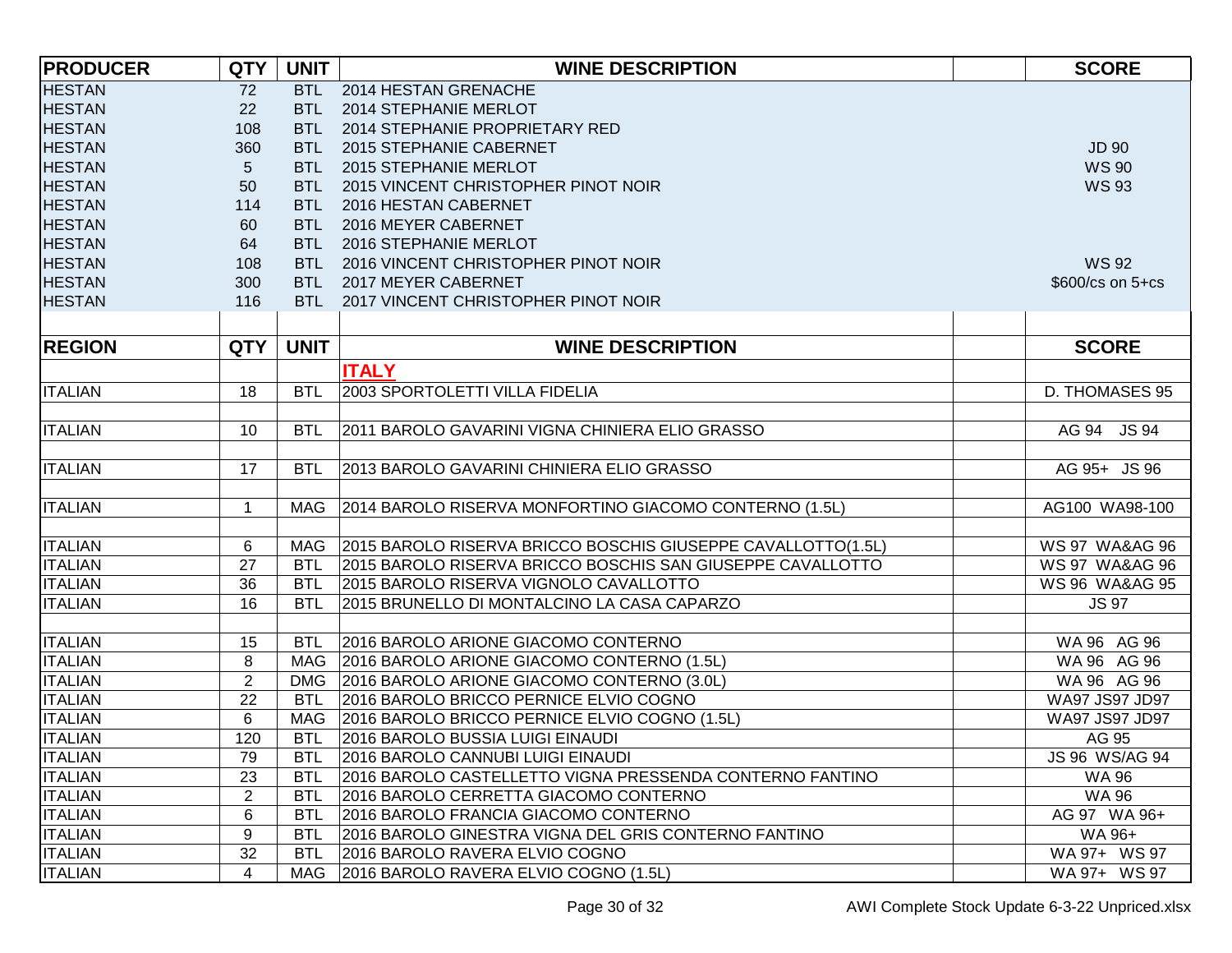| <b>PRODUCER</b> | <b>QTY</b>     | <b>UNIT</b> | <b>WINE DESCRIPTION</b>                                      | <b>SCORE</b>              |
|-----------------|----------------|-------------|--------------------------------------------------------------|---------------------------|
| <b>HESTAN</b>   | 72             |             | BTL 2014 HESTAN GRENACHE                                     |                           |
| <b>HESTAN</b>   | 22             |             | BTL 2014 STEPHANIE MERLOT                                    |                           |
| <b>HESTAN</b>   | 108            |             | BTL 2014 STEPHANIE PROPRIETARY RED                           |                           |
| <b>HESTAN</b>   | 360            |             | BTL 2015 STEPHANIE CABERNET                                  | <b>JD 90</b>              |
| <b>HESTAN</b>   | 5 <sup>5</sup> |             | BTL 2015 STEPHANIE MERLOT                                    | <b>WS 90</b>              |
| <b>HESTAN</b>   | 50             |             | BTL 2015 VINCENT CHRISTOPHER PINOT NOIR                      | <b>WS 93</b>              |
| <b>HESTAN</b>   | 114            |             | BTL 2016 HESTAN CABERNET                                     |                           |
| <b>HESTAN</b>   | 60             |             | BTL 2016 MEYER CABERNET                                      |                           |
| <b>HESTAN</b>   | 64             |             | BTL 2016 STEPHANIE MERLOT                                    |                           |
| <b>HESTAN</b>   | 108            |             | BTL 2016 VINCENT CHRISTOPHER PINOT NOIR                      | <b>WS 92</b>              |
| <b>HESTAN</b>   | 300            |             | BTL 2017 MEYER CABERNET                                      | \$600/cs on 5+cs          |
| <b>HESTAN</b>   | 116            |             | BTL 2017 VINCENT CHRISTOPHER PINOT NOIR                      |                           |
|                 |                |             |                                                              |                           |
| <b>REGION</b>   | <b>QTY</b>     | <b>UNIT</b> | <b>WINE DESCRIPTION</b>                                      | <b>SCORE</b>              |
|                 |                |             | <b>ITALY</b>                                                 |                           |
| <b>ITALIAN</b>  | 18             | <b>BTL</b>  | 2003 SPORTOLETTI VILLA FIDELIA                               | <b>D. THOMASES 95</b>     |
|                 |                |             |                                                              |                           |
| <b>ITALIAN</b>  | 10             | <b>BTL</b>  | 2011 BAROLO GAVARINI VIGNA CHINIERA ELIO GRASSO              | AG 94<br><b>JS 94</b>     |
|                 |                |             |                                                              |                           |
| <b>ITALIAN</b>  | 17             | <b>BTL</b>  | 2013 BAROLO GAVARINI CHINIERA ELIO GRASSO                    | AG 95+ JS 96              |
|                 |                |             |                                                              |                           |
| <b>ITALIAN</b>  | $\mathbf 1$    | MAG         | 2014 BAROLO RISERVA MONFORTINO GIACOMO CONTERNO (1.5L)       | AG100 WA98-100            |
|                 |                |             |                                                              |                           |
| <b>ITALIAN</b>  | 6              | MAG         | 2015 BAROLO RISERVA BRICCO BOSCHIS GIUSEPPE CAVALLOTTO(1.5L) | <b>WS 97 WA&amp;AG 96</b> |
| <b>ITALIAN</b>  | 27             | <b>BTL</b>  | 2015 BAROLO RISERVA BRICCO BOSCHIS SAN GIUSEPPE CAVALLOTTO   | <b>WS 97 WA&amp;AG 96</b> |
| <b>ITALIAN</b>  | 36             | <b>BTL</b>  | 2015 BAROLO RISERVA VIGNOLO CAVALLOTTO                       | WS 96 WA&AG 95            |
| <b>ITALIAN</b>  | 16             | <b>BTL</b>  | 2015 BRUNELLO DI MONTALCINO LA CASA CAPARZO                  | <b>JS 97</b>              |
|                 |                |             |                                                              |                           |
| <b>ITALIAN</b>  | 15             | <b>BTL</b>  | 2016 BAROLO ARIONE GIACOMO CONTERNO                          | WA 96 AG 96               |
| <b>ITALIAN</b>  | 8              | MAG         | 2016 BAROLO ARIONE GIACOMO CONTERNO (1.5L)                   | WA 96 AG 96               |
| <b>ITALIAN</b>  | $\overline{2}$ | <b>DMG</b>  | 2016 BAROLO ARIONE GIACOMO CONTERNO (3.0L)                   | WA 96 AG 96               |
| <b>ITALIAN</b>  | 22             | <b>BTL</b>  | 2016 BAROLO BRICCO PERNICE ELVIO COGNO                       | WA97 JS97 JD97            |
| <b>ITALIAN</b>  | 6              | MAG         | 2016 BAROLO BRICCO PERNICE ELVIO COGNO (1.5L)                | WA97 JS97 JD97            |
| <b>ITALIAN</b>  | 120            | <b>BTL</b>  | 2016 BAROLO BUSSIA LUIGI EINAUDI                             | AG 95                     |
| <b>ITALIAN</b>  | 79             | <b>BTL</b>  | 2016 BAROLO CANNUBI LUIGI EINAUDI                            | JS 96 WS/AG 94            |
| <b>ITALIAN</b>  | 23             | <b>BTL</b>  | 2016 BAROLO CASTELLETTO VIGNA PRESSENDA CONTERNO FANTINO     | <b>WA 96</b>              |
| <b>ITALIAN</b>  | $\overline{2}$ | <b>BTL</b>  | 2016 BAROLO CERRETTA GIACOMO CONTERNO                        | <b>WA 96</b>              |
| <b>ITALIAN</b>  | 6              | <b>BTL</b>  | 2016 BAROLO FRANCIA GIACOMO CONTERNO                         | AG 97 WA 96+              |
| <b>ITALIAN</b>  | 9              | <b>BTL</b>  | 2016 BAROLO GINESTRA VIGNA DEL GRIS CONTERNO FANTINO         | WA 96+                    |
| <b>ITALIAN</b>  | 32             | <b>BTL</b>  | 2016 BAROLO RAVERA ELVIO COGNO                               | WA 97+ WS 97              |
| <b>ITALIAN</b>  | 4              | MAG         | 2016 BAROLO RAVERA ELVIO COGNO (1.5L)                        | WA 97+ WS 97              |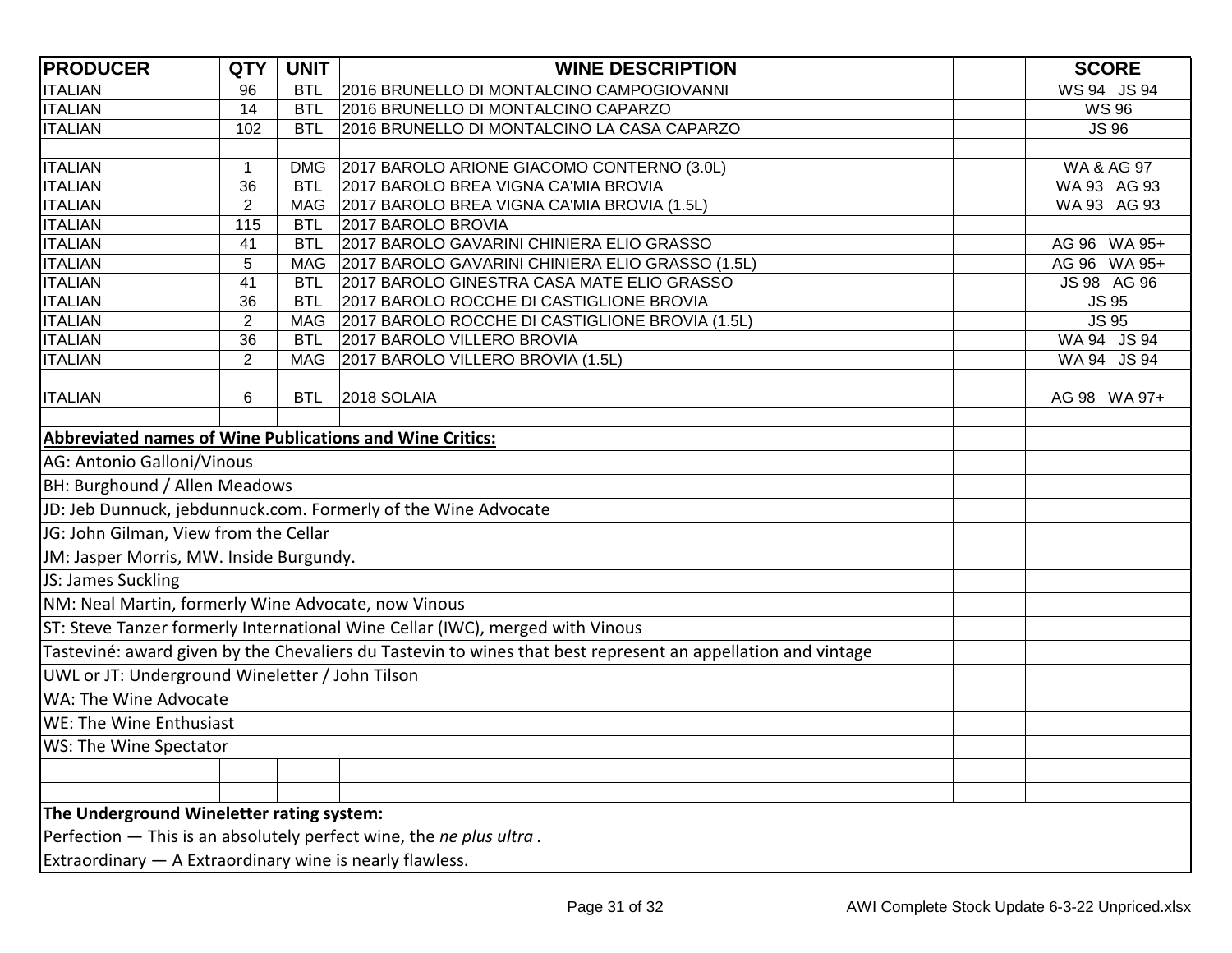| <b>PRODUCER</b>                                          | <b>QTY</b>     | <b>UNIT</b> | <b>WINE DESCRIPTION</b>                                                                                      | <b>SCORE</b> |
|----------------------------------------------------------|----------------|-------------|--------------------------------------------------------------------------------------------------------------|--------------|
| <b>ITALIAN</b>                                           | 96             | <b>BTL</b>  | 2016 BRUNELLO DI MONTALCINO CAMPOGIOVANNI                                                                    | WS 94 JS 94  |
| <b>ITALIAN</b>                                           | 14             | <b>BTL</b>  | 2016 BRUNELLO DI MONTALCINO CAPARZO                                                                          | <b>WS 96</b> |
| <b>ITALIAN</b>                                           | 102            | <b>BTL</b>  | 2016 BRUNELLO DI MONTALCINO LA CASA CAPARZO                                                                  | <b>JS 96</b> |
|                                                          |                |             |                                                                                                              |              |
| <b>ITALIAN</b>                                           | 1              | <b>DMG</b>  | 2017 BAROLO ARIONE GIACOMO CONTERNO (3.0L)                                                                   | WA & AG 97   |
| <b>ITALIAN</b>                                           | 36             | <b>BTL</b>  | 2017 BAROLO BREA VIGNA CA'MIA BROVIA                                                                         | WA 93 AG 93  |
| <b>ITALIAN</b>                                           | $\overline{2}$ | MAG         | 2017 BAROLO BREA VIGNA CA'MIA BROVIA (1.5L)                                                                  | WA 93 AG 93  |
| <b>ITALIAN</b>                                           | 115            | <b>BTL</b>  | 2017 BAROLO BROVIA                                                                                           |              |
| <b>ITALIAN</b>                                           | 41             | <b>BTL</b>  | 2017 BAROLO GAVARINI CHINIERA ELIO GRASSO                                                                    | AG 96 WA 95+ |
| <b>ITALIAN</b>                                           | 5              | MAG         | 2017 BAROLO GAVARINI CHINIERA ELIO GRASSO (1.5L)                                                             | AG 96 WA 95+ |
| <b>ITALIAN</b>                                           | 41             | <b>BTL</b>  | 2017 BAROLO GINESTRA CASA MATE ELIO GRASSO                                                                   | JS 98 AG 96  |
| <b>ITALIAN</b>                                           | 36             | <b>BTL</b>  | 2017 BAROLO ROCCHE DI CASTIGLIONE BROVIA                                                                     | <b>JS 95</b> |
| <b>ITALIAN</b>                                           | $\overline{2}$ | MAG         | 2017 BAROLO ROCCHE DI CASTIGLIONE BROVIA (1.5L)                                                              | <b>JS 95</b> |
| <b>ITALIAN</b>                                           | 36             | <b>BTL</b>  | 2017 BAROLO VILLERO BROVIA                                                                                   | WA 94 JS 94  |
| <b>ITALIAN</b>                                           | $\overline{2}$ | MAG         | 2017 BAROLO VILLERO BROVIA (1.5L)                                                                            | WA 94 JS 94  |
|                                                          |                |             |                                                                                                              |              |
| <b>ITALIAN</b>                                           | 6              | <b>BTL</b>  | 2018 SOLAIA                                                                                                  | AG 98 WA 97+ |
|                                                          |                |             |                                                                                                              |              |
| Abbreviated names of Wine Publications and Wine Critics: |                |             |                                                                                                              |              |
| AG: Antonio Galloni/Vinous                               |                |             |                                                                                                              |              |
| BH: Burghound / Allen Meadows                            |                |             |                                                                                                              |              |
|                                                          |                |             | JD: Jeb Dunnuck, jebdunnuck.com. Formerly of the Wine Advocate                                               |              |
| JG: John Gilman, View from the Cellar                    |                |             |                                                                                                              |              |
| JM: Jasper Morris, MW. Inside Burgundy.                  |                |             |                                                                                                              |              |
| JS: James Suckling                                       |                |             |                                                                                                              |              |
| NM: Neal Martin, formerly Wine Advocate, now Vinous      |                |             |                                                                                                              |              |
|                                                          |                |             | ST: Steve Tanzer formerly International Wine Cellar (IWC), merged with Vinous                                |              |
|                                                          |                |             | Tasteviné: award given by the Chevaliers du Tastevin to wines that best represent an appellation and vintage |              |
| UWL or JT: Underground Wineletter / John Tilson          |                |             |                                                                                                              |              |
| WA: The Wine Advocate                                    |                |             |                                                                                                              |              |
| WE: The Wine Enthusiast                                  |                |             |                                                                                                              |              |
| WS: The Wine Spectator                                   |                |             |                                                                                                              |              |
|                                                          |                |             |                                                                                                              |              |
|                                                          |                |             |                                                                                                              |              |
| The Underground Wineletter rating system:                |                |             |                                                                                                              |              |
|                                                          |                |             | Perfection $-$ This is an absolutely perfect wine, the ne plus ultra.                                        |              |
| Extraordinary - A Extraordinary wine is nearly flawless. |                |             |                                                                                                              |              |